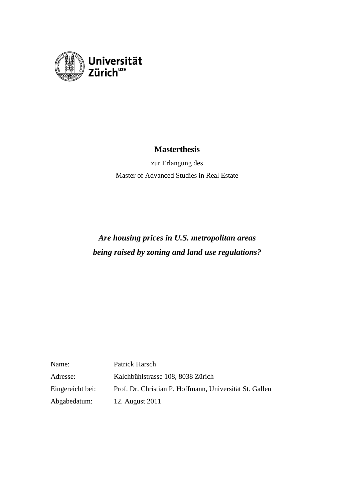

# **Masterthesis**

zur Erlangung des Master of Advanced Studies in Real Estate

# *Are housing prices in U.S. metropolitan areas being raised by zoning and land use regulations?*

| Name:            | Patrick Harsch                                          |
|------------------|---------------------------------------------------------|
| Adresse:         | Kalchbühlstrasse 108, 8038 Zürich                       |
| Eingereicht bei: | Prof. Dr. Christian P. Hoffmann, Universität St. Gallen |
| Abgabedatum:     | 12. August 2011                                         |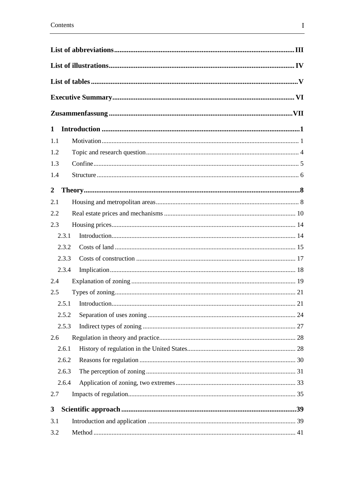| $\mathbf{1}$   |  |
|----------------|--|
| 1.1            |  |
| 1.2            |  |
| 1.3            |  |
| 1.4            |  |
| $\overline{2}$ |  |
| 2.1            |  |
| 2.2            |  |
| 2.3            |  |
| 2.3.1          |  |
| 2.3.2          |  |
| 2.3.3          |  |
| 2.3.4          |  |
| 2.4            |  |
| 2.5            |  |
| 2.5.1          |  |
| 2.5.2          |  |
| 2.5.3          |  |
| 2.6            |  |
| 2.6.1          |  |
| 2.6.2          |  |
| 2.6.3          |  |
| 2.6.4          |  |
| 2.7            |  |
|                |  |
| 3              |  |
| 3.1            |  |
| 3.2            |  |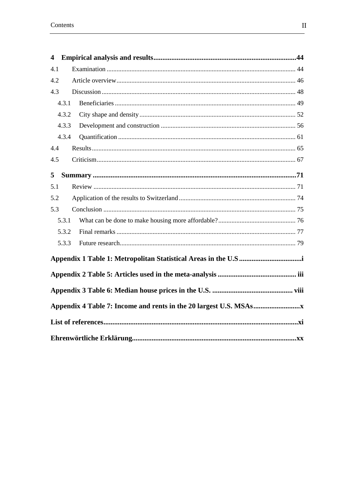| $\overline{\mathbf{4}}$ |       |  |  |  |
|-------------------------|-------|--|--|--|
| 4.1                     |       |  |  |  |
| 4.2                     |       |  |  |  |
| 4.3                     |       |  |  |  |
|                         | 4.3.1 |  |  |  |
|                         | 4.3.2 |  |  |  |
|                         | 4.3.3 |  |  |  |
|                         | 4.3.4 |  |  |  |
| 4.4                     |       |  |  |  |
| 4.5                     |       |  |  |  |
| 5                       |       |  |  |  |
| 5.1                     |       |  |  |  |
| 5.2                     |       |  |  |  |
| 5.3                     |       |  |  |  |
|                         | 5.3.1 |  |  |  |
|                         | 5.3.2 |  |  |  |
|                         | 5.3.3 |  |  |  |
|                         |       |  |  |  |
|                         |       |  |  |  |
|                         |       |  |  |  |
|                         |       |  |  |  |
|                         |       |  |  |  |
|                         |       |  |  |  |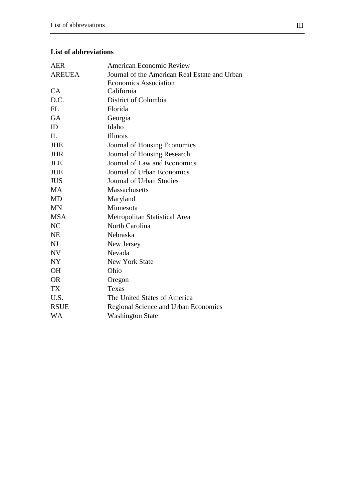# **List of abbreviations**

| <b>AER</b>    | <b>American Economic Review</b>               |
|---------------|-----------------------------------------------|
| <b>AREUEA</b> | Journal of the American Real Estate and Urban |
|               | <b>Economics Association</b>                  |
| CA            | California                                    |
| D.C.          | District of Columbia                          |
| <b>FL</b>     | Florida                                       |
| <b>GA</b>     | Georgia                                       |
| ID            | Idaho                                         |
| IL            | <b>Illinois</b>                               |
| <b>JHE</b>    | Journal of Housing Economics                  |
| <b>JHR</b>    | Journal of Housing Research                   |
| <b>JLE</b>    | Journal of Law and Economics                  |
| <b>JUE</b>    | Journal of Urban Economics                    |
| <b>JUS</b>    | Journal of Urban Studies                      |
| MA            | <b>Massachusetts</b>                          |
| <b>MD</b>     | Maryland                                      |
| <b>MN</b>     | Minnesota                                     |
| <b>MSA</b>    | Metropolitan Statistical Area                 |
| NC            | North Carolina                                |
| <b>NE</b>     | Nebraska                                      |
| NJ            | New Jersey                                    |
| NV            | Nevada                                        |
| <b>NY</b>     | <b>New York State</b>                         |
| <b>OH</b>     | Ohio                                          |
| <b>OR</b>     | Oregon                                        |
| <b>TX</b>     | Texas                                         |
| U.S.          | The United States of America                  |
| <b>RSUE</b>   | Regional Science and Urban Economics          |
| WA            | <b>Washington State</b>                       |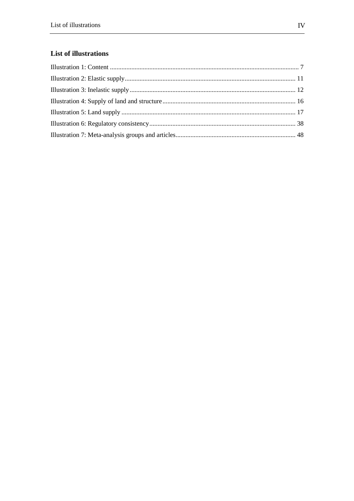# List of illustrations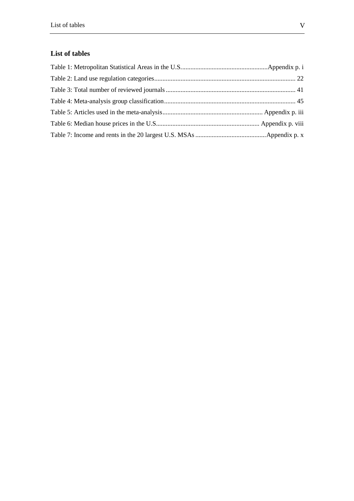# **List of tables**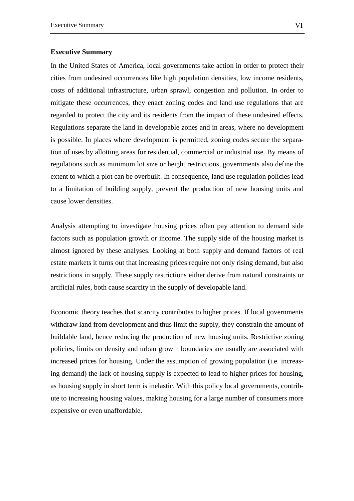### **Executive Summary**

In the United States of America, local governments take action in order to protect their cities from undesired occurrences like high population densities, low income residents, costs of additional infrastructure, urban sprawl, congestion and pollution. In order to mitigate these occurrences, they enact zoning codes and land use regulations that are regarded to protect the city and its residents from the impact of these undesired effects. Regulations separate the land in developable zones and in areas, where no development is possible. In places where development is permitted, zoning codes secure the separation of uses by allotting areas for residential, commercial or industrial use. By means of regulations such as minimum lot size or height restrictions, governments also define the extent to which a plot can be overbuilt. In consequence, land use regulation policies lead to a limitation of building supply, prevent the production of new housing units and cause lower densities.

Analysis attempting to investigate housing prices often pay attention to demand side factors such as population growth or income. The supply side of the housing market is almost ignored by these analyses. Looking at both supply and demand factors of real estate markets it turns out that increasing prices require not only rising demand, but also restrictions in supply. These supply restrictions either derive from natural constraints or artificial rules, both cause scarcity in the supply of developable land.

Economic theory teaches that scarcity contributes to higher prices. If local governments withdraw land from development and thus limit the supply, they constrain the amount of buildable land, hence reducing the production of new housing units. Restrictive zoning policies, limits on density and urban growth boundaries are usually are associated with increased prices for housing. Under the assumption of growing population (i.e. increasing demand) the lack of housing supply is expected to lead to higher prices for housing, as housing supply in short term is inelastic. With this policy local governments, contribute to increasing housing values, making housing for a large number of consumers more expensive or even unaffordable.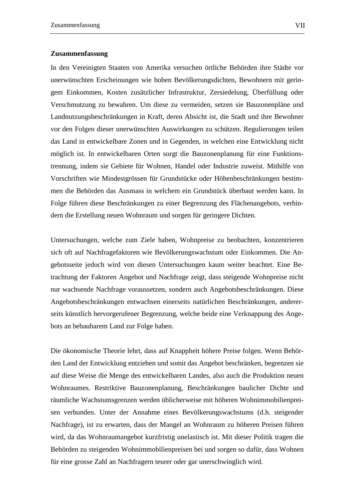#### **Zusammenfassung**

In den Vereinigten Staaten von Amerika versuchen örtliche Behörden ihre Städte vor unerwünschten Erscheinungen wie hohen Bevölkerungsdichten, Bewohnern mit geringem Einkommen, Kosten zusätzlicher Infrastruktur, Zersiedelung, Überfüllung oder Verschmutzung zu bewahren. Um diese zu vermeiden, setzen sie Bauzonenpläne und Landnutzungsbeschränkungen in Kraft, deren Absicht ist, die Stadt und ihre Bewohner vor den Folgen dieser unerwünschten Auswirkungen zu schützen. Regulierungen teilen das Land in entwickelbare Zonen und in Gegenden, in welchen eine Entwicklung nicht möglich ist. In entwickelbaren Orten sorgt die Bauzonenplanung für eine Funktionstrennung, indem sie Gebiete für Wohnen, Handel oder Industrie zuweist. Mithilfe von Vorschriften wie Mindestgrössen für Grundstücke oder Höhenbeschränkungen bestimmen die Behörden das Ausmass in welchem ein Grundstück überbaut werden kann. In Folge führen diese Beschränkungen zu einer Begrenzung des Flächenangebots, verhindern die Erstellung neuen Wohnraum und sorgen für geringere Dichten.

Untersuchungen, welche zum Ziele haben, Wohnpreise zu beobachten, konzentrieren sich oft auf Nachfragefaktoren wie Bevölkerungswachstum oder Einkommen. Die Angebotsseite jedoch wird von diesen Untersuchungen kaum weiter beachtet. Eine Betrachtung der Faktoren Angebot und Nachfrage zeigt, dass steigende Wohnpreise nicht nur wachsende Nachfrage voraussetzen, sondern auch Angebotsbeschränkungen. Diese Angebotsbeschränkungen entwachsen einerseits natürlichen Beschränkungen, andererseits künstlich hervorgerufener Begrenzung, welche beide eine Verknappung des Angebots an bebaubarem Land zur Folge haben.

Die ökonomische Theorie lehrt, dass auf Knappheit höhere Preise folgen. Wenn Behörden Land der Entwicklung entziehen und somit das Angebot beschränken, begrenzen sie auf diese Weise die Menge des entwickelbaren Landes, also auch die Produktion neuen Wohnraumes. Restriktive Bauzonenplanung, Beschränkungen baulicher Dichte und räumliche Wachstumsgrenzen werden üblicherweise mit höheren Wohnimmobilienpreisen verbunden. Unter der Annahme eines Bevölkerungswachstums (d.h. steigender Nachfrage), ist zu erwarten, dass der Mangel an Wohnraum zu höheren Preisen führen wird, da das Wohnraumangebot kurzfristig unelastisch ist. Mit dieser Politik tragen die Behörden zu steigenden Wohnimmobilienpreisen bei und sorgen so dafür, dass Wohnen für eine grosse Zahl an Nachfragern teurer oder gar unerschwinglich wird.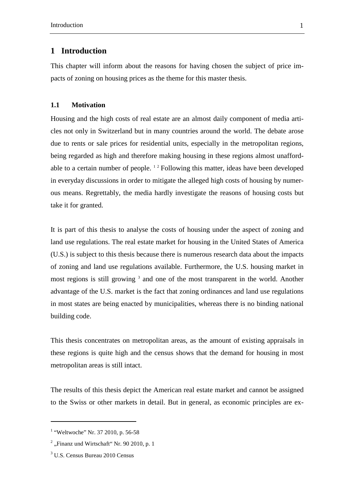# **1 Introduction**

This chapter will inform about the reasons for having chosen the subject of price impacts of zoning on housing prices as the theme for this master thesis.

#### **1.1 Motivation**

Housing and the high costs of real estate are an almost daily component of media articles not only in Switzerland but in many countries around the world. The debate arose due to rents or sale prices for residential units, especially in the metropolitan regions, being regarded as high and therefore making housing in these regions almost unaffordable to a certain number of people.  $12$  Following this matter, ideas have been developed in everyday discussions in order to mitigate the alleged high costs of housing by numerous means. Regrettably, the media hardly investigate the reasons of housing costs but take it for granted.

It is part of this thesis to analyse the costs of housing under the aspect of zoning and land use regulations. The real estate market for housing in the United States of America (U.S.) is subject to this thesis because there is numerous research data about the impacts of zoning and land use regulations available. Furthermore, the U.S. housing market in most regions is still growing<sup>3</sup> and one of the most transparent in the world. Another advantage of the U.S. market is the fact that zoning ordinances and land use regulations in most states are being enacted by municipalities, whereas there is no binding national building code.

This thesis concentrates on metropolitan areas, as the amount of existing appraisals in these regions is quite high and the census shows that the demand for housing in most metropolitan areas is still intact.

The results of this thesis depict the American real estate market and cannot be assigned to the Swiss or other markets in detail. But in general, as economic principles are ex-

<sup>&</sup>lt;sup>1</sup> "Weltwoche" Nr. 37 2010, p. 56-58

 $2^2$ , Finanz und Wirtschaft" Nr. 90 2010, p. 1

<sup>3</sup> U.S. Census Bureau 2010 Census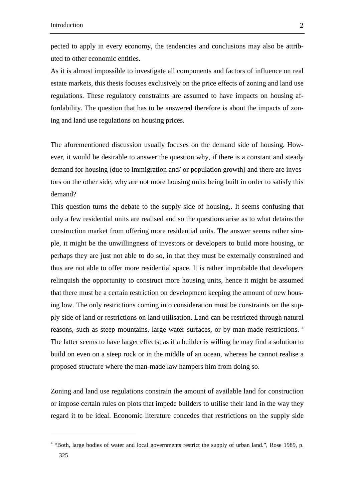$\overline{a}$ 

pected to apply in every economy, the tendencies and conclusions may also be attributed to other economic entities.

As it is almost impossible to investigate all components and factors of influence on real estate markets, this thesis focuses exclusively on the price effects of zoning and land use regulations. These regulatory constraints are assumed to have impacts on housing affordability. The question that has to be answered therefore is about the impacts of zoning and land use regulations on housing prices.

The aforementioned discussion usually focuses on the demand side of housing. However, it would be desirable to answer the question why, if there is a constant and steady demand for housing (due to immigration and/ or population growth) and there are investors on the other side, why are not more housing units being built in order to satisfy this demand?

This question turns the debate to the supply side of housing,. It seems confusing that only a few residential units are realised and so the questions arise as to what detains the construction market from offering more residential units. The answer seems rather simple, it might be the unwillingness of investors or developers to build more housing, or perhaps they are just not able to do so, in that they must be externally constrained and thus are not able to offer more residential space. It is rather improbable that developers relinquish the opportunity to construct more housing units, hence it might be assumed that there must be a certain restriction on development keeping the amount of new housing low. The only restrictions coming into consideration must be constraints on the supply side of land or restrictions on land utilisation. Land can be restricted through natural reasons, such as steep mountains, large water surfaces, or by man-made restrictions. <sup>4</sup> The latter seems to have larger effects; as if a builder is willing he may find a solution to build on even on a steep rock or in the middle of an ocean, whereas he cannot realise a proposed structure where the man-made law hampers him from doing so.

Zoning and land use regulations constrain the amount of available land for construction or impose certain rules on plots that impede builders to utilise their land in the way they regard it to be ideal. Economic literature concedes that restrictions on the supply side

<sup>&</sup>lt;sup>4</sup> "Both, large bodies of water and local governments restrict the supply of urban land.", Rose 1989, p. 325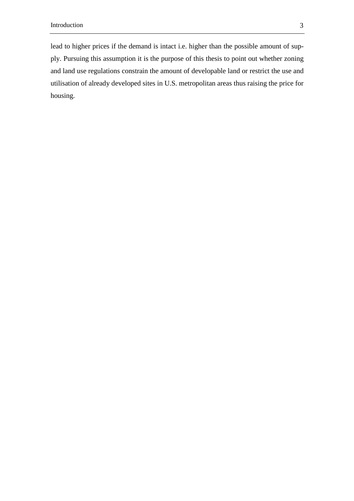lead to higher prices if the demand is intact i.e. higher than the possible amount of supply. Pursuing this assumption it is the purpose of this thesis to point out whether zoning and land use regulations constrain the amount of developable land or restrict the use and utilisation of already developed sites in U.S. metropolitan areas thus raising the price for housing.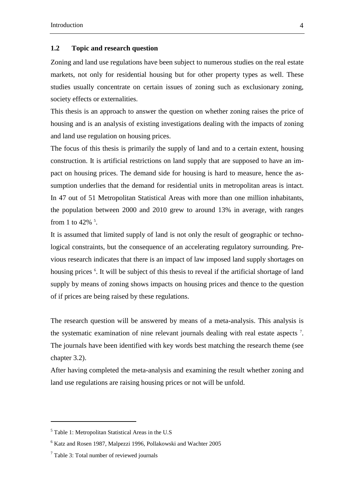#### **1.2 Topic and research question**

Zoning and land use regulations have been subject to numerous studies on the real estate markets, not only for residential housing but for other property types as well. These studies usually concentrate on certain issues of zoning such as exclusionary zoning, society effects or externalities.

This thesis is an approach to answer the question on whether zoning raises the price of housing and is an analysis of existing investigations dealing with the impacts of zoning and land use regulation on housing prices.

The focus of this thesis is primarily the supply of land and to a certain extent, housing construction. It is artificial restrictions on land supply that are supposed to have an impact on housing prices. The demand side for housing is hard to measure, hence the assumption underlies that the demand for residential units in metropolitan areas is intact. In 47 out of 51 Metropolitan Statistical Areas with more than one million inhabitants, the population between 2000 and 2010 grew to around 13% in average, with ranges from 1 to 42% $\frac{5}{1}$ .

It is assumed that limited supply of land is not only the result of geographic or technological constraints, but the consequence of an accelerating regulatory surrounding. Previous research indicates that there is an impact of law imposed land supply shortages on housing prices <sup>6</sup>. It will be subject of this thesis to reveal if the artificial shortage of land supply by means of zoning shows impacts on housing prices and thence to the question of if prices are being raised by these regulations.

The research question will be answered by means of a meta-analysis. This analysis is the systematic examination of nine relevant journals dealing with real estate aspects<sup>7</sup>. The journals have been identified with key words best matching the research theme (see chapter 3.2).

After having completed the meta-analysis and examining the result whether zoning and land use regulations are raising housing prices or not will be unfold.

<sup>5</sup> Table 1: Metropolitan Statistical Areas in the U.S

<sup>6</sup> Katz and Rosen 1987, Malpezzi 1996, Pollakowski and Wachter 2005

<sup>&</sup>lt;sup>7</sup> Table 3: Total number of reviewed journals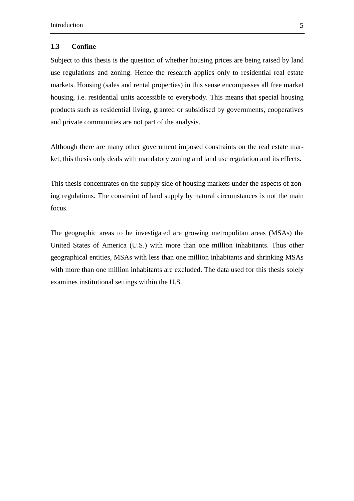### **1.3 Confine**

Subject to this thesis is the question of whether housing prices are being raised by land use regulations and zoning. Hence the research applies only to residential real estate markets. Housing (sales and rental properties) in this sense encompasses all free market housing, i.e. residential units accessible to everybody. This means that special housing products such as residential living, granted or subsidised by governments, cooperatives and private communities are not part of the analysis.

Although there are many other government imposed constraints on the real estate market, this thesis only deals with mandatory zoning and land use regulation and its effects.

This thesis concentrates on the supply side of housing markets under the aspects of zoning regulations. The constraint of land supply by natural circumstances is not the main focus.

The geographic areas to be investigated are growing metropolitan areas (MSAs) the United States of America (U.S.) with more than one million inhabitants. Thus other geographical entities, MSAs with less than one million inhabitants and shrinking MSAs with more than one million inhabitants are excluded. The data used for this thesis solely examines institutional settings within the U.S.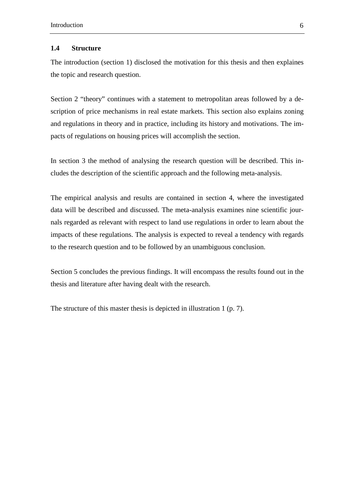#### **1.4 Structure**

The introduction (section 1) disclosed the motivation for this thesis and then explaines the topic and research question.

Section 2 "theory" continues with a statement to metropolitan areas followed by a description of price mechanisms in real estate markets. This section also explains zoning and regulations in theory and in practice, including its history and motivations. The impacts of regulations on housing prices will accomplish the section.

In section 3 the method of analysing the research question will be described. This includes the description of the scientific approach and the following meta-analysis.

The empirical analysis and results are contained in section 4, where the investigated data will be described and discussed. The meta-analysis examines nine scientific journals regarded as relevant with respect to land use regulations in order to learn about the impacts of these regulations. The analysis is expected to reveal a tendency with regards to the research question and to be followed by an unambiguous conclusion.

Section 5 concludes the previous findings. It will encompass the results found out in the thesis and literature after having dealt with the research.

The structure of this master thesis is depicted in illustration 1 (p. 7).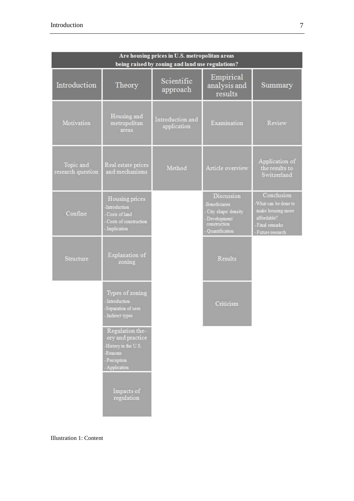| Are housing prices in U.S. metropolitan areas<br>being raised by zoning and land use regulations? |                                                                                                           |                                 |                                                                                                      |                                                                                                           |
|---------------------------------------------------------------------------------------------------|-----------------------------------------------------------------------------------------------------------|---------------------------------|------------------------------------------------------------------------------------------------------|-----------------------------------------------------------------------------------------------------------|
| Introduction                                                                                      | Theory                                                                                                    | Scientific<br>approach          | Empirical<br>analysis and<br>results                                                                 | Summary                                                                                                   |
| Motivation                                                                                        | Housing and<br>metropolitan<br>areas                                                                      | Introduction and<br>application | Examination                                                                                          | Review                                                                                                    |
| Topic and<br>research question                                                                    | Real estate prices<br>and mechanisms                                                                      | Method                          | Article overview                                                                                     | Application of<br>the results to<br>Switzerland                                                           |
| Confine                                                                                           | Housing prices<br>Introduction<br>Costs of land<br>Costs of construction<br>Implication                   |                                 | Discussion<br>Beneficiaries<br>City shape' density<br>Development/<br>construction<br>Quantification | Conclusion<br>What can be done to<br>make housing more<br>affordable?<br>Final remarks<br>Future research |
| Structure                                                                                         | Explanation of<br>zoning                                                                                  |                                 | Results                                                                                              |                                                                                                           |
|                                                                                                   | Types of zoning<br>Introduction<br>Separation of uses<br>Indirect types                                   |                                 | Criticism                                                                                            |                                                                                                           |
|                                                                                                   | Regulation the-<br>ory and practice<br>History in the U.S.<br><b>Reasons</b><br>Perception<br>Application |                                 |                                                                                                      |                                                                                                           |
|                                                                                                   | Impacts of<br>regulation                                                                                  |                                 |                                                                                                      |                                                                                                           |

Illustration 1: Content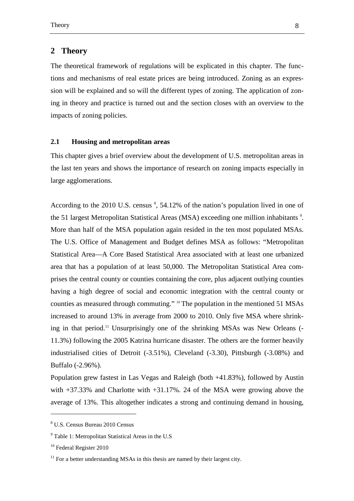## **2 Theory**

The theoretical framework of regulations will be explicated in this chapter. The functions and mechanisms of real estate prices are being introduced. Zoning as an expression will be explained and so will the different types of zoning. The application of zoning in theory and practice is turned out and the section closes with an overview to the impacts of zoning policies.

### **2.1 Housing and metropolitan areas**

This chapter gives a brief overview about the development of U.S. metropolitan areas in the last ten years and shows the importance of research on zoning impacts especially in large agglomerations.

According to the 2010 U.S. census <sup>8</sup>, 54.12% of the nation's population lived in one of the 51 largest Metropolitan Statistical Areas (MSA) exceeding one million inhabitants<sup>9</sup>. More than half of the MSA population again resided in the ten most populated MSAs. The U.S. Office of Management and Budget defines MSA as follows: "Metropolitan Statistical Area—A Core Based Statistical Area associated with at least one urbanized area that has a population of at least 50,000. The Metropolitan Statistical Area comprises the central county or counties containing the core, plus adjacent outlying counties having a high degree of social and economic integration with the central county or counties as measured through commuting." <sup>10</sup> The population in the mentioned 51 MSAs increased to around 13% in average from 2000 to 2010. Only five MSA where shrinking in that period.<sup>11</sup> Unsurprisingly one of the shrinking MSAs was New Orleans (-11.3%) following the 2005 Katrina hurricane disaster. The others are the former heavily industrialised cities of Detroit (-3.51%), Cleveland (-3.30), Pittsburgh (-3.08%) and Buffalo (-2.96%).

Population grew fastest in Las Vegas and Raleigh (both +41.83%), followed by Austin with +37.33% and Charlotte with +31.17%. 24 of the MSA were growing above the average of 13%. This altogether indicates a strong and continuing demand in housing,

<sup>8</sup> U.S. Census Bureau 2010 Census

<sup>&</sup>lt;sup>9</sup> Table 1: Metropolitan Statistical Areas in the U.S

<sup>&</sup>lt;sup>10</sup> Federal Register 2010

 $11$  For a better understanding MSAs in this thesis are named by their largest city.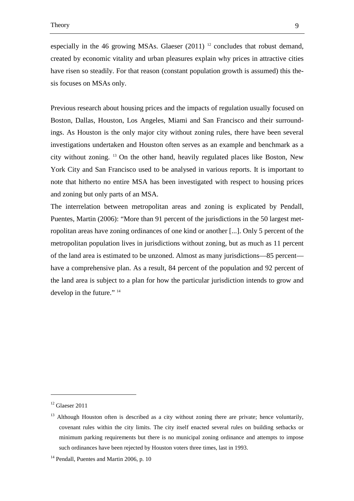especially in the 46 growing MSAs. Glaeser  $(2011)^{-12}$  concludes that robust demand, created by economic vitality and urban pleasures explain why prices in attractive cities have risen so steadily. For that reason (constant population growth is assumed) this thesis focuses on MSAs only.

Previous research about housing prices and the impacts of regulation usually focused on Boston, Dallas, Houston, Los Angeles, Miami and San Francisco and their surroundings. As Houston is the only major city without zoning rules, there have been several investigations undertaken and Houston often serves as an example and benchmark as a city without zoning. <sup>13</sup> On the other hand, heavily regulated places like Boston, New York City and San Francisco used to be analysed in various reports. It is important to note that hitherto no entire MSA has been investigated with respect to housing prices and zoning but only parts of an MSA.

The interrelation between metropolitan areas and zoning is explicated by Pendall, Puentes, Martin (2006): "More than 91 percent of the jurisdictions in the 50 largest metropolitan areas have zoning ordinances of one kind or another [...]. Only 5 percent of the metropolitan population lives in jurisdictions without zoning, but as much as 11 percent of the land area is estimated to be unzoned. Almost as many jurisdictions—85 percent have a comprehensive plan. As a result, 84 percent of the population and 92 percent of the land area is subject to a plan for how the particular jurisdiction intends to grow and develop in the future." <sup>14</sup>

 $12$  Glaeser 2011

 $13$  Although Houston often is described as a city without zoning there are private; hence voluntarily, covenant rules within the city limits. The city itself enacted several rules on building setbacks or minimum parking requirements but there is no municipal zoning ordinance and attempts to impose such ordinances have been rejected by Houston voters three times, last in 1993.

<sup>&</sup>lt;sup>14</sup> Pendall, Puentes and Martin 2006, p. 10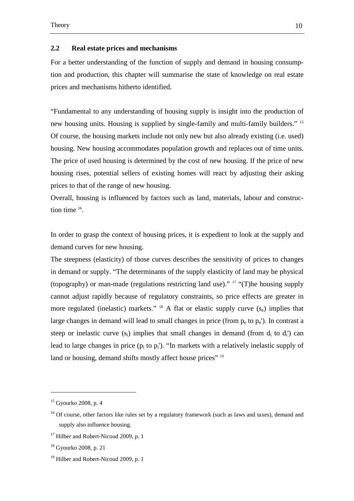#### **2.2 Real estate prices and mechanisms**

For a better understanding of the function of supply and demand in housing consumption and production, this chapter will summarise the state of knowledge on real estate prices and mechanisms hitherto identified.

"Fundamental to any understanding of housing supply is insight into the production of new housing units. Housing is supplied by single-family and multi-family builders." <sup>15</sup> Of course, the housing markets include not only new but also already existing (i.e. used) housing. New housing accommodates population growth and replaces out of time units. The price of used housing is determined by the cost of new housing. If the price of new housing rises, potential sellers of existing homes will react by adjusting their asking prices to that of the range of new housing.

Overall, housing is influenced by factors such as land, materials, labour and construction time  $16$ .

In order to grasp the context of housing prices, it is expedient to look at the supply and demand curves for new housing.

The steepness (elasticity) of those curves describes the sensitivity of prices to changes in demand or supply. "The determinants of the supply elasticity of land may be physical (topography) or man-made (regulations restricting land use)." <sup>17</sup> "(T)he housing supply cannot adjust rapidly because of regulatory constraints, so price effects are greater in more regulated (inelastic) markets." <sup>18</sup> A flat or elastic supply curve  $(s_e)$  implies that large changes in demand will lead to small changes in price (from  $p_e$  to  $p_e$ ). In contrast a steep or inelastic curve  $(s_i)$  implies that small changes in demand (from  $d_i$  to  $d_i$ ) can lead to large changes in price  $(p_i \text{ to } p_i')$ . "In markets with a relatively inelastic supply of land or housing, demand shifts mostly affect house prices" 19

 $15$  Gyourko 2008, p. 4

 $16$  Of course, other factors like rules set by a regulatory framework (such as laws and taxes), demand and supply also influence housing.

 $17$  Hilber and Robert-Nicoud 2009, p. 1

<sup>18</sup> Gyourko 2008, p. 21

<sup>&</sup>lt;sup>19</sup> Hilber and Robert-Nicoud 2009, p. 1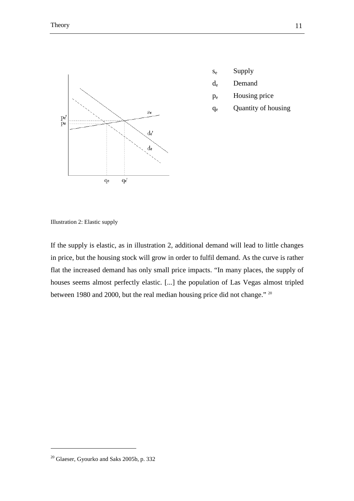

- se Supply
- de Demand
- pe Housing price
- qe Quantity of housing

Illustration 2: Elastic supply

If the supply is elastic, as in illustration 2, additional demand will lead to little changes in price, but the housing stock will grow in order to fulfil demand. As the curve is rather flat the increased demand has only small price impacts. "In many places, the supply of houses seems almost perfectly elastic. [...] the population of Las Vegas almost tripled between 1980 and 2000, but the real median housing price did not change." <sup>20</sup>

<sup>20</sup> Glaeser, Gyourko and Saks 2005b, p. 332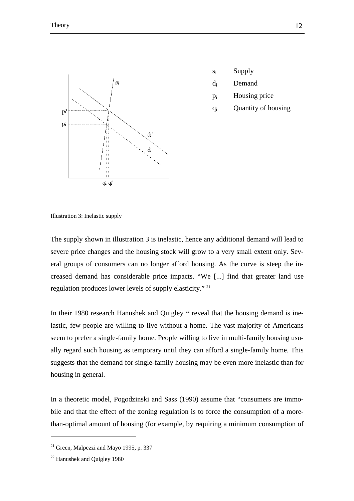

- si Supply
- di Demand
- $p_i$ Housing price
- qi Quantity of housing

Illustration 3: Inelastic supply

The supply shown in illustration 3 is inelastic, hence any additional demand will lead to severe price changes and the housing stock will grow to a very small extent only. Several groups of consumers can no longer afford housing. As the curve is steep the increased demand has considerable price impacts. "We [...] find that greater land use regulation produces lower levels of supply elasticity." <sup>21</sup>

In their 1980 research Hanushek and Quigley  $^{22}$  reveal that the housing demand is inelastic, few people are willing to live without a home. The vast majority of Americans seem to prefer a single-family home. People willing to live in multi-family housing usually regard such housing as temporary until they can afford a single-family home. This suggests that the demand for single-family housing may be even more inelastic than for housing in general.

In a theoretic model, Pogodzinski and Sass (1990) assume that "consumers are immobile and that the effect of the zoning regulation is to force the consumption of a morethan-optimal amount of housing (for example, by requiring a minimum consumption of

 $21$  Green, Malpezzi and Mayo 1995, p. 337

<sup>22</sup> Hanushek and Quigley 1980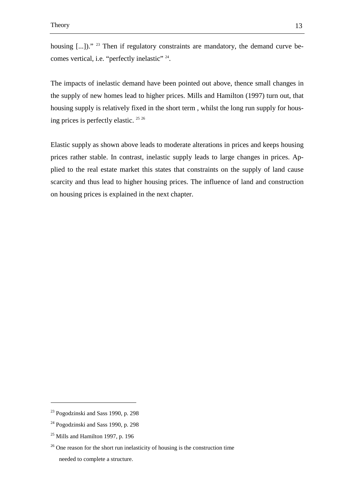housing [...])." <sup>23</sup> Then if regulatory constraints are mandatory, the demand curve becomes vertical, i.e. "perfectly inelastic" <sup>24</sup>.

The impacts of inelastic demand have been pointed out above, thence small changes in the supply of new homes lead to higher prices. Mills and Hamilton (1997) turn out, that housing supply is relatively fixed in the short term , whilst the long run supply for housing prices is perfectly elastic.<sup>25</sup><sup>26</sup>

Elastic supply as shown above leads to moderate alterations in prices and keeps housing prices rather stable. In contrast, inelastic supply leads to large changes in prices. Applied to the real estate market this states that constraints on the supply of land cause scarcity and thus lead to higher housing prices. The influence of land and construction on housing prices is explained in the next chapter.

 $23$  Pogodzinski and Sass 1990, p. 298

<sup>&</sup>lt;sup>24</sup> Pogodzinski and Sass 1990, p. 298

 $25$  Mills and Hamilton 1997, p. 196

<sup>&</sup>lt;sup>26</sup> One reason for the short run inelasticity of housing is the construction time needed to complete a structure.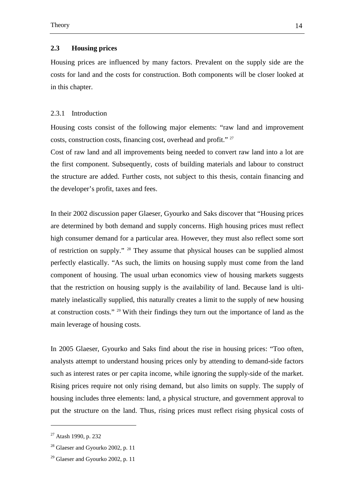#### **2.3 Housing prices**

Housing prices are influenced by many factors. Prevalent on the supply side are the costs for land and the costs for construction. Both components will be closer looked at in this chapter.

#### 2.3.1 Introduction

Housing costs consist of the following major elements: "raw land and improvement costs, construction costs, financing cost, overhead and profit." <sup>27</sup>

Cost of raw land and all improvements being needed to convert raw land into a lot are the first component. Subsequently, costs of building materials and labour to construct the structure are added. Further costs, not subject to this thesis, contain financing and the developer's profit, taxes and fees.

In their 2002 discussion paper Glaeser, Gyourko and Saks discover that "Housing prices are determined by both demand and supply concerns. High housing prices must reflect high consumer demand for a particular area. However, they must also reflect some sort of restriction on supply." <sup>28</sup> They assume that physical houses can be supplied almost perfectly elastically. "As such, the limits on housing supply must come from the land component of housing. The usual urban economics view of housing markets suggests that the restriction on housing supply is the availability of land. Because land is ultimately inelastically supplied, this naturally creates a limit to the supply of new housing at construction costs." <sup>29</sup> With their findings they turn out the importance of land as the main leverage of housing costs.

In 2005 Glaeser, Gyourko and Saks find about the rise in housing prices: "Too often, analysts attempt to understand housing prices only by attending to demand-side factors such as interest rates or per capita income, while ignoring the supply-side of the market. Rising prices require not only rising demand, but also limits on supply. The supply of housing includes three elements: land, a physical structure, and government approval to put the structure on the land. Thus, rising prices must reflect rising physical costs of

<sup>27</sup> Atash 1990, p. 232

 $28$  Glaeser and Gyourko 2002, p. 11

 $29$  Glaeser and Gyourko 2002, p. 11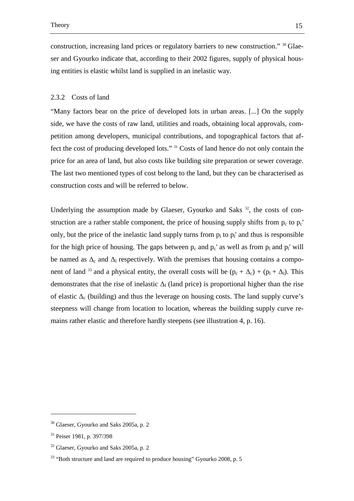construction, increasing land prices or regulatory barriers to new construction." 30 Glaeser and Gyourko indicate that, according to their 2002 figures, supply of physical housing entities is elastic whilst land is supplied in an inelastic way.

#### 2.3.2 Costs of land

"Many factors bear on the price of developed lots in urban areas. [...] On the supply side, we have the costs of raw land, utilities and roads, obtaining local approvals, competition among developers, municipal contributions, and topographical factors that affect the cost of producing developed lots." <sup>31</sup> Costs of land hence do not only contain the price for an area of land, but also costs like building site preparation or sewer coverage. The last two mentioned types of cost belong to the land, but they can be characterised as construction costs and will be referred to below.

Underlying the assumption made by Glaeser, Gyourko and Saks  $32$ , the costs of construction are a rather stable component, the price of housing supply shifts from  $p_c$  to  $p_c'$ only, but the price of the inelastic land supply turns from  $p_1$  to  $p_1$ ' and thus is responsible for the high price of housing. The gaps between  $p_c$  and  $p_c'$  as well as from  $p_l$  and  $p_l'$  will be named as  $\Delta_c$  and  $\Delta_l$  respectively. With the premises that housing contains a component of land <sup>33</sup> and a physical entity, the overall costs will be  $(p_c + \Delta_c) + (p_l + \Delta_l)$ . This demonstrates that the rise of inelastic  $\Delta_l$  (land price) is proportional higher than the rise of elastic  $\Delta_c$  (building) and thus the leverage on housing costs. The land supply curve's steepness will change from location to location, whereas the building supply curve remains rather elastic and therefore hardly steepens (see illustration 4, p. 16).

 $30$  Glaeser, Gyourko and Saks 2005a, p. 2

<sup>31</sup> Peiser 1981, p. 397/398

 $32$  Glaeser, Gyourko and Saks 2005a, p. 2

 $33$  "Both structure and land are required to produce housing" Gyourko 2008, p. 5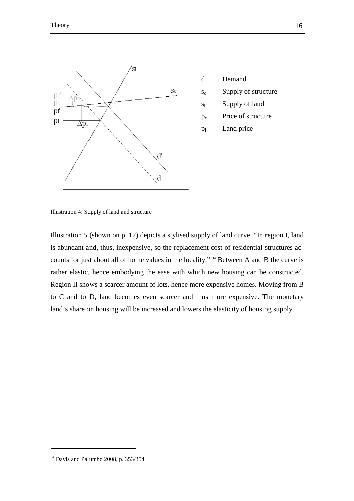

- d Demand s<sub>c</sub> Supply of structure
- sl Supply of land
- pc Price of structure
- $p_1$ Land price

Illustration 4: Supply of land and structure

Illustration 5 (shown on p. 17) depicts a stylised supply of land curve. "In region I, land is abundant and, thus, inexpensive, so the replacement cost of residential structures accounts for just about all of home values in the locality." <sup>34</sup> Between A and B the curve is rather elastic, hence embodying the ease with which new housing can be constructed. Region II shows a scarcer amount of lots, hence more expensive homes. Moving from B to C and to D, land becomes even scarcer and thus more expensive. The monetary land's share on housing will be increased and lowers the elasticity of housing supply.

<sup>34</sup> Davis and Palumbo 2008, p. 353/354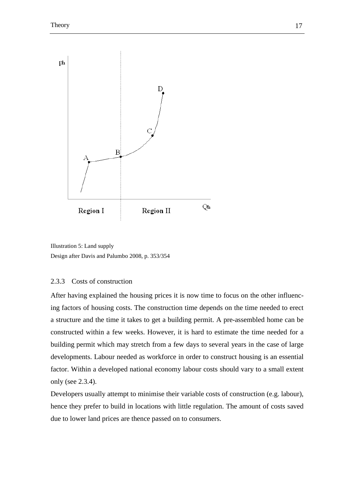



#### 2.3.3 Costs of construction

After having explained the housing prices it is now time to focus on the other influencing factors of housing costs. The construction time depends on the time needed to erect a structure and the time it takes to get a building permit. A pre-assembled home can be constructed within a few weeks. However, it is hard to estimate the time needed for a building permit which may stretch from a few days to several years in the case of large developments. Labour needed as workforce in order to construct housing is an essential factor. Within a developed national economy labour costs should vary to a small extent only (see 2.3.4).

Developers usually attempt to minimise their variable costs of construction (e.g. labour), hence they prefer to build in locations with little regulation. The amount of costs saved due to lower land prices are thence passed on to consumers.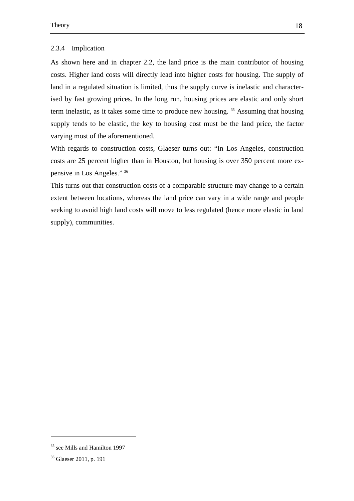#### 2.3.4 Implication

As shown here and in chapter 2.2, the land price is the main contributor of housing costs. Higher land costs will directly lead into higher costs for housing. The supply of land in a regulated situation is limited, thus the supply curve is inelastic and characterised by fast growing prices. In the long run, housing prices are elastic and only short term inelastic, as it takes some time to produce new housing. <sup>35</sup> Assuming that housing supply tends to be elastic, the key to housing cost must be the land price, the factor varying most of the aforementioned.

With regards to construction costs, Glaeser turns out: "In Los Angeles, construction costs are 25 percent higher than in Houston, but housing is over 350 percent more expensive in Los Angeles." <sup>36</sup>

This turns out that construction costs of a comparable structure may change to a certain extent between locations, whereas the land price can vary in a wide range and people seeking to avoid high land costs will move to less regulated (hence more elastic in land supply), communities.

<sup>35</sup> see Mills and Hamilton 1997

<sup>36</sup> Glaeser 2011, p. 191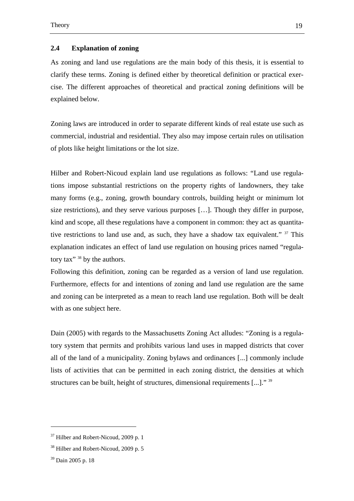#### **2.4 Explanation of zoning**

As zoning and land use regulations are the main body of this thesis, it is essential to clarify these terms. Zoning is defined either by theoretical definition or practical exercise. The different approaches of theoretical and practical zoning definitions will be explained below.

Zoning laws are introduced in order to separate different kinds of real estate use such as commercial, industrial and residential. They also may impose certain rules on utilisation of plots like height limitations or the lot size.

Hilber and Robert-Nicoud explain land use regulations as follows: "Land use regulations impose substantial restrictions on the property rights of landowners, they take many forms (e.g., zoning, growth boundary controls, building height or minimum lot size restrictions), and they serve various purposes […]. Though they differ in purpose, kind and scope, all these regulations have a component in common: they act as quantitative restrictions to land use and, as such, they have a shadow tax equivalent." <sup>37</sup> This explanation indicates an effect of land use regulation on housing prices named "regulatory tax" <sup>38</sup> by the authors.

Following this definition, zoning can be regarded as a version of land use regulation. Furthermore, effects for and intentions of zoning and land use regulation are the same and zoning can be interpreted as a mean to reach land use regulation. Both will be dealt with as one subject here.

Dain (2005) with regards to the Massachusetts Zoning Act alludes: "Zoning is a regulatory system that permits and prohibits various land uses in mapped districts that cover all of the land of a municipality. Zoning bylaws and ordinances [...] commonly include lists of activities that can be permitted in each zoning district, the densities at which structures can be built, height of structures, dimensional requirements [...]." 39

l

<sup>37</sup> Hilber and Robert-Nicoud, 2009 p. 1

<sup>38</sup> Hilber and Robert-Nicoud, 2009 p. 5

<sup>39</sup> Dain 2005 p. 18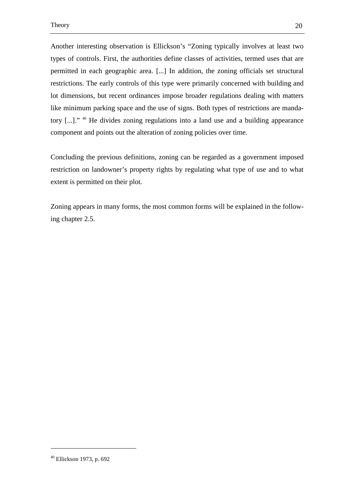Another interesting observation is Ellickson's "Zoning typically involves at least two types of controls. First, the authorities define classes of activities, termed uses that are permitted in each geographic area. [...] In addition, the zoning officials set structural restrictions. The early controls of this type were primarily concerned with building and lot dimensions, but recent ordinances impose broader regulations dealing with matters like minimum parking space and the use of signs. Both types of restrictions are mandatory [...]." <sup>40</sup> He divides zoning regulations into a land use and a building appearance component and points out the alteration of zoning policies over time.

Concluding the previous definitions, zoning can be regarded as a government imposed restriction on landowner's property rights by regulating what type of use and to what extent is permitted on their plot.

Zoning appears in many forms, the most common forms will be explained in the following chapter 2.5.

<sup>40</sup> Ellickson 1973, p. 692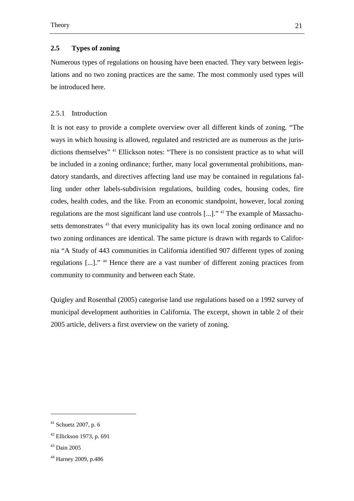#### **2.5 Types of zoning**

Numerous types of regulations on housing have been enacted. They vary between legislations and no two zoning practices are the same. The most commonly used types will be introduced here.

#### 2.5.1 Introduction

It is not easy to provide a complete overview over all different kinds of zoning. "The ways in which housing is allowed, regulated and restricted are as numerous as the jurisdictions themselves" <sup>41</sup> Ellickson notes: "There is no consistent practice as to what will be included in a zoning ordinance; further, many local governmental prohibitions, mandatory standards, and directives affecting land use may be contained in regulations falling under other labels-subdivision regulations, building codes, housing codes, fire codes, health codes, and the like. From an economic standpoint, however, local zoning regulations are the most significant land use controls [...]." <sup>42</sup> The example of Massachusetts demonstrates <sup>43</sup> that every municipality has its own local zoning ordinance and no two zoning ordinances are identical. The same picture is drawn with regards to California "A Study of 443 communities in California identified 907 different types of zoning regulations [...]." <sup>44</sup> Hence there are a vast number of different zoning practices from community to community and between each State.

Quigley and Rosenthal (2005) categorise land use regulations based on a 1992 survey of municipal development authorities in California. The excerpt, shown in table 2 of their 2005 article, delivers a first overview on the variety of zoning.

 $41$  Schuetz 2007, p. 6

 $42$  Ellickson 1973, p. 691

<sup>43</sup> Dain 2005

<sup>44</sup> Harney 2009, p.486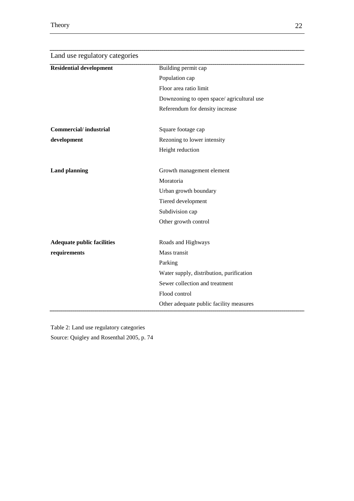| Land use regulatory categories    |                                           |  |
|-----------------------------------|-------------------------------------------|--|
| <b>Residential development</b>    | Building permit cap                       |  |
|                                   | Population cap                            |  |
|                                   | Floor area ratio limit                    |  |
|                                   | Downzoning to open space/agricultural use |  |
|                                   | Referendum for density increase           |  |
| <b>Commercial/industrial</b>      | Square footage cap                        |  |
| development                       | Rezoning to lower intensity               |  |
|                                   | Height reduction                          |  |
| <b>Land planning</b>              | Growth management element                 |  |
|                                   | Moratoria                                 |  |
|                                   | Urban growth boundary                     |  |
|                                   | Tiered development                        |  |
|                                   | Subdivision cap                           |  |
|                                   | Other growth control                      |  |
| <b>Adequate public facilities</b> | Roads and Highways                        |  |
| requirements                      | Mass transit                              |  |
|                                   | Parking                                   |  |
|                                   | Water supply, distribution, purification  |  |
|                                   | Sewer collection and treatment            |  |
|                                   | Flood control                             |  |
|                                   | Other adequate public facility measures   |  |

Table 2: Land use regulatory categories

Source: Quigley and Rosenthal 2005, p. 74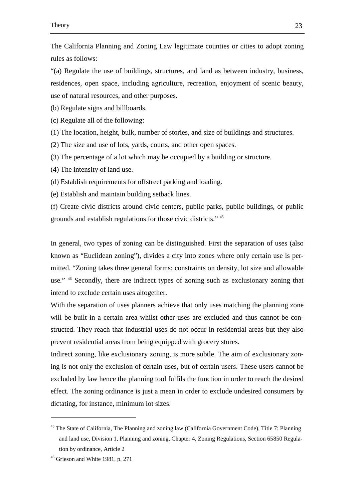The California Planning and Zoning Law legitimate counties or cities to adopt zoning rules as follows:

"(a) Regulate the use of buildings, structures, and land as between industry, business, residences, open space, including agriculture, recreation, enjoyment of scenic beauty, use of natural resources, and other purposes.

(b) Regulate signs and billboards.

(c) Regulate all of the following:

(1) The location, height, bulk, number of stories, and size of buildings and structures.

(2) The size and use of lots, yards, courts, and other open spaces.

(3) The percentage of a lot which may be occupied by a building or structure.

(4) The intensity of land use.

(d) Establish requirements for offstreet parking and loading.

(e) Establish and maintain building setback lines.

(f) Create civic districts around civic centers, public parks, public buildings, or public grounds and establish regulations for those civic districts." <sup>45</sup>

In general, two types of zoning can be distinguished. First the separation of uses (also known as "Euclidean zoning"), divides a city into zones where only certain use is permitted. "Zoning takes three general forms: constraints on density, lot size and allowable use." <sup>46</sup> Secondly, there are indirect types of zoning such as exclusionary zoning that intend to exclude certain uses altogether.

With the separation of uses planners achieve that only uses matching the planning zone will be built in a certain area whilst other uses are excluded and thus cannot be constructed. They reach that industrial uses do not occur in residential areas but they also prevent residential areas from being equipped with grocery stores.

Indirect zoning, like exclusionary zoning, is more subtle. The aim of exclusionary zoning is not only the exclusion of certain uses, but of certain users. These users cannot be excluded by law hence the planning tool fulfils the function in order to reach the desired effect. The zoning ordinance is just a mean in order to exclude undesired consumers by dictating, for instance, minimum lot sizes.

<sup>&</sup>lt;sup>45</sup> The State of California, The Planning and zoning law (California Government Code), Title 7: Planning and land use, Division 1, Planning and zoning, Chapter 4, Zoning Regulations, Section 65850 Regulation by ordinance, Article 2

<sup>46</sup> Grieson and White 1981, p. 271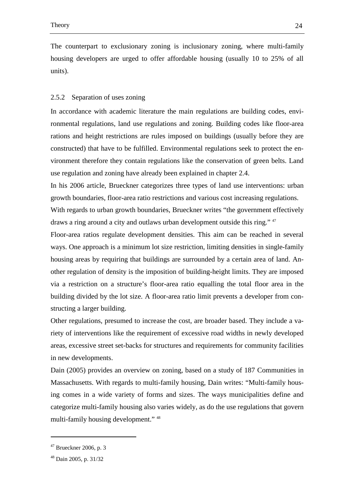The counterpart to exclusionary zoning is inclusionary zoning, where multi-family housing developers are urged to offer affordable housing (usually 10 to 25% of all units).

#### 2.5.2 Separation of uses zoning

In accordance with academic literature the main regulations are building codes, environmental regulations, land use regulations and zoning. Building codes like floor-area rations and height restrictions are rules imposed on buildings (usually before they are constructed) that have to be fulfilled. Environmental regulations seek to protect the environment therefore they contain regulations like the conservation of green belts. Land use regulation and zoning have already been explained in chapter 2.4.

In his 2006 article, Brueckner categorizes three types of land use interventions: urban growth boundaries, floor-area ratio restrictions and various cost increasing regulations.

With regards to urban growth boundaries, Brueckner writes "the government effectively draws a ring around a city and outlaws urban development outside this ring." <sup>47</sup>

Floor-area ratios regulate development densities. This aim can be reached in several ways. One approach is a minimum lot size restriction, limiting densities in single-family housing areas by requiring that buildings are surrounded by a certain area of land. Another regulation of density is the imposition of building-height limits. They are imposed via a restriction on a structure's floor-area ratio equalling the total floor area in the building divided by the lot size. A floor-area ratio limit prevents a developer from constructing a larger building.

Other regulations, presumed to increase the cost, are broader based. They include a variety of interventions like the requirement of excessive road widths in newly developed areas, excessive street set-backs for structures and requirements for community facilities in new developments.

Dain (2005) provides an overview on zoning, based on a study of 187 Communities in Massachusetts. With regards to multi-family housing, Dain writes: "Multi-family housing comes in a wide variety of forms and sizes. The ways municipalities define and categorize multi-family housing also varies widely, as do the use regulations that govern multi-family housing development." <sup>48</sup>

 $47$  Brueckner 2006, p. 3

<sup>48</sup> Dain 2005, p. 31/32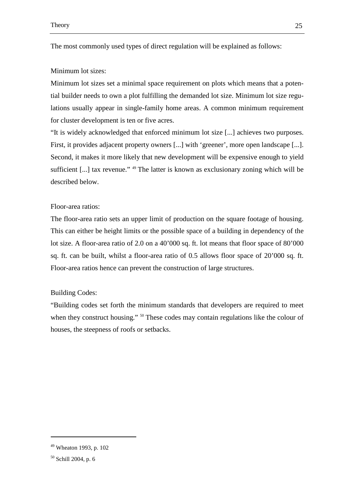The most commonly used types of direct regulation will be explained as follows:

#### Minimum lot sizes:

Minimum lot sizes set a minimal space requirement on plots which means that a potential builder needs to own a plot fulfilling the demanded lot size. Minimum lot size regulations usually appear in single-family home areas. A common minimum requirement for cluster development is ten or five acres.

"It is widely acknowledged that enforced minimum lot size [...] achieves two purposes. First, it provides adjacent property owners [...] with 'greener', more open landscape [...]. Second, it makes it more likely that new development will be expensive enough to yield sufficient [...] tax revenue." <sup>49</sup> The latter is known as exclusionary zoning which will be described below.

#### Floor-area ratios:

The floor-area ratio sets an upper limit of production on the square footage of housing. This can either be height limits or the possible space of a building in dependency of the lot size. A floor-area ratio of 2.0 on a 40'000 sq. ft. lot means that floor space of 80'000 sq. ft. can be built, whilst a floor-area ratio of 0.5 allows floor space of 20'000 sq. ft. Floor-area ratios hence can prevent the construction of large structures.

#### Building Codes:

"Building codes set forth the minimum standards that developers are required to meet when they construct housing." <sup>50</sup> These codes may contain regulations like the colour of houses, the steepness of roofs or setbacks.

<sup>49</sup> Wheaton 1993, p. 102

<sup>50</sup> Schill 2004, p. 6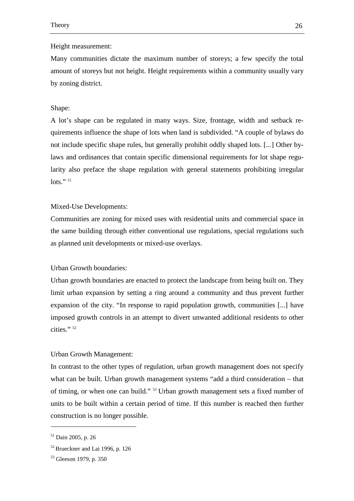#### Height measurement:

Many communities dictate the maximum number of storeys; a few specify the total amount of storeys but not height. Height requirements within a community usually vary by zoning district.

#### Shape:

A lot's shape can be regulated in many ways. Size, frontage, width and setback requirements influence the shape of lots when land is subdivided. "A couple of bylaws do not include specific shape rules, but generally prohibit oddly shaped lots. [...] Other bylaws and ordinances that contain specific dimensional requirements for lot shape regularity also preface the shape regulation with general statements prohibiting irregular lots." $51$ 

#### Mixed-Use Developments:

Communities are zoning for mixed uses with residential units and commercial space in the same building through either conventional use regulations, special regulations such as planned unit developments or mixed-use overlays.

#### Urban Growth boundaries:

Urban growth boundaries are enacted to protect the landscape from being built on. They limit urban expansion by setting a ring around a community and thus prevent further expansion of the city. "In response to rapid population growth, communities [...] have imposed growth controls in an attempt to divert unwanted additional residents to other cities." 52

#### Urban Growth Management:

In contrast to the other types of regulation, urban growth management does not specify what can be built. Urban growth management systems "add a third consideration – that of timing, or when one can build." <sup>53</sup> Urban growth management sets a fixed number of units to be built within a certain period of time. If this number is reached then further construction is no longer possible.

l

<sup>51</sup> Dain 2005, p. 26

 $52$  Brueckner and Lai 1996, p. 126

<sup>53</sup> Gleeson 1979, p. 350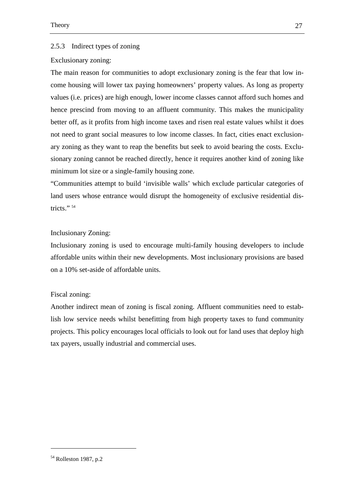#### 2.5.3 Indirect types of zoning

#### Exclusionary zoning:

The main reason for communities to adopt exclusionary zoning is the fear that low income housing will lower tax paying homeowners' property values. As long as property values (i.e. prices) are high enough, lower income classes cannot afford such homes and hence prescind from moving to an affluent community. This makes the municipality better off, as it profits from high income taxes and risen real estate values whilst it does not need to grant social measures to low income classes. In fact, cities enact exclusionary zoning as they want to reap the benefits but seek to avoid bearing the costs. Exclusionary zoning cannot be reached directly, hence it requires another kind of zoning like minimum lot size or a single-family housing zone.

"Communities attempt to build 'invisible walls' which exclude particular categories of land users whose entrance would disrupt the homogeneity of exclusive residential districts."<sup>54</sup>

### Inclusionary Zoning:

Inclusionary zoning is used to encourage multi-family housing developers to include affordable units within their new developments. Most inclusionary provisions are based on a 10% set-aside of affordable units.

#### Fiscal zoning:

Another indirect mean of zoning is fiscal zoning. Affluent communities need to establish low service needs whilst benefitting from high property taxes to fund community projects. This policy encourages local officials to look out for land uses that deploy high tax payers, usually industrial and commercial uses.

<sup>54</sup> Rolleston 1987, p.2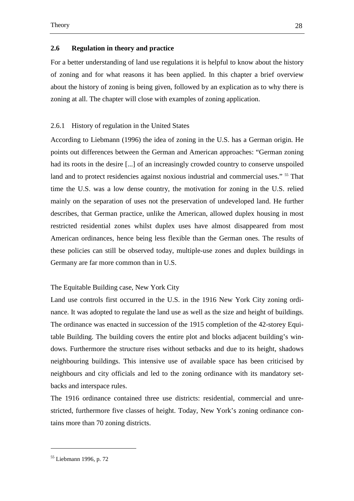#### **2.6 Regulation in theory and practice**

For a better understanding of land use regulations it is helpful to know about the history of zoning and for what reasons it has been applied. In this chapter a brief overview about the history of zoning is being given, followed by an explication as to why there is zoning at all. The chapter will close with examples of zoning application.

#### 2.6.1 History of regulation in the United States

According to Liebmann (1996) the idea of zoning in the U.S. has a German origin. He points out differences between the German and American approaches: "German zoning had its roots in the desire [...] of an increasingly crowded country to conserve unspoiled land and to protect residencies against noxious industrial and commercial uses." <sup>55</sup> That time the U.S. was a low dense country, the motivation for zoning in the U.S. relied mainly on the separation of uses not the preservation of undeveloped land. He further describes, that German practice, unlike the American, allowed duplex housing in most restricted residential zones whilst duplex uses have almost disappeared from most American ordinances, hence being less flexible than the German ones. The results of these policies can still be observed today, multiple-use zones and duplex buildings in Germany are far more common than in U.S.

### The Equitable Building case, New York City

Land use controls first occurred in the U.S. in the 1916 New York City zoning ordinance. It was adopted to regulate the land use as well as the size and height of buildings. The ordinance was enacted in succession of the 1915 completion of the 42-storey Equitable Building. The building covers the entire plot and blocks adjacent building's windows. Furthermore the structure rises without setbacks and due to its height, shadows neighbouring buildings. This intensive use of available space has been criticised by neighbours and city officials and led to the zoning ordinance with its mandatory setbacks and interspace rules.

The 1916 ordinance contained three use districts: residential, commercial and unrestricted, furthermore five classes of height. Today, New York's zoning ordinance contains more than 70 zoning districts.

<sup>55</sup> Liebmann 1996, p. 72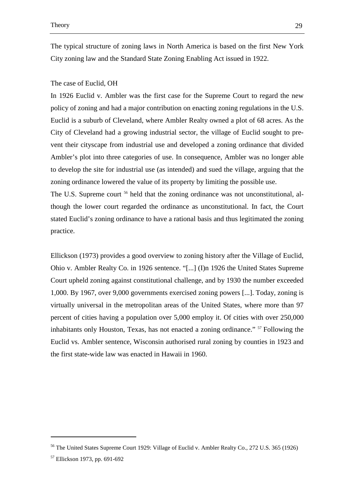The typical structure of zoning laws in North America is based on the first New York City zoning law and the Standard State Zoning Enabling Act issued in 1922.

# The case of Euclid, OH

In 1926 Euclid v. Ambler was the first case for the Supreme Court to regard the new policy of zoning and had a major contribution on enacting zoning regulations in the U.S. Euclid is a suburb of Cleveland, where Ambler Realty owned a plot of 68 acres. As the City of Cleveland had a growing industrial sector, the village of Euclid sought to prevent their cityscape from industrial use and developed a zoning ordinance that divided Ambler's plot into three categories of use. In consequence, Ambler was no longer able to develop the site for industrial use (as intended) and sued the village, arguing that the zoning ordinance lowered the value of its property by limiting the possible use.

The U.S. Supreme court <sup>56</sup> held that the zoning ordinance was not unconstitutional, although the lower court regarded the ordinance as unconstitutional. In fact, the Court stated Euclid's zoning ordinance to have a rational basis and thus legitimated the zoning practice.

Ellickson (1973) provides a good overview to zoning history after the Village of Euclid, Ohio v. Ambler Realty Co. in 1926 sentence. "[...] (I)n 1926 the United States Supreme Court upheld zoning against constitutional challenge, and by 1930 the number exceeded 1,000. By 1967, over 9,000 governments exercised zoning powers [...]. Today, zoning is virtually universal in the metropolitan areas of the United States, where more than 97 percent of cities having a population over 5,000 employ it. Of cities with over 250,000 inhabitants only Houston, Texas, has not enacted a zoning ordinance." <sup>57</sup> Following the Euclid vs. Ambler sentence, Wisconsin authorised rural zoning by counties in 1923 and the first state-wide law was enacted in Hawaii in 1960.

<sup>&</sup>lt;sup>56</sup> The United States Supreme Court 1929: Village of Euclid v. Ambler Realty Co., 272 U.S. 365 (1926)

<sup>57</sup> Ellickson 1973, pp. 691-692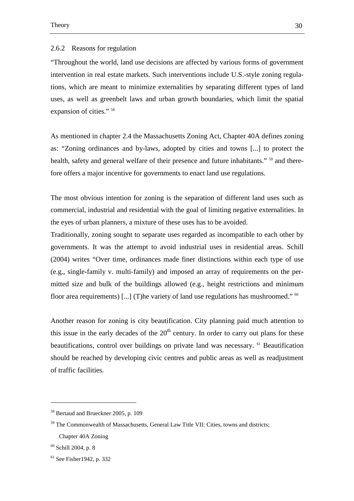### 2.6.2 Reasons for regulation

"Throughout the world, land use decisions are affected by various forms of government intervention in real estate markets. Such interventions include U.S.-style zoning regulations, which are meant to minimize externalities by separating different types of land uses, as well as greenbelt laws and urban growth boundaries, which limit the spatial expansion of cities." <sup>58</sup>

As mentioned in chapter 2.4 the Massachusetts Zoning Act, Chapter 40A defines zoning as: "Zoning ordinances and by-laws, adopted by cities and towns [...] to protect the health, safety and general welfare of their presence and future inhabitants." <sup>59</sup> and therefore offers a major incentive for governments to enact land use regulations.

The most obvious intention for zoning is the separation of different land uses such as commercial, industrial and residential with the goal of limiting negative externalities. In the eyes of urban planners, a mixture of these uses has to be avoided.

Traditionally, zoning sought to separate uses regarded as incompatible to each other by governments. It was the attempt to avoid industrial uses in residential areas. Schill (2004) writes "Over time, ordinances made finer distinctions within each type of use (e.g., single-family v. multi-family) and imposed an array of requirements on the permitted size and bulk of the buildings allowed (e.g., height restrictions and minimum floor area requirements) [...] (T)he variety of land use regulations has mushroomed." <sup>60</sup>

Another reason for zoning is city beautification. City planning paid much attention to this issue in the early decades of the  $20<sup>th</sup>$  century. In order to carry out plans for these beautifications, control over buildings on private land was necessary. <sup>61</sup> Beautification should be reached by developing civic centres and public areas as well as readjustment of traffic facilities.

<sup>58</sup> Bertaud and Brueckner 2005, p. 109

<sup>&</sup>lt;sup>59</sup> The Commonwealth of Massachusetts, General Law Title VII: Cities, towns and districts; Chapter 40A Zoning

 $60$  Schill 2004, p. 8

<sup>61</sup> See Fisher1942, p. 332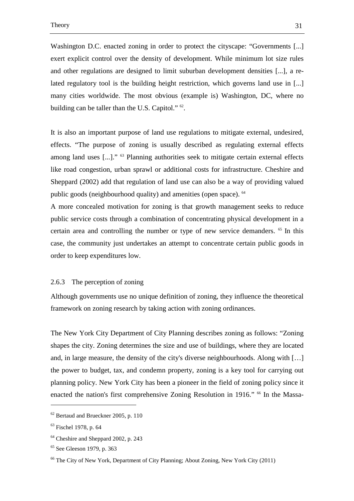Washington D.C. enacted zoning in order to protect the cityscape: "Governments [...] exert explicit control over the density of development. While minimum lot size rules and other regulations are designed to limit suburban development densities [...], a related regulatory tool is the building height restriction, which governs land use in [...] many cities worldwide. The most obvious (example is) Washington, DC, where no building can be taller than the U.S. Capitol."  $62$ .

It is also an important purpose of land use regulations to mitigate external, undesired, effects. "The purpose of zoning is usually described as regulating external effects among land uses [...]." <sup>63</sup> Planning authorities seek to mitigate certain external effects like road congestion, urban sprawl or additional costs for infrastructure. Cheshire and Sheppard (2002) add that regulation of land use can also be a way of providing valued public goods (neighbourhood quality) and amenities (open space). <sup>64</sup>

A more concealed motivation for zoning is that growth management seeks to reduce public service costs through a combination of concentrating physical development in a certain area and controlling the number or type of new service demanders. <sup>65</sup> In this case, the community just undertakes an attempt to concentrate certain public goods in order to keep expenditures low.

### 2.6.3 The perception of zoning

Although governments use no unique definition of zoning, they influence the theoretical framework on zoning research by taking action with zoning ordinances.

The New York City Department of City Planning describes zoning as follows: "Zoning shapes the city. Zoning determines the size and use of buildings, where they are located and, in large measure, the density of the city's diverse neighbourhoods. Along with […] the power to budget, tax, and condemn property, zoning is a key tool for carrying out planning policy. New York City has been a pioneer in the field of zoning policy since it enacted the nation's first comprehensive Zoning Resolution in 1916." <sup>66</sup> In the Massa-

 $62$  Bertaud and Brueckner 2005, p. 110

<sup>63</sup> Fischel 1978, p. 64

<sup>&</sup>lt;sup>64</sup> Cheshire and Sheppard 2002, p. 243

<sup>65</sup> See Gleeson 1979, p. 363

<sup>66</sup> The City of New York, Department of City Planning; About Zoning, New York City (2011)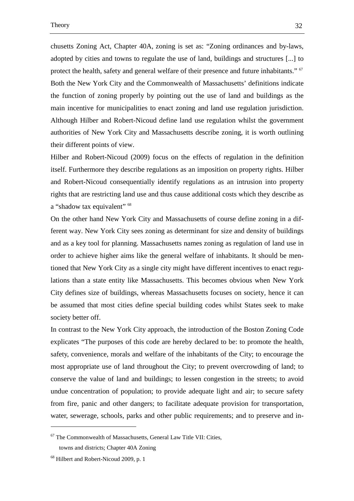chusetts Zoning Act, Chapter 40A, zoning is set as: "Zoning ordinances and by-laws, adopted by cities and towns to regulate the use of land, buildings and structures [...] to protect the health, safety and general welfare of their presence and future inhabitants." <sup>67</sup> Both the New York City and the Commonwealth of Massachusetts' definitions indicate the function of zoning properly by pointing out the use of land and buildings as the main incentive for municipalities to enact zoning and land use regulation jurisdiction. Although Hilber and Robert-Nicoud define land use regulation whilst the government authorities of New York City and Massachusetts describe zoning, it is worth outlining their different points of view.

Hilber and Robert-Nicoud (2009) focus on the effects of regulation in the definition itself. Furthermore they describe regulations as an imposition on property rights. Hilber and Robert-Nicoud consequentially identify regulations as an intrusion into property rights that are restricting land use and thus cause additional costs which they describe as a "shadow tax equivalent" <sup>68</sup>

On the other hand New York City and Massachusetts of course define zoning in a different way. New York City sees zoning as determinant for size and density of buildings and as a key tool for planning. Massachusetts names zoning as regulation of land use in order to achieve higher aims like the general welfare of inhabitants. It should be mentioned that New York City as a single city might have different incentives to enact regulations than a state entity like Massachusetts. This becomes obvious when New York City defines size of buildings, whereas Massachusetts focuses on society, hence it can be assumed that most cities define special building codes whilst States seek to make society better off.

In contrast to the New York City approach, the introduction of the Boston Zoning Code explicates "The purposes of this code are hereby declared to be: to promote the health, safety, convenience, morals and welfare of the inhabitants of the City; to encourage the most appropriate use of land throughout the City; to prevent overcrowding of land; to conserve the value of land and buildings; to lessen congestion in the streets; to avoid undue concentration of population; to provide adequate light and air; to secure safety from fire, panic and other dangers; to facilitate adequate provision for transportation, water, sewerage, schools, parks and other public requirements; and to preserve and in-

 $67$  The Commonwealth of Massachusetts, General Law Title VII: Cities,

towns and districts; Chapter 40A Zoning

<sup>68</sup> Hilbert and Robert-Nicoud 2009, p. 1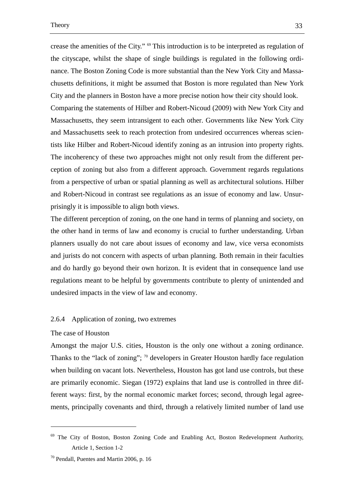crease the amenities of the City." <sup>69</sup> This introduction is to be interpreted as regulation of the cityscape, whilst the shape of single buildings is regulated in the following ordinance. The Boston Zoning Code is more substantial than the New York City and Massachusetts definitions, it might be assumed that Boston is more regulated than New York City and the planners in Boston have a more precise notion how their city should look. Comparing the statements of Hilber and Robert-Nicoud (2009) with New York City and Massachusetts, they seem intransigent to each other. Governments like New York City and Massachusetts seek to reach protection from undesired occurrences whereas scientists like Hilber and Robert-Nicoud identify zoning as an intrusion into property rights. The incoherency of these two approaches might not only result from the different perception of zoning but also from a different approach. Government regards regulations from a perspective of urban or spatial planning as well as architectural solutions. Hilber and Robert-Nicoud in contrast see regulations as an issue of economy and law. Unsurprisingly it is impossible to align both views.

The different perception of zoning, on the one hand in terms of planning and society, on the other hand in terms of law and economy is crucial to further understanding. Urban planners usually do not care about issues of economy and law, vice versa economists and jurists do not concern with aspects of urban planning. Both remain in their faculties and do hardly go beyond their own horizon. It is evident that in consequence land use regulations meant to be helpful by governments contribute to plenty of unintended and undesired impacts in the view of law and economy.

### 2.6.4 Application of zoning, two extremes

#### The case of Houston

 $\overline{a}$ 

Amongst the major U.S. cities, Houston is the only one without a zoning ordinance. Thanks to the "lack of zoning";  $\frac{70}{10}$  developers in Greater Houston hardly face regulation when building on vacant lots. Nevertheless, Houston has got land use controls, but these are primarily economic. Siegan (1972) explains that land use is controlled in three different ways: first, by the normal economic market forces; second, through legal agreements, principally covenants and third, through a relatively limited number of land use

<sup>&</sup>lt;sup>69</sup> The City of Boston, Boston Zoning Code and Enabling Act, Boston Redevelopment Authority, Article 1, Section 1-2

<sup>&</sup>lt;sup>70</sup> Pendall, Puentes and Martin 2006, p. 16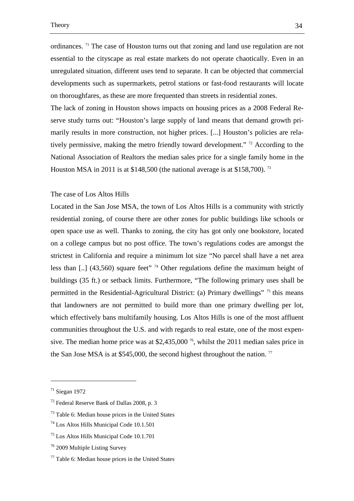ordinances. <sup>71</sup> The case of Houston turns out that zoning and land use regulation are not essential to the cityscape as real estate markets do not operate chaotically. Even in an unregulated situation, different uses tend to separate. It can be objected that commercial developments such as supermarkets, petrol stations or fast-food restaurants will locate on thoroughfares, as these are more frequented than streets in residential zones.

The lack of zoning in Houston shows impacts on housing prices as a 2008 Federal Reserve study turns out: "Houston's large supply of land means that demand growth primarily results in more construction, not higher prices. [...] Houston's policies are relatively permissive, making the metro friendly toward development." <sup>72</sup> According to the National Association of Realtors the median sales price for a single family home in the Houston MSA in 2011 is at \$148,500 (the national average is at \$158,700).<sup>73</sup>

# The case of Los Altos Hills

Located in the San Jose MSA, the town of Los Altos Hills is a community with strictly residential zoning, of course there are other zones for public buildings like schools or open space use as well. Thanks to zoning, the city has got only one bookstore, located on a college campus but no post office. The town's regulations codes are amongst the strictest in California and require a minimum lot size "No parcel shall have a net area less than  $\left[ ., \right]$  (43,560) square feet" <sup>74</sup> Other regulations define the maximum height of buildings (35 ft.) or setback limits. Furthermore, "The following primary uses shall be permitted in the Residential-Agricultural District: (a) Primary dwellings" <sup>75</sup> this means that landowners are not permitted to build more than one primary dwelling per lot, which effectively bans multifamily housing. Los Altos Hills is one of the most affluent communities throughout the U.S. and with regards to real estate, one of the most expensive. The median home price was at \$2,435,000<sup>76</sup>, whilst the 2011 median sales price in the San Jose MSA is at \$545,000, the second highest throughout the nation.  $77$ 

<sup>71</sup> Siegan 1972

<sup>72</sup> Federal Reserve Bank of Dallas 2008, p. 3

<sup>73</sup> Table 6: Median house prices in the United States

<sup>74</sup> Los Altos Hills Municipal Code 10.1.501

<sup>75</sup> Los Altos Hills Municipal Code 10.1.701

<sup>76</sup> 2009 Multiple Listing Survey

 $77$  Table 6: Median house prices in the United States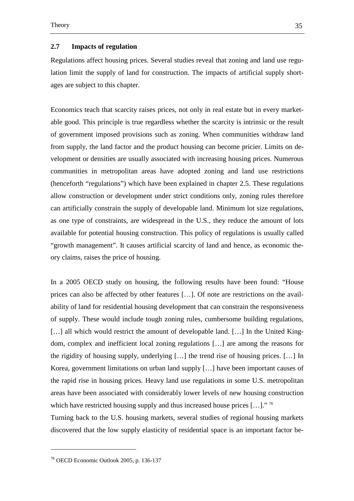### **2.7 Impacts of regulation**

Regulations affect housing prices. Several studies reveal that zoning and land use regulation limit the supply of land for construction. The impacts of artificial supply shortages are subject to this chapter.

Economics teach that scarcity raises prices, not only in real estate but in every marketable good. This principle is true regardless whether the scarcity is intrinsic or the result of government imposed provisions such as zoning. When communities withdraw land from supply, the land factor and the product housing can become pricier. Limits on development or densities are usually associated with increasing housing prices. Numerous communities in metropolitan areas have adopted zoning and land use restrictions (henceforth "regulations") which have been explained in chapter 2.5. These regulations allow construction or development under strict conditions only, zoning rules therefore can artificially constrain the supply of developable land. Minimum lot size regulations, as one type of constraints, are widespread in the U.S., they reduce the amount of lots available for potential housing construction. This policy of regulations is usually called "growth management". It causes artificial scarcity of land and hence, as economic theory claims, raises the price of housing.

In a 2005 OECD study on housing, the following results have been found: "House prices can also be affected by other features […]. Of note are restrictions on the availability of land for residential housing development that can constrain the responsiveness of supply. These would include tough zoning rules, cumbersome building regulations, [...] all which would restrict the amount of developable land. [...] In the United Kingdom, complex and inefficient local zoning regulations […] are among the reasons for the rigidity of housing supply, underlying […] the trend rise of housing prices. […] In Korea, government limitations on urban land supply […] have been important causes of the rapid rise in housing prices. Heavy land use regulations in some U.S. metropolitan areas have been associated with considerably lower levels of new housing construction which have restricted housing supply and thus increased house prices  $[\dots]$ ."<sup>78</sup>

Turning back to the U.S. housing markets, several studies of regional housing markets discovered that the low supply elasticity of residential space is an important factor be-

<sup>78</sup> OECD Economic Outlook 2005, p. 136-137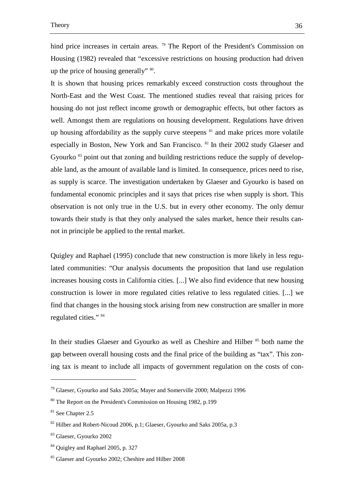hind price increases in certain areas.<sup>79</sup> The Report of the President's Commission on Housing (1982) revealed that "excessive restrictions on housing production had driven up the price of housing generally"  $\frac{80}{3}$ .

It is shown that housing prices remarkably exceed construction costs throughout the North-East and the West Coast. The mentioned studies reveal that raising prices for housing do not just reflect income growth or demographic effects, but other factors as well. Amongst them are regulations on housing development. Regulations have driven up housing affordability as the supply curve steepens  $\delta$ <sup>1</sup> and make prices more volatile especially in Boston, New York and San Francisco. <sup>82</sup> In their 2002 study Glaeser and Gyourko <sup>83</sup> point out that zoning and building restrictions reduce the supply of developable land, as the amount of available land is limited. In consequence, prices need to rise, as supply is scarce. The investigation undertaken by Glaeser and Gyourko is based on fundamental economic principles and it says that prices rise when supply is short. This observation is not only true in the U.S. but in every other economy. The only demur towards their study is that they only analysed the sales market, hence their results cannot in principle be applied to the rental market.

Quigley and Raphael (1995) conclude that new construction is more likely in less regulated communities: "Our analysis documents the proposition that land use regulation increases housing costs in California cities. [...] We also find evidence that new housing construction is lower in more regulated cities relative to less regulated cities. [...] we find that changes in the housing stock arising from new construction are smaller in more regulated cities." <sup>84</sup>

In their studies Glaeser and Gyourko as well as Cheshire and Hilber  $85$  both name the gap between overall housing costs and the final price of the building as "tax". This zoning tax is meant to include all impacts of government regulation on the costs of con-

<sup>79</sup> Glaeser, Gyourko and Saks 2005a; Mayer and Somerville 2000; Malpezzi 1996

<sup>80</sup> The Report on the President's Commission on Housing 1982, p.199

<sup>81</sup> See Chapter 2.5

 $82$  Hilber and Robert-Nicoud 2006, p.1; Glaeser, Gyourko and Saks 2005a, p.3

<sup>83</sup> Glaeser, Gyourko 2002

<sup>&</sup>lt;sup>84</sup> Ouigley and Raphael 2005, p. 327

<sup>85</sup> Glaeser and Gyourko 2002; Cheshire and Hilber 2008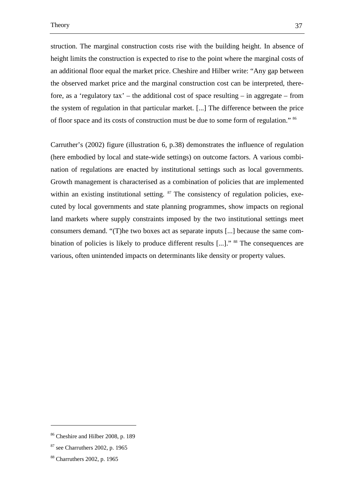struction. The marginal construction costs rise with the building height. In absence of height limits the construction is expected to rise to the point where the marginal costs of an additional floor equal the market price. Cheshire and Hilber write: "Any gap between the observed market price and the marginal construction cost can be interpreted, therefore, as a 'regulatory tax' – the additional cost of space resulting – in aggregate – from the system of regulation in that particular market. [...] The difference between the price of floor space and its costs of construction must be due to some form of regulation." <sup>86</sup>

Carruther's (2002) figure (illustration 6, p.38) demonstrates the influence of regulation (here embodied by local and state-wide settings) on outcome factors. A various combination of regulations are enacted by institutional settings such as local governments. Growth management is characterised as a combination of policies that are implemented within an existing institutional setting.  $87$  The consistency of regulation policies, executed by local governments and state planning programmes, show impacts on regional land markets where supply constraints imposed by the two institutional settings meet consumers demand. "(T)he two boxes act as separate inputs [...] because the same combination of policies is likely to produce different results [...]." <sup>88</sup> The consequences are various, often unintended impacts on determinants like density or property values.

<sup>86</sup> Cheshire and Hilber 2008, p. 189

 $87$  see Charruthers 2002, p. 1965

<sup>88</sup> Charruthers 2002, p. 1965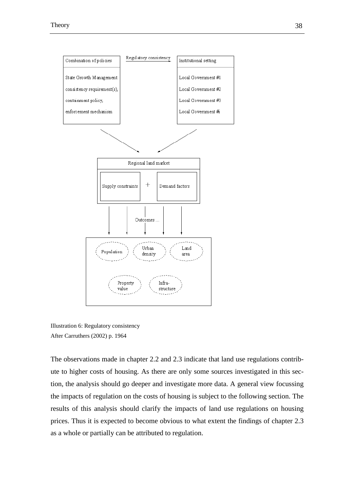

Illustration 6: Regulatory consistency After Carruthers (2002) p. 1964

The observations made in chapter 2.2 and 2.3 indicate that land use regulations contribute to higher costs of housing. As there are only some sources investigated in this section, the analysis should go deeper and investigate more data. A general view focussing the impacts of regulation on the costs of housing is subject to the following section. The results of this analysis should clarify the impacts of land use regulations on housing prices. Thus it is expected to become obvious to what extent the findings of chapter 2.3 as a whole or partially can be attributed to regulation.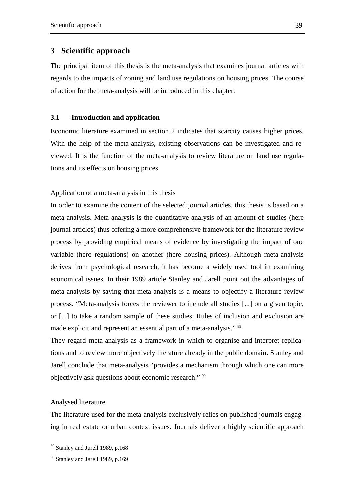# **3 Scientific approach**

The principal item of this thesis is the meta-analysis that examines journal articles with regards to the impacts of zoning and land use regulations on housing prices. The course of action for the meta-analysis will be introduced in this chapter.

## **3.1 Introduction and application**

Economic literature examined in section 2 indicates that scarcity causes higher prices. With the help of the meta-analysis, existing observations can be investigated and reviewed. It is the function of the meta-analysis to review literature on land use regulations and its effects on housing prices.

Application of a meta-analysis in this thesis

In order to examine the content of the selected journal articles, this thesis is based on a meta-analysis. Meta-analysis is the quantitative analysis of an amount of studies (here journal articles) thus offering a more comprehensive framework for the literature review process by providing empirical means of evidence by investigating the impact of one variable (here regulations) on another (here housing prices). Although meta-analysis derives from psychological research, it has become a widely used tool in examining economical issues. In their 1989 article Stanley and Jarell point out the advantages of meta-analysis by saying that meta-analysis is a means to objectify a literature review process. "Meta-analysis forces the reviewer to include all studies [...] on a given topic, or [...] to take a random sample of these studies. Rules of inclusion and exclusion are made explicit and represent an essential part of a meta-analysis." 89

They regard meta-analysis as a framework in which to organise and interpret replications and to review more objectively literature already in the public domain. Stanley and Jarell conclude that meta-analysis "provides a mechanism through which one can more objectively ask questions about economic research." <sup>90</sup>

### Analysed literature

 $\overline{a}$ 

The literature used for the meta-analysis exclusively relies on published journals engaging in real estate or urban context issues. Journals deliver a highly scientific approach

<sup>89</sup> Stanley and Jarell 1989, p.168

<sup>&</sup>lt;sup>90</sup> Stanley and Jarell 1989, p.169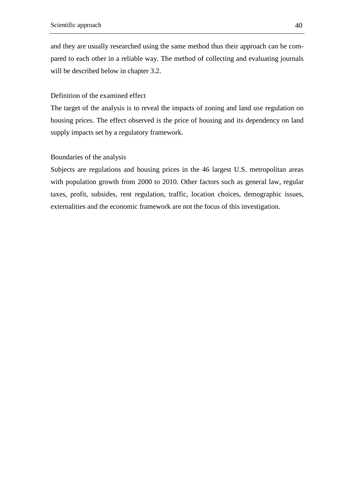and they are usually researched using the same method thus their approach can be compared to each other in a reliable way. The method of collecting and evaluating journals will be described below in chapter 3.2.

# Definition of the examined effect

The target of the analysis is to reveal the impacts of zoning and land use regulation on housing prices. The effect observed is the price of housing and its dependency on land supply impacts set by a regulatory framework.

# Boundaries of the analysis

Subjects are regulations and housing prices in the 46 largest U.S. metropolitan areas with population growth from 2000 to 2010. Other factors such as general law, regular taxes, profit, subsides, rent regulation, traffic, location choices, demographic issues, externalities and the economic framework are not the focus of this investigation.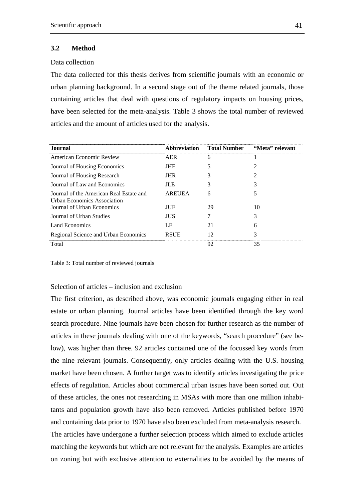#### **3.2 Method**

### Data collection

The data collected for this thesis derives from scientific journals with an economic or urban planning background. In a second stage out of the theme related journals, those containing articles that deal with questions of regulatory impacts on housing prices, have been selected for the meta-analysis. Table 3 shows the total number of reviewed articles and the amount of articles used for the analysis.

| Journal.                                                                      |             | Abbreviation Total Number | "Meta" relevant |
|-------------------------------------------------------------------------------|-------------|---------------------------|-----------------|
| American Economic Review                                                      | AER         | h                         |                 |
| Journal of Housing Economics                                                  | JHE         |                           |                 |
| Journal of Housing Research                                                   | JHR.        |                           |                 |
| Journal of Law and Economics                                                  | ЛE          |                           |                 |
| Journal of the American Real Estate and<br><b>Urban Economics Association</b> | AREUEA      |                           |                 |
| Journal of Urban Economics                                                    | JUE.        | 29                        |                 |
| Journal of Urban Studies                                                      | ΠIS         |                           |                 |
| Land Economics                                                                | LE          |                           |                 |
| Regional Science and Urban Economics                                          | <b>RSUE</b> |                           |                 |
| Total                                                                         |             | 92                        | 35              |

Table 3: Total number of reviewed journals

### Selection of articles – inclusion and exclusion

The first criterion, as described above, was economic journals engaging either in real estate or urban planning. Journal articles have been identified through the key word search procedure. Nine journals have been chosen for further research as the number of articles in these journals dealing with one of the keywords, "search procedure" (see below), was higher than three. 92 articles contained one of the focussed key words from the nine relevant journals. Consequently, only articles dealing with the U.S. housing market have been chosen. A further target was to identify articles investigating the price effects of regulation. Articles about commercial urban issues have been sorted out. Out of these articles, the ones not researching in MSAs with more than one million inhabitants and population growth have also been removed. Articles published before 1970 and containing data prior to 1970 have also been excluded from meta-analysis research. The articles have undergone a further selection process which aimed to exclude articles matching the keywords but which are not relevant for the analysis. Examples are articles on zoning but with exclusive attention to externalities to be avoided by the means of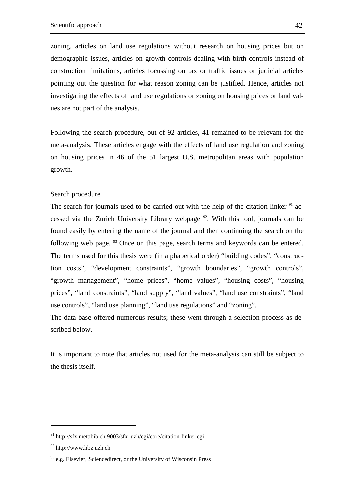zoning, articles on land use regulations without research on housing prices but on demographic issues, articles on growth controls dealing with birth controls instead of construction limitations, articles focussing on tax or traffic issues or judicial articles pointing out the question for what reason zoning can be justified. Hence, articles not investigating the effects of land use regulations or zoning on housing prices or land values are not part of the analysis.

Following the search procedure, out of 92 articles, 41 remained to be relevant for the meta-analysis. These articles engage with the effects of land use regulation and zoning on housing prices in 46 of the 51 largest U.S. metropolitan areas with population growth.

### Search procedure

The search for journals used to be carried out with the help of the citation linker  $91$  accessed via the Zurich University Library webpage  $92$ . With this tool, journals can be found easily by entering the name of the journal and then continuing the search on the following web page. <sup>93</sup> Once on this page, search terms and keywords can be entered. The terms used for this thesis were (in alphabetical order) "building codes", "construction costs", "development constraints", "growth boundaries", "growth controls", "growth management", "home prices", "home values", "housing costs", "housing prices", "land constraints", "land supply", "land values", "land use constraints", "land use controls", "land use planning", "land use regulations" and "zoning".

The data base offered numerous results; these went through a selection process as described below.

It is important to note that articles not used for the meta-analysis can still be subject to the thesis itself.

 $91$  http://sfx.metabib.ch:9003/sfx\_uzh/cgi/core/citation-linker.cgi

<sup>92</sup> http://www.hbz.uzh.ch

 $93$  e.g. Elsevier, Sciencedirect, or the University of Wisconsin Press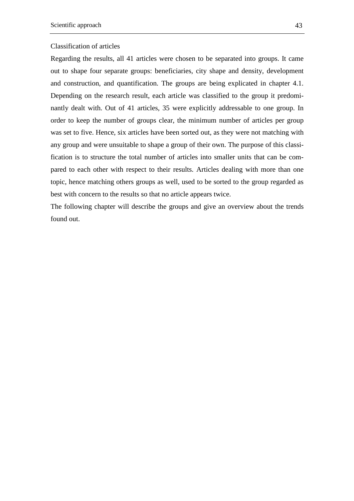### Classification of articles

Regarding the results, all 41 articles were chosen to be separated into groups. It came out to shape four separate groups: beneficiaries, city shape and density, development and construction, and quantification. The groups are being explicated in chapter 4.1. Depending on the research result, each article was classified to the group it predominantly dealt with. Out of 41 articles, 35 were explicitly addressable to one group. In order to keep the number of groups clear, the minimum number of articles per group was set to five. Hence, six articles have been sorted out, as they were not matching with any group and were unsuitable to shape a group of their own. The purpose of this classification is to structure the total number of articles into smaller units that can be compared to each other with respect to their results. Articles dealing with more than one topic, hence matching others groups as well, used to be sorted to the group regarded as best with concern to the results so that no article appears twice.

The following chapter will describe the groups and give an overview about the trends found out.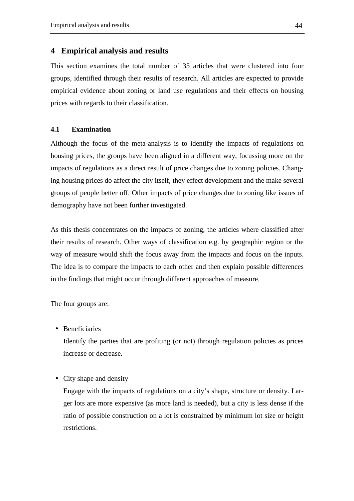# **4 Empirical analysis and results**

This section examines the total number of 35 articles that were clustered into four groups, identified through their results of research. All articles are expected to provide empirical evidence about zoning or land use regulations and their effects on housing prices with regards to their classification.

# **4.1 Examination**

Although the focus of the meta-analysis is to identify the impacts of regulations on housing prices, the groups have been aligned in a different way, focussing more on the impacts of regulations as a direct result of price changes due to zoning policies. Changing housing prices do affect the city itself, they effect development and the make several groups of people better off. Other impacts of price changes due to zoning like issues of demography have not been further investigated.

As this thesis concentrates on the impacts of zoning, the articles where classified after their results of research. Other ways of classification e.g. by geographic region or the way of measure would shift the focus away from the impacts and focus on the inputs. The idea is to compare the impacts to each other and then explain possible differences in the findings that might occur through different approaches of measure.

The four groups are:

• Beneficiaries

Identify the parties that are profiting (or not) through regulation policies as prices increase or decrease.

### • City shape and density

Engage with the impacts of regulations on a city's shape, structure or density. Larger lots are more expensive (as more land is needed), but a city is less dense if the ratio of possible construction on a lot is constrained by minimum lot size or height restrictions.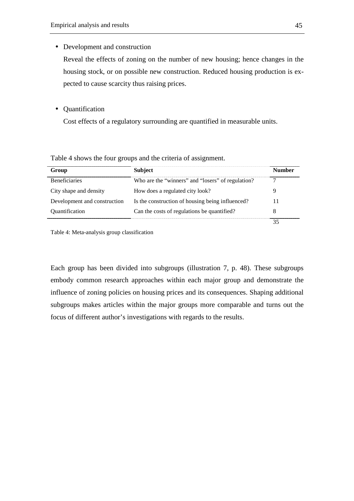• Development and construction

Reveal the effects of zoning on the number of new housing; hence changes in the housing stock, or on possible new construction. Reduced housing production is expected to cause scarcity thus raising prices.

• Quantification

Cost effects of a regulatory surrounding are quantified in measurable units.

| Group                        | Subject                                           | Number |
|------------------------------|---------------------------------------------------|--------|
| <b>Beneficiaries</b>         | Who are the "winners" and "losers" of regulation? |        |
| City shape and density       | How does a regulated city look?                   |        |
| Development and construction | Is the construction of housing being influenced?  |        |
| Ouantification               | Can the costs of regulations be quantified?       |        |
|                              |                                                   |        |

Table 4 shows the four groups and the criteria of assignment.

Table 4: Meta-analysis group classification

Each group has been divided into subgroups (illustration 7, p. 48). These subgroups embody common research approaches within each major group and demonstrate the influence of zoning policies on housing prices and its consequences. Shaping additional subgroups makes articles within the major groups more comparable and turns out the focus of different author's investigations with regards to the results.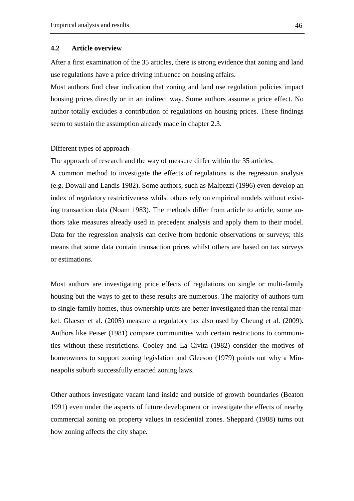#### **4.2 Article overview**

After a first examination of the 35 articles, there is strong evidence that zoning and land use regulations have a price driving influence on housing affairs.

Most authors find clear indication that zoning and land use regulation policies impact housing prices directly or in an indirect way. Some authors assume a price effect. No author totally excludes a contribution of regulations on housing prices. These findings seem to sustain the assumption already made in chapter 2.3.

#### Different types of approach

The approach of research and the way of measure differ within the 35 articles.

A common method to investigate the effects of regulations is the regression analysis (e.g. Dowall and Landis 1982). Some authors, such as Malpezzi (1996) even develop an index of regulatory restrictiveness whilst others rely on empirical models without existing transaction data (Noam 1983). The methods differ from article to article, some authors take measures already used in precedent analysis and apply them to their model. Data for the regression analysis can derive from hedonic observations or surveys; this means that some data contain transaction prices whilst others are based on tax surveys or estimations.

Most authors are investigating price effects of regulations on single or multi-family housing but the ways to get to these results are numerous. The majority of authors turn to single-family homes, thus ownership units are better investigated than the rental market. Glaeser et al. (2005) measure a regulatory tax also used by Cheung et al. (2009). Authors like Peiser (1981) compare communities with certain restrictions to communities without these restrictions. Cooley and La Civita (1982) consider the motives of homeowners to support zoning legislation and Gleeson (1979) points out why a Minneapolis suburb successfully enacted zoning laws.

Other authors investigate vacant land inside and outside of growth boundaries (Beaton 1991) even under the aspects of future development or investigate the effects of nearby commercial zoning on property values in residential zones. Sheppard (1988) turns out how zoning affects the city shape.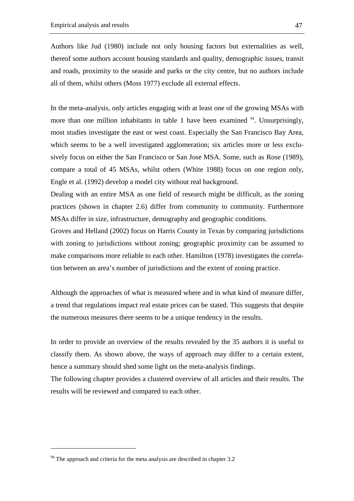Authors like Jud (1980) include not only housing factors but externalities as well, thereof some authors account housing standards and quality, demographic issues, transit and roads, proximity to the seaside and parks or the city centre, but no authors include all of them, whilst others (Moss 1977) exclude all external effects.

In the meta-analysis, only articles engaging with at least one of the growing MSAs with more than one million inhabitants in table 1 have been examined  $94$ . Unsurprisingly, most studies investigate the east or west coast. Especially the San Francisco Bay Area, which seems to be a well investigated agglomeration; six articles more or less exclusively focus on either the San Francisco or San Jose MSA. Some, such as Rose (1989), compare a total of 45 MSAs, whilst others (White 1988) focus on one region only, Engle et al. (1992) develop a model city without real background.

Dealing with an entire MSA as one field of research might be difficult, as the zoning practices (shown in chapter 2.6) differ from community to community. Furthermore MSAs differ in size, infrastructure, demography and geographic conditions.

Groves and Helland (2002) focus on Harris County in Texas by comparing jurisdictions with zoning to jurisdictions without zoning; geographic proximity can be assumed to make comparisons more reliable to each other. Hamilton (1978) investigates the correlation between an area's number of jurisdictions and the extent of zoning practice.

Although the approaches of what is measured where and in what kind of measure differ, a trend that regulations impact real estate prices can be stated. This suggests that despite the numerous measures there seems to be a unique tendency in the results.

In order to provide an overview of the results revealed by the 35 authors it is useful to classify them. As shown above, the ways of approach may differ to a certain extent, hence a summary should shed some light on the meta-analysis findings.

The following chapter provides a clustered overview of all articles and their results. The results will be reviewed and compared to each other.

 $94$  The approach and criteria for the meta analysis are described in chapter 3.2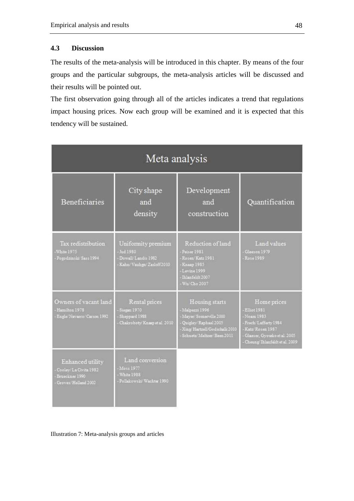# **4.3 Discussion**

The results of the meta-analysis will be introduced in this chapter. By means of the four groups and the particular subgroups, the meta-analysis articles will be discussed and their results will be pointed out.

The first observation going through all of the articles indicates a trend that regulations impact housing prices. Now each group will be examined and it is expected that this tendency will be sustained.

| Meta analysis                                                                            |                                                                                 |                                                                                                                                              |                                                                                                                                                    |  |  |
|------------------------------------------------------------------------------------------|---------------------------------------------------------------------------------|----------------------------------------------------------------------------------------------------------------------------------------------|----------------------------------------------------------------------------------------------------------------------------------------------------|--|--|
| <b>Beneficiaries</b>                                                                     | City shape<br>and<br>density                                                    | Development<br>and<br>construction                                                                                                           | Quantification                                                                                                                                     |  |  |
| Tax redistribution<br>White 1975<br>- Pogodzinski/Sass 1994                              | Uniformity premium<br>Jud 1980<br>Dowall/Landis 1982<br>Kahn/Vauhgn/Zasloff2010 | Reduction of land<br>Paisar 1981<br>Rosen/Katz 1981<br>Клаар 1985<br>Levine 1999<br>Ihlanfeldt 2007<br>Wu Cho 2007                           | Land values<br>Glasson 1979<br>Rose 1989                                                                                                           |  |  |
| Owners of vacant land<br>- Hamilton 1978<br>- Engla/Navarro/Carson 1992                  | Rental prices<br>Siegan 1970<br>Sheppard 1988<br>Chakroboty Knaap et al. 2010   | Housing starts<br>Malpezzi 1996<br>Mayer/Somerville 2000<br>Quigley/Raphael 2005<br>Xing/Hartrell/Godschalk 2010<br>Schuetz/Meltzer/Been2011 | Home prices<br>Elliot 1981<br>Neam 1983<br>Frech/Lafferty 1984<br>Katz/Rosen 1987<br>Glasser, Gyourko et al. 2005<br>Cheung Thlanfeldt et al. 2009 |  |  |
| Enhanced utility<br>- Cooley/La Civita 1982<br>- Bruecknar 1990<br>- Groves/Helland 2002 | Land conversion<br>Moss 1977<br>White 1988<br>Pollakowski/Wachter 1990          |                                                                                                                                              |                                                                                                                                                    |  |  |

Illustration 7: Meta-analysis groups and articles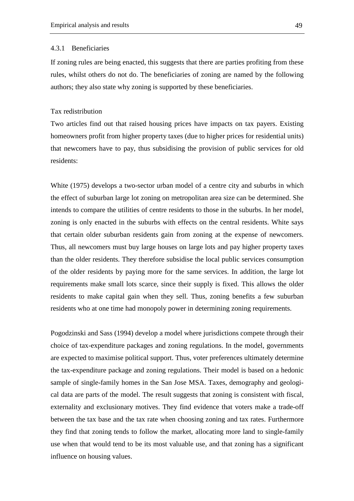#### 4.3.1 Beneficiaries

If zoning rules are being enacted, this suggests that there are parties profiting from these rules, whilst others do not do. The beneficiaries of zoning are named by the following authors; they also state why zoning is supported by these beneficiaries.

#### Tax redistribution

Two articles find out that raised housing prices have impacts on tax payers. Existing homeowners profit from higher property taxes (due to higher prices for residential units) that newcomers have to pay, thus subsidising the provision of public services for old residents:

White (1975) develops a two-sector urban model of a centre city and suburbs in which the effect of suburban large lot zoning on metropolitan area size can be determined. She intends to compare the utilities of centre residents to those in the suburbs. In her model, zoning is only enacted in the suburbs with effects on the central residents. White says that certain older suburban residents gain from zoning at the expense of newcomers. Thus, all newcomers must buy large houses on large lots and pay higher property taxes than the older residents. They therefore subsidise the local public services consumption of the older residents by paying more for the same services. In addition, the large lot requirements make small lots scarce, since their supply is fixed. This allows the older residents to make capital gain when they sell. Thus, zoning benefits a few suburban residents who at one time had monopoly power in determining zoning requirements.

Pogodzinski and Sass (1994) develop a model where jurisdictions compete through their choice of tax-expenditure packages and zoning regulations. In the model, governments are expected to maximise political support. Thus, voter preferences ultimately determine the tax-expenditure package and zoning regulations. Their model is based on a hedonic sample of single-family homes in the San Jose MSA. Taxes, demography and geological data are parts of the model. The result suggests that zoning is consistent with fiscal, externality and exclusionary motives. They find evidence that voters make a trade-off between the tax base and the tax rate when choosing zoning and tax rates. Furthermore they find that zoning tends to follow the market, allocating more land to single-family use when that would tend to be its most valuable use, and that zoning has a significant influence on housing values.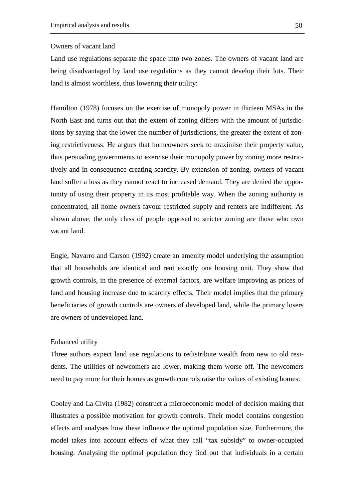### Owners of vacant land

Land use regulations separate the space into two zones. The owners of vacant land are being disadvantaged by land use regulations as they cannot develop their lots. Their land is almost worthless, thus lowering their utility:

Hamilton (1978) focuses on the exercise of monopoly power in thirteen MSAs in the North East and turns out that the extent of zoning differs with the amount of jurisdictions by saying that the lower the number of jurisdictions, the greater the extent of zoning restrictiveness. He argues that homeowners seek to maximise their property value, thus persuading governments to exercise their monopoly power by zoning more restrictively and in consequence creating scarcity. By extension of zoning, owners of vacant land suffer a loss as they cannot react to increased demand. They are denied the opportunity of using their property in its most profitable way. When the zoning authority is concentrated, all home owners favour restricted supply and renters are indifferent. As shown above, the only class of people opposed to stricter zoning are those who own vacant land.

Engle, Navarro and Carson (1992) create an amenity model underlying the assumption that all households are identical and rent exactly one housing unit. They show that growth controls, in the presence of external factors, are welfare improving as prices of land and housing increase due to scarcity effects. Their model implies that the primary beneficiaries of growth controls are owners of developed land, while the primary losers are owners of undeveloped land.

### Enhanced utility

Three authors expect land use regulations to redistribute wealth from new to old residents. The utilities of newcomers are lower, making them worse off. The newcomers need to pay more for their homes as growth controls raise the values of existing homes:

Cooley and La Civita (1982) construct a microeconomic model of decision making that illustrates a possible motivation for growth controls. Their model contains congestion effects and analyses how these influence the optimal population size. Furthermore, the model takes into account effects of what they call "tax subsidy" to owner-occupied housing. Analysing the optimal population they find out that individuals in a certain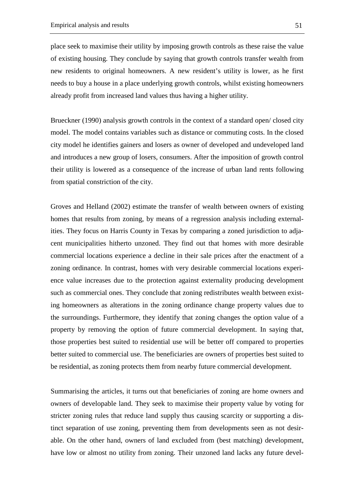place seek to maximise their utility by imposing growth controls as these raise the value of existing housing. They conclude by saying that growth controls transfer wealth from new residents to original homeowners. A new resident's utility is lower, as he first needs to buy a house in a place underlying growth controls, whilst existing homeowners already profit from increased land values thus having a higher utility.

Brueckner (1990) analysis growth controls in the context of a standard open/ closed city model. The model contains variables such as distance or commuting costs. In the closed city model he identifies gainers and losers as owner of developed and undeveloped land and introduces a new group of losers, consumers. After the imposition of growth control their utility is lowered as a consequence of the increase of urban land rents following from spatial constriction of the city.

Groves and Helland (2002) estimate the transfer of wealth between owners of existing homes that results from zoning, by means of a regression analysis including externalities. They focus on Harris County in Texas by comparing a zoned jurisdiction to adjacent municipalities hitherto unzoned. They find out that homes with more desirable commercial locations experience a decline in their sale prices after the enactment of a zoning ordinance. In contrast, homes with very desirable commercial locations experience value increases due to the protection against externality producing development such as commercial ones. They conclude that zoning redistributes wealth between existing homeowners as alterations in the zoning ordinance change property values due to the surroundings. Furthermore, they identify that zoning changes the option value of a property by removing the option of future commercial development. In saying that, those properties best suited to residential use will be better off compared to properties better suited to commercial use. The beneficiaries are owners of properties best suited to be residential, as zoning protects them from nearby future commercial development.

Summarising the articles, it turns out that beneficiaries of zoning are home owners and owners of developable land. They seek to maximise their property value by voting for stricter zoning rules that reduce land supply thus causing scarcity or supporting a distinct separation of use zoning, preventing them from developments seen as not desirable. On the other hand, owners of land excluded from (best matching) development, have low or almost no utility from zoning. Their unzoned land lacks any future devel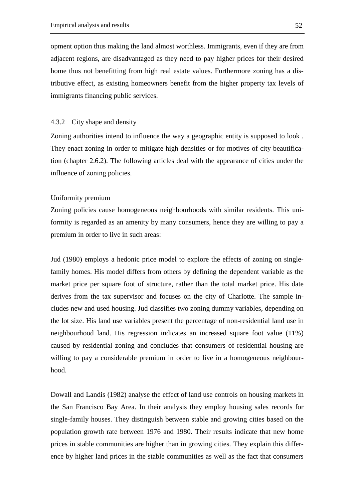opment option thus making the land almost worthless. Immigrants, even if they are from adjacent regions, are disadvantaged as they need to pay higher prices for their desired home thus not benefitting from high real estate values. Furthermore zoning has a distributive effect, as existing homeowners benefit from the higher property tax levels of immigrants financing public services.

### 4.3.2 City shape and density

Zoning authorities intend to influence the way a geographic entity is supposed to look . They enact zoning in order to mitigate high densities or for motives of city beautification (chapter 2.6.2). The following articles deal with the appearance of cities under the influence of zoning policies.

#### Uniformity premium

Zoning policies cause homogeneous neighbourhoods with similar residents. This uniformity is regarded as an amenity by many consumers, hence they are willing to pay a premium in order to live in such areas:

Jud (1980) employs a hedonic price model to explore the effects of zoning on singlefamily homes. His model differs from others by defining the dependent variable as the market price per square foot of structure, rather than the total market price. His date derives from the tax supervisor and focuses on the city of Charlotte. The sample includes new and used housing. Jud classifies two zoning dummy variables, depending on the lot size. His land use variables present the percentage of non-residential land use in neighbourhood land. His regression indicates an increased square foot value (11%) caused by residential zoning and concludes that consumers of residential housing are willing to pay a considerable premium in order to live in a homogeneous neighbourhood.

Dowall and Landis (1982) analyse the effect of land use controls on housing markets in the San Francisco Bay Area. In their analysis they employ housing sales records for single-family houses. They distinguish between stable and growing cities based on the population growth rate between 1976 and 1980. Their results indicate that new home prices in stable communities are higher than in growing cities. They explain this difference by higher land prices in the stable communities as well as the fact that consumers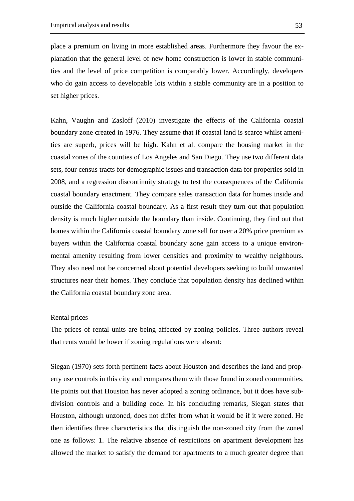place a premium on living in more established areas. Furthermore they favour the explanation that the general level of new home construction is lower in stable communities and the level of price competition is comparably lower. Accordingly, developers who do gain access to developable lots within a stable community are in a position to set higher prices.

Kahn, Vaughn and Zasloff (2010) investigate the effects of the California coastal boundary zone created in 1976. They assume that if coastal land is scarce whilst amenities are superb, prices will be high. Kahn et al. compare the housing market in the coastal zones of the counties of Los Angeles and San Diego. They use two different data sets, four census tracts for demographic issues and transaction data for properties sold in 2008, and a regression discontinuity strategy to test the consequences of the California coastal boundary enactment. They compare sales transaction data for homes inside and outside the California coastal boundary. As a first result they turn out that population density is much higher outside the boundary than inside. Continuing, they find out that homes within the California coastal boundary zone sell for over a 20% price premium as buyers within the California coastal boundary zone gain access to a unique environmental amenity resulting from lower densities and proximity to wealthy neighbours. They also need not be concerned about potential developers seeking to build unwanted structures near their homes. They conclude that population density has declined within the California coastal boundary zone area.

#### Rental prices

The prices of rental units are being affected by zoning policies. Three authors reveal that rents would be lower if zoning regulations were absent:

Siegan (1970) sets forth pertinent facts about Houston and describes the land and property use controls in this city and compares them with those found in zoned communities. He points out that Houston has never adopted a zoning ordinance, but it does have subdivision controls and a building code. In his concluding remarks, Siegan states that Houston, although unzoned, does not differ from what it would be if it were zoned. He then identifies three characteristics that distinguish the non-zoned city from the zoned one as follows: 1. The relative absence of restrictions on apartment development has allowed the market to satisfy the demand for apartments to a much greater degree than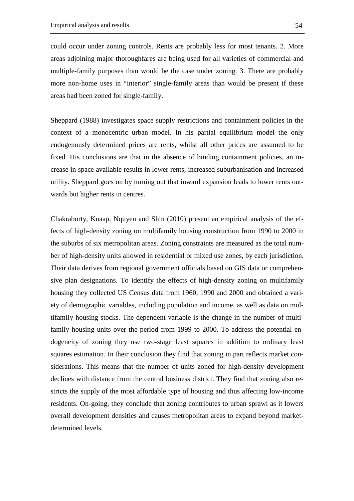could occur under zoning controls. Rents are probably less for most tenants. 2. More areas adjoining major thoroughfares are being used for all varieties of commercial and multiple-family purposes than would be the case under zoning. 3. There are probably more non-home uses in "interior" single-family areas than would be present if these areas had been zoned for single-family.

Sheppard (1988) investigates space supply restrictions and containment policies in the context of a monocentric urban model. In his partial equilibrium model the only endogenously determined prices are rents, whilst all other prices are assumed to be fixed. His conclusions are that in the absence of binding containment policies, an increase in space available results in lower rents, increased suburbanisation and increased utility. Sheppard goes on by turning out that inward expansion leads to lower rents outwards but higher rents in centres.

Chakraborty, Knaap, Nquyen and Shin (2010) present an empirical analysis of the effects of high-density zoning on multifamily housing construction from 1990 to 2000 in the suburbs of six metropolitan areas. Zoning constraints are measured as the total number of high-density units allowed in residential or mixed use zones, by each jurisdiction. Their data derives from regional government officials based on GIS data or comprehensive plan designations. To identify the effects of high-density zoning on multifamily housing they collected US Census data from 1960, 1990 and 2000 and obtained a variety of demographic variables, including population and income, as well as data on multifamily housing stocks. The dependent variable is the change in the number of multifamily housing units over the period from 1999 to 2000. To address the potential endogeneity of zoning they use two-stage least squares in addition to ordinary least squares estimation. In their conclusion they find that zoning in part reflects market considerations. This means that the number of units zoned for high-density development declines with distance from the central business district. They find that zoning also restricts the supply of the most affordable type of housing and thus affecting low-income residents. On-going, they conclude that zoning contributes to urban sprawl as it lowers overall development densities and causes metropolitan areas to expand beyond marketdetermined levels.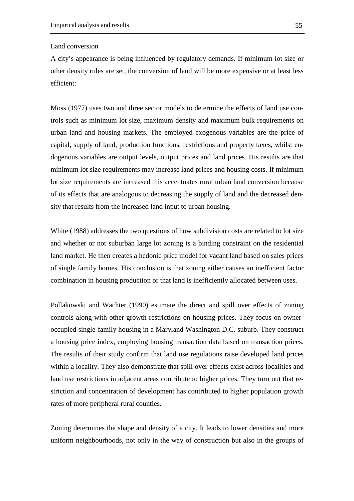### Land conversion

A city's appearance is being influenced by regulatory demands. If minimum lot size or other density rules are set, the conversion of land will be more expensive or at least less efficient:

Moss (1977) uses two and three sector models to determine the effects of land use controls such as minimum lot size, maximum density and maximum bulk requirements on urban land and housing markets. The employed exogenous variables are the price of capital, supply of land, production functions, restrictions and property taxes, whilst endogenous variables are output levels, output prices and land prices. His results are that minimum lot size requirements may increase land prices and housing costs. If minimum lot size requirements are increased this accentuates rural urban land conversion because of its effects that are analogous to decreasing the supply of land and the decreased density that results from the increased land input to urban housing.

White (1988) addresses the two questions of how subdivision costs are related to lot size and whether or not suburban large lot zoning is a binding constraint on the residential land market. He then creates a hedonic price model for vacant land based on sales prices of single family homes. His conclusion is that zoning either causes an inefficient factor combination in housing production or that land is inefficiently allocated between uses.

Pollakowski and Wachter (1990) estimate the direct and spill over effects of zoning controls along with other growth restrictions on housing prices. They focus on owneroccupied single-family housing in a Maryland Washington D.C. suburb. They construct a housing price index, employing housing transaction data based on transaction prices. The results of their study confirm that land use regulations raise developed land prices within a locality. They also demonstrate that spill over effects exist across localities and land use restrictions in adjacent areas contribute to higher prices. They turn out that restriction and concentration of development has contributed to higher population growth rates of more peripheral rural counties.

Zoning determines the shape and density of a city. It leads to lower densities and more uniform neighbourhoods, not only in the way of construction but also in the groups of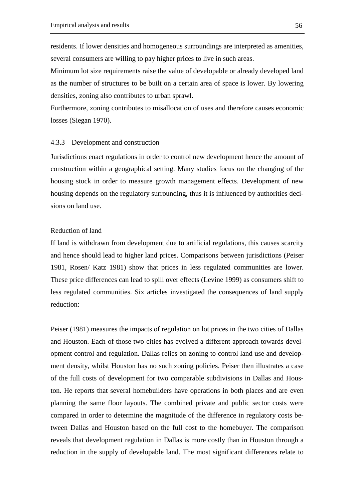residents. If lower densities and homogeneous surroundings are interpreted as amenities, several consumers are willing to pay higher prices to live in such areas.

Minimum lot size requirements raise the value of developable or already developed land as the number of structures to be built on a certain area of space is lower. By lowering densities, zoning also contributes to urban sprawl.

Furthermore, zoning contributes to misallocation of uses and therefore causes economic losses (Siegan 1970).

#### 4.3.3 Development and construction

Jurisdictions enact regulations in order to control new development hence the amount of construction within a geographical setting. Many studies focus on the changing of the housing stock in order to measure growth management effects. Development of new housing depends on the regulatory surrounding, thus it is influenced by authorities decisions on land use.

### Reduction of land

If land is withdrawn from development due to artificial regulations, this causes scarcity and hence should lead to higher land prices. Comparisons between jurisdictions (Peiser 1981, Rosen/ Katz 1981) show that prices in less regulated communities are lower. These price differences can lead to spill over effects (Levine 1999) as consumers shift to less regulated communities. Six articles investigated the consequences of land supply reduction:

Peiser (1981) measures the impacts of regulation on lot prices in the two cities of Dallas and Houston. Each of those two cities has evolved a different approach towards development control and regulation. Dallas relies on zoning to control land use and development density, whilst Houston has no such zoning policies. Peiser then illustrates a case of the full costs of development for two comparable subdivisions in Dallas and Houston. He reports that several homebuilders have operations in both places and are even planning the same floor layouts. The combined private and public sector costs were compared in order to determine the magnitude of the difference in regulatory costs between Dallas and Houston based on the full cost to the homebuyer. The comparison reveals that development regulation in Dallas is more costly than in Houston through a reduction in the supply of developable land. The most significant differences relate to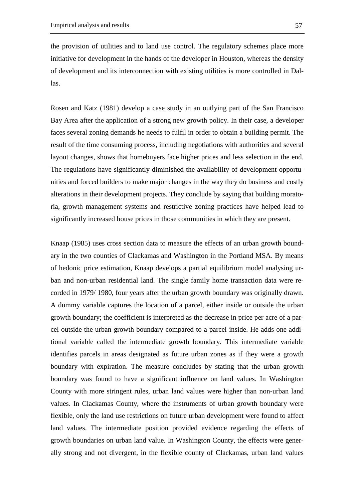the provision of utilities and to land use control. The regulatory schemes place more initiative for development in the hands of the developer in Houston, whereas the density of development and its interconnection with existing utilities is more controlled in Dallas.

Rosen and Katz (1981) develop a case study in an outlying part of the San Francisco Bay Area after the application of a strong new growth policy. In their case, a developer faces several zoning demands he needs to fulfil in order to obtain a building permit. The result of the time consuming process, including negotiations with authorities and several layout changes, shows that homebuyers face higher prices and less selection in the end. The regulations have significantly diminished the availability of development opportunities and forced builders to make major changes in the way they do business and costly alterations in their development projects. They conclude by saying that building moratoria, growth management systems and restrictive zoning practices have helped lead to significantly increased house prices in those communities in which they are present.

Knaap (1985) uses cross section data to measure the effects of an urban growth boundary in the two counties of Clackamas and Washington in the Portland MSA. By means of hedonic price estimation, Knaap develops a partial equilibrium model analysing urban and non-urban residential land. The single family home transaction data were recorded in 1979/ 1980, four years after the urban growth boundary was originally drawn. A dummy variable captures the location of a parcel, either inside or outside the urban growth boundary; the coefficient is interpreted as the decrease in price per acre of a parcel outside the urban growth boundary compared to a parcel inside. He adds one additional variable called the intermediate growth boundary. This intermediate variable identifies parcels in areas designated as future urban zones as if they were a growth boundary with expiration. The measure concludes by stating that the urban growth boundary was found to have a significant influence on land values. In Washington County with more stringent rules, urban land values were higher than non-urban land values. In Clackamas County, where the instruments of urban growth boundary were flexible, only the land use restrictions on future urban development were found to affect land values. The intermediate position provided evidence regarding the effects of growth boundaries on urban land value. In Washington County, the effects were generally strong and not divergent, in the flexible county of Clackamas, urban land values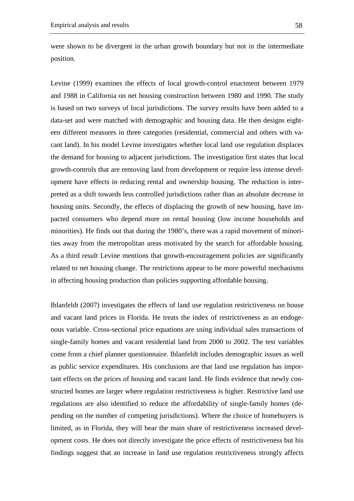were shown to be divergent in the urban growth boundary but not in the intermediate position.

Levine (1999) examines the effects of local growth-control enactment between 1979 and 1988 in California on net housing construction between 1980 and 1990. The study is based on two surveys of local jurisdictions. The survey results have been added to a data-set and were matched with demographic and housing data. He then designs eighteen different measures in three categories (residential, commercial and others with vacant land). In his model Levine investigates whether local land use regulation displaces the demand for housing to adjacent jurisdictions. The investigation first states that local growth-controls that are removing land from development or require less intense development have effects in reducing rental and ownership housing. The reduction is interpreted as a shift towards less controlled jurisdictions rather than an absolute decrease in housing units. Secondly, the effects of displacing the growth of new housing, have impacted consumers who depend more on rental housing (low income households and minorities). He finds out that during the 1980's, there was a rapid movement of minorities away from the metropolitan areas motivated by the search for affordable housing. As a third result Levine mentions that growth-encouragement policies are significantly related to net housing change. The restrictions appear to be more powerful mechanisms in affecting housing production than policies supporting affordable housing.

Ihlanfeldt (2007) investigates the effects of land use regulation restrictiveness on house and vacant land prices in Florida. He treats the index of restrictiveness as an endogenous variable. Cross-sectional price equations are using individual sales transactions of single-family homes and vacant residential land from 2000 to 2002. The test variables come from a chief planner questionnaire. Ihlanfeldt includes demographic issues as well as public service expenditures. His conclusions are that land use regulation has important effects on the prices of housing and vacant land. He finds evidence that newly constructed homes are larger where regulation restrictiveness is higher. Restrictive land use regulations are also identified to reduce the affordability of single-family homes (depending on the number of competing jurisdictions). Where the choice of homebuyers is limited, as in Florida, they will bear the main share of restrictiveness increased development costs. He does not directly investigate the price effects of restrictiveness but his findings suggest that an increase in land use regulation restrictiveness strongly affects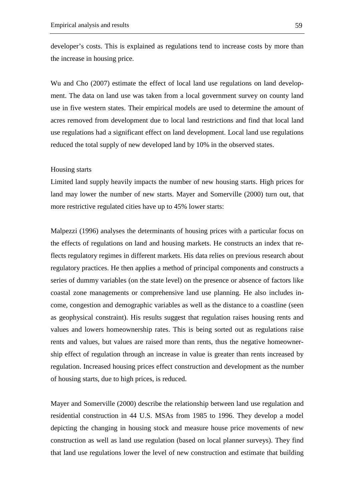developer's costs. This is explained as regulations tend to increase costs by more than the increase in housing price.

Wu and Cho (2007) estimate the effect of local land use regulations on land development. The data on land use was taken from a local government survey on county land use in five western states. Their empirical models are used to determine the amount of acres removed from development due to local land restrictions and find that local land use regulations had a significant effect on land development. Local land use regulations reduced the total supply of new developed land by 10% in the observed states.

#### Housing starts

Limited land supply heavily impacts the number of new housing starts. High prices for land may lower the number of new starts. Mayer and Somerville (2000) turn out, that more restrictive regulated cities have up to 45% lower starts:

Malpezzi (1996) analyses the determinants of housing prices with a particular focus on the effects of regulations on land and housing markets. He constructs an index that reflects regulatory regimes in different markets. His data relies on previous research about regulatory practices. He then applies a method of principal components and constructs a series of dummy variables (on the state level) on the presence or absence of factors like coastal zone managements or comprehensive land use planning. He also includes income, congestion and demographic variables as well as the distance to a coastline (seen as geophysical constraint). His results suggest that regulation raises housing rents and values and lowers homeownership rates. This is being sorted out as regulations raise rents and values, but values are raised more than rents, thus the negative homeownership effect of regulation through an increase in value is greater than rents increased by regulation. Increased housing prices effect construction and development as the number of housing starts, due to high prices, is reduced.

Mayer and Somerville (2000) describe the relationship between land use regulation and residential construction in 44 U.S. MSAs from 1985 to 1996. They develop a model depicting the changing in housing stock and measure house price movements of new construction as well as land use regulation (based on local planner surveys). They find that land use regulations lower the level of new construction and estimate that building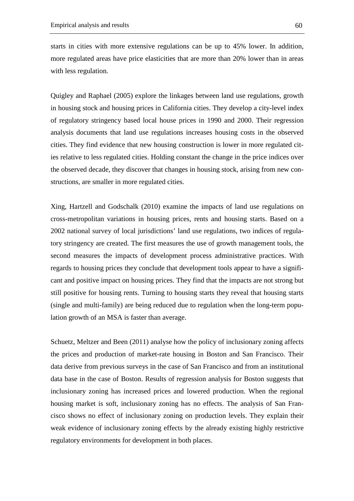starts in cities with more extensive regulations can be up to 45% lower. In addition, more regulated areas have price elasticities that are more than 20% lower than in areas with less regulation.

Quigley and Raphael (2005) explore the linkages between land use regulations, growth in housing stock and housing prices in California cities. They develop a city-level index of regulatory stringency based local house prices in 1990 and 2000. Their regression analysis documents that land use regulations increases housing costs in the observed cities. They find evidence that new housing construction is lower in more regulated cities relative to less regulated cities. Holding constant the change in the price indices over the observed decade, they discover that changes in housing stock, arising from new constructions, are smaller in more regulated cities.

Xing, Hartzell and Godschalk (2010) examine the impacts of land use regulations on cross-metropolitan variations in housing prices, rents and housing starts. Based on a 2002 national survey of local jurisdictions' land use regulations, two indices of regulatory stringency are created. The first measures the use of growth management tools, the second measures the impacts of development process administrative practices. With regards to housing prices they conclude that development tools appear to have a significant and positive impact on housing prices. They find that the impacts are not strong but still positive for housing rents. Turning to housing starts they reveal that housing starts (single and multi-family) are being reduced due to regulation when the long-term population growth of an MSA is faster than average.

Schuetz, Meltzer and Been (2011) analyse how the policy of inclusionary zoning affects the prices and production of market-rate housing in Boston and San Francisco. Their data derive from previous surveys in the case of San Francisco and from an institutional data base in the case of Boston. Results of regression analysis for Boston suggests that inclusionary zoning has increased prices and lowered production. When the regional housing market is soft, inclusionary zoning has no effects. The analysis of San Francisco shows no effect of inclusionary zoning on production levels. They explain their weak evidence of inclusionary zoning effects by the already existing highly restrictive regulatory environments for development in both places.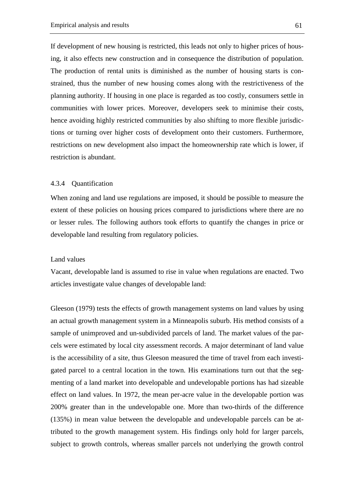If development of new housing is restricted, this leads not only to higher prices of housing, it also effects new construction and in consequence the distribution of population. The production of rental units is diminished as the number of housing starts is constrained, thus the number of new housing comes along with the restrictiveness of the planning authority. If housing in one place is regarded as too costly, consumers settle in communities with lower prices. Moreover, developers seek to minimise their costs, hence avoiding highly restricted communities by also shifting to more flexible jurisdictions or turning over higher costs of development onto their customers. Furthermore, restrictions on new development also impact the homeownership rate which is lower, if restriction is abundant.

#### 4.3.4 Quantification

When zoning and land use regulations are imposed, it should be possible to measure the extent of these policies on housing prices compared to jurisdictions where there are no or lesser rules. The following authors took efforts to quantify the changes in price or developable land resulting from regulatory policies.

### Land values

Vacant, developable land is assumed to rise in value when regulations are enacted. Two articles investigate value changes of developable land:

Gleeson (1979) tests the effects of growth management systems on land values by using an actual growth management system in a Minneapolis suburb. His method consists of a sample of unimproved and un-subdivided parcels of land. The market values of the parcels were estimated by local city assessment records. A major determinant of land value is the accessibility of a site, thus Gleeson measured the time of travel from each investigated parcel to a central location in the town. His examinations turn out that the segmenting of a land market into developable and undevelopable portions has had sizeable effect on land values. In 1972, the mean per-acre value in the developable portion was 200% greater than in the undevelopable one. More than two-thirds of the difference (135%) in mean value between the developable and undevelopable parcels can be attributed to the growth management system. His findings only hold for larger parcels, subject to growth controls, whereas smaller parcels not underlying the growth control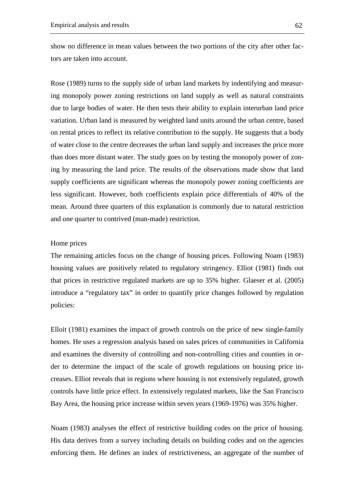show no difference in mean values between the two portions of the city after other factors are taken into account.

Rose (1989) turns to the supply side of urban land markets by indentifying and measuring monopoly power zoning restrictions on land supply as well as natural constraints due to large bodies of water. He then tests their ability to explain interurban land price variation. Urban land is measured by weighted land units around the urban centre, based on rental prices to reflect its relative contribution to the supply. He suggests that a body of water close to the centre decreases the urban land supply and increases the price more than does more distant water. The study goes on by testing the monopoly power of zoning by measuring the land price. The results of the observations made show that land supply coefficients are significant whereas the monopoly power zoning coefficients are less significant. However, both coefficients explain price differentials of 40% of the mean. Around three quarters of this explanation is commonly due to natural restriction and one quarter to contrived (man-made) restriction.

### Home prices

The remaining articles focus on the change of housing prices. Following Noam (1983) housing values are positively related to regulatory stringency. Elliot (1981) finds out that prices in restrictive regulated markets are up to 35% higher. Glaeser et al. (2005) introduce a "regulatory tax" in order to quantify price changes followed by regulation policies:

Elloit (1981) examines the impact of growth controls on the price of new single-family homes. He uses a regression analysis based on sales prices of communities in California and examines the diversity of controlling and non-controlling cities and counties in order to determine the impact of the scale of growth regulations on housing price increases. Elliot reveals that in regions where housing is not extensively regulated, growth controls have little price effect. In extensively regulated markets, like the San Francisco Bay Area, the housing price increase within seven years (1969-1976) was 35% higher.

Noam (1983) analyses the effect of restrictive building codes on the price of housing. His data derives from a survey including details on building codes and on the agencies enforcing them. He defines an index of restrictiveness, an aggregate of the number of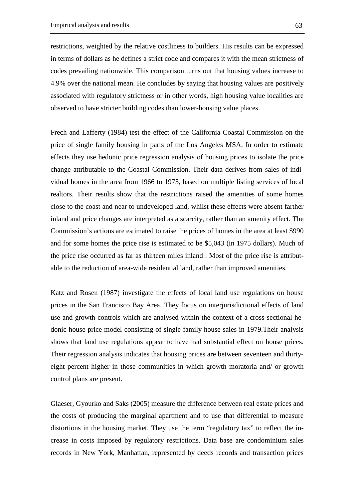restrictions, weighted by the relative costliness to builders. His results can be expressed in terms of dollars as he defines a strict code and compares it with the mean strictness of codes prevailing nationwide. This comparison turns out that housing values increase to 4.9% over the national mean. He concludes by saying that housing values are positively associated with regulatory strictness or in other words, high housing value localities are observed to have stricter building codes than lower-housing value places.

Frech and Lafferty (1984) test the effect of the California Coastal Commission on the price of single family housing in parts of the Los Angeles MSA. In order to estimate effects they use hedonic price regression analysis of housing prices to isolate the price change attributable to the Coastal Commission. Their data derives from sales of individual homes in the area from 1966 to 1975, based on multiple listing services of local realtors. Their results show that the restrictions raised the amenities of some homes close to the coast and near to undeveloped land, whilst these effects were absent farther inland and price changes are interpreted as a scarcity, rather than an amenity effect. The Commission's actions are estimated to raise the prices of homes in the area at least \$990 and for some homes the price rise is estimated to be \$5,043 (in 1975 dollars). Much of the price rise occurred as far as thirteen miles inland . Most of the price rise is attributable to the reduction of area-wide residential land, rather than improved amenities.

Katz and Rosen (1987) investigate the effects of local land use regulations on house prices in the San Francisco Bay Area. They focus on interjurisdictional effects of land use and growth controls which are analysed within the context of a cross-sectional hedonic house price model consisting of single-family house sales in 1979.Their analysis shows that land use regulations appear to have had substantial effect on house prices. Their regression analysis indicates that housing prices are between seventeen and thirtyeight percent higher in those communities in which growth moratoria and/ or growth control plans are present.

Glaeser, Gyourko and Saks (2005) measure the difference between real estate prices and the costs of producing the marginal apartment and to use that differential to measure distortions in the housing market. They use the term "regulatory tax" to reflect the increase in costs imposed by regulatory restrictions. Data base are condominium sales records in New York, Manhattan, represented by deeds records and transaction prices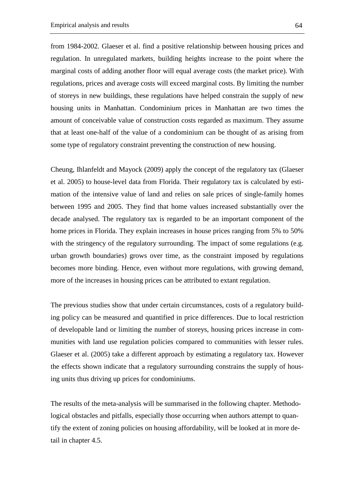from 1984-2002. Glaeser et al. find a positive relationship between housing prices and regulation. In unregulated markets, building heights increase to the point where the marginal costs of adding another floor will equal average costs (the market price). With regulations, prices and average costs will exceed marginal costs. By limiting the number of storeys in new buildings, these regulations have helped constrain the supply of new housing units in Manhattan. Condominium prices in Manhattan are two times the amount of conceivable value of construction costs regarded as maximum. They assume that at least one-half of the value of a condominium can be thought of as arising from some type of regulatory constraint preventing the construction of new housing.

Cheung, Ihlanfeldt and Mayock (2009) apply the concept of the regulatory tax (Glaeser et al. 2005) to house-level data from Florida. Their regulatory tax is calculated by estimation of the intensive value of land and relies on sale prices of single-family homes between 1995 and 2005. They find that home values increased substantially over the decade analysed. The regulatory tax is regarded to be an important component of the home prices in Florida. They explain increases in house prices ranging from 5% to 50% with the stringency of the regulatory surrounding. The impact of some regulations (e.g. urban growth boundaries) grows over time, as the constraint imposed by regulations becomes more binding. Hence, even without more regulations, with growing demand, more of the increases in housing prices can be attributed to extant regulation.

The previous studies show that under certain circumstances, costs of a regulatory building policy can be measured and quantified in price differences. Due to local restriction of developable land or limiting the number of storeys, housing prices increase in communities with land use regulation policies compared to communities with lesser rules. Glaeser et al. (2005) take a different approach by estimating a regulatory tax. However the effects shown indicate that a regulatory surrounding constrains the supply of housing units thus driving up prices for condominiums.

The results of the meta-analysis will be summarised in the following chapter. Methodological obstacles and pitfalls, especially those occurring when authors attempt to quantify the extent of zoning policies on housing affordability, will be looked at in more detail in chapter 4.5.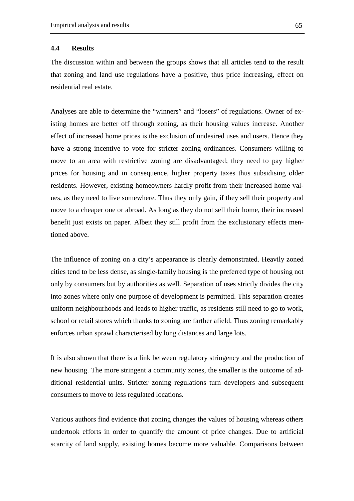#### **4.4 Results**

The discussion within and between the groups shows that all articles tend to the result that zoning and land use regulations have a positive, thus price increasing, effect on residential real estate.

Analyses are able to determine the "winners" and "losers" of regulations. Owner of existing homes are better off through zoning, as their housing values increase. Another effect of increased home prices is the exclusion of undesired uses and users. Hence they have a strong incentive to vote for stricter zoning ordinances. Consumers willing to move to an area with restrictive zoning are disadvantaged; they need to pay higher prices for housing and in consequence, higher property taxes thus subsidising older residents. However, existing homeowners hardly profit from their increased home values, as they need to live somewhere. Thus they only gain, if they sell their property and move to a cheaper one or abroad. As long as they do not sell their home, their increased benefit just exists on paper. Albeit they still profit from the exclusionary effects mentioned above.

The influence of zoning on a city's appearance is clearly demonstrated. Heavily zoned cities tend to be less dense, as single-family housing is the preferred type of housing not only by consumers but by authorities as well. Separation of uses strictly divides the city into zones where only one purpose of development is permitted. This separation creates uniform neighbourhoods and leads to higher traffic, as residents still need to go to work, school or retail stores which thanks to zoning are farther afield. Thus zoning remarkably enforces urban sprawl characterised by long distances and large lots.

It is also shown that there is a link between regulatory stringency and the production of new housing. The more stringent a community zones, the smaller is the outcome of additional residential units. Stricter zoning regulations turn developers and subsequent consumers to move to less regulated locations.

Various authors find evidence that zoning changes the values of housing whereas others undertook efforts in order to quantify the amount of price changes. Due to artificial scarcity of land supply, existing homes become more valuable. Comparisons between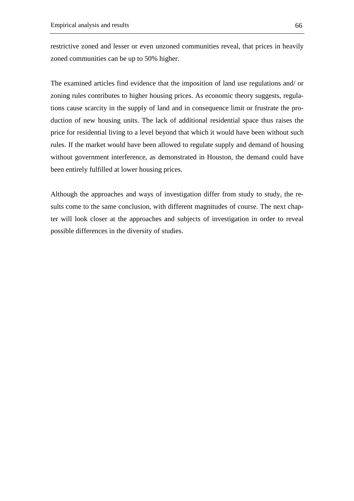restrictive zoned and lesser or even unzoned communities reveal, that prices in heavily zoned communities can be up to 50% higher.

The examined articles find evidence that the imposition of land use regulations and/ or zoning rules contributes to higher housing prices. As economic theory suggests, regulations cause scarcity in the supply of land and in consequence limit or frustrate the production of new housing units. The lack of additional residential space thus raises the price for residential living to a level beyond that which it would have been without such rules. If the market would have been allowed to regulate supply and demand of housing without government interference, as demonstrated in Houston, the demand could have been entirely fulfilled at lower housing prices.

Although the approaches and ways of investigation differ from study to study, the results come to the same conclusion, with different magnitudes of course. The next chapter will look closer at the approaches and subjects of investigation in order to reveal possible differences in the diversity of studies.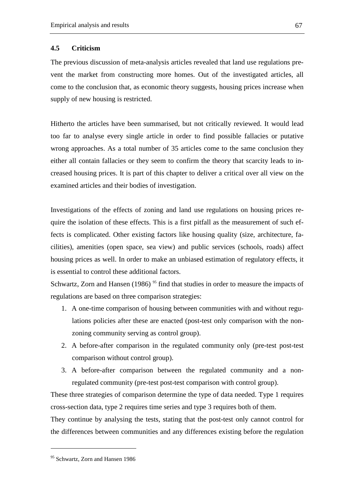#### **4.5 Criticism**

The previous discussion of meta-analysis articles revealed that land use regulations prevent the market from constructing more homes. Out of the investigated articles, all come to the conclusion that, as economic theory suggests, housing prices increase when supply of new housing is restricted.

Hitherto the articles have been summarised, but not critically reviewed. It would lead too far to analyse every single article in order to find possible fallacies or putative wrong approaches. As a total number of 35 articles come to the same conclusion they either all contain fallacies or they seem to confirm the theory that scarcity leads to increased housing prices. It is part of this chapter to deliver a critical over all view on the examined articles and their bodies of investigation.

Investigations of the effects of zoning and land use regulations on housing prices require the isolation of these effects. This is a first pitfall as the measurement of such effects is complicated. Other existing factors like housing quality (size, architecture, facilities), amenities (open space, sea view) and public services (schools, roads) affect housing prices as well. In order to make an unbiased estimation of regulatory effects, it is essential to control these additional factors.

Schwartz, Zorn and Hansen (1986)  $95$  find that studies in order to measure the impacts of regulations are based on three comparison strategies:

- 1. A one-time comparison of housing between communities with and without regulations policies after these are enacted (post-test only comparison with the nonzoning community serving as control group).
- 2. A before-after comparison in the regulated community only (pre-test post-test comparison without control group).
- 3. A before-after comparison between the regulated community and a nonregulated community (pre-test post-test comparison with control group).

These three strategies of comparison determine the type of data needed. Type 1 requires cross-section data, type 2 requires time series and type 3 requires both of them.

They continue by analysing the tests, stating that the post-test only cannot control for the differences between communities and any differences existing before the regulation

<sup>&</sup>lt;sup>95</sup> Schwartz, Zorn and Hansen 1986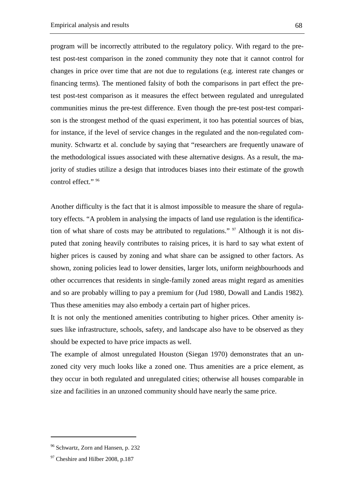program will be incorrectly attributed to the regulatory policy. With regard to the pretest post-test comparison in the zoned community they note that it cannot control for changes in price over time that are not due to regulations (e.g. interest rate changes or financing terms). The mentioned falsity of both the comparisons in part effect the pretest post-test comparison as it measures the effect between regulated and unregulated communities minus the pre-test difference. Even though the pre-test post-test comparison is the strongest method of the quasi experiment, it too has potential sources of bias, for instance, if the level of service changes in the regulated and the non-regulated community. Schwartz et al. conclude by saying that "researchers are frequently unaware of the methodological issues associated with these alternative designs. As a result, the majority of studies utilize a design that introduces biases into their estimate of the growth control effect." 96

Another difficulty is the fact that it is almost impossible to measure the share of regulatory effects. "A problem in analysing the impacts of land use regulation is the identification of what share of costs may be attributed to regulations."  $\frac{97}{7}$  Although it is not disputed that zoning heavily contributes to raising prices, it is hard to say what extent of higher prices is caused by zoning and what share can be assigned to other factors. As shown, zoning policies lead to lower densities, larger lots, uniform neighbourhoods and other occurrences that residents in single-family zoned areas might regard as amenities and so are probably willing to pay a premium for (Jud 1980, Dowall and Landis 1982). Thus these amenities may also embody a certain part of higher prices.

It is not only the mentioned amenities contributing to higher prices. Other amenity issues like infrastructure, schools, safety, and landscape also have to be observed as they should be expected to have price impacts as well.

The example of almost unregulated Houston (Siegan 1970) demonstrates that an unzoned city very much looks like a zoned one. Thus amenities are a price element, as they occur in both regulated and unregulated cities; otherwise all houses comparable in size and facilities in an unzoned community should have nearly the same price.

<sup>96</sup> Schwartz, Zorn and Hansen, p. 232

<sup>&</sup>lt;sup>97</sup> Cheshire and Hilber 2008, p.187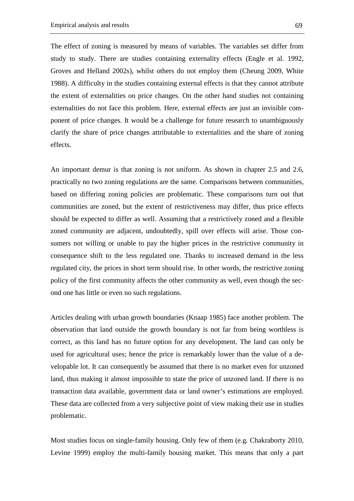The effect of zoning is measured by means of variables. The variables set differ from study to study. There are studies containing externality effects (Engle et al. 1992, Groves and Helland 2002s), whilst others do not employ them (Cheung 2009, White 1988). A difficulty in the studies containing external effects is that they cannot attribute the extent of externalities on price changes. On the other hand studies not containing externalities do not face this problem. Here, external effects are just an invisible component of price changes. It would be a challenge for future research to unambiguously clarify the share of price changes attributable to externalities and the share of zoning effects.

An important demur is that zoning is not uniform. As shown in chapter 2.5 and 2.6, practically no two zoning regulations are the same. Comparisons between communities, based on differing zoning policies are problematic. These comparisons turn out that communities are zoned, but the extent of restrictiveness may differ, thus price effects should be expected to differ as well. Assuming that a restrictively zoned and a flexible zoned community are adjacent, undoubtedly, spill over effects will arise. Those consumers not willing or unable to pay the higher prices in the restrictive community in consequence shift to the less regulated one. Thanks to increased demand in the less regulated city, the prices in short term should rise. In other words, the restrictive zoning policy of the first community affects the other community as well, even though the second one has little or even no such regulations.

Articles dealing with urban growth boundaries (Knaap 1985) face another problem. The observation that land outside the growth boundary is not far from being worthless is correct, as this land has no future option for any development. The land can only be used for agricultural uses; hence the price is remarkably lower than the value of a developable lot. It can consequently be assumed that there is no market even for unzoned land, thus making it almost impossible to state the price of unzoned land. If there is no transaction data available, government data or land owner's estimations are employed. These data are collected from a very subjective point of view making their use in studies problematic.

Most studies focus on single-family housing. Only few of them (e.g. Chakraborty 2010, Levine 1999) employ the multi-family housing market. This means that only a part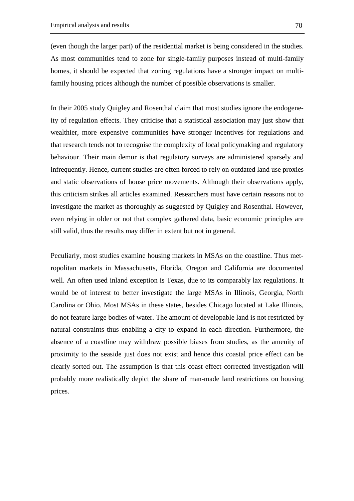(even though the larger part) of the residential market is being considered in the studies. As most communities tend to zone for single-family purposes instead of multi-family homes, it should be expected that zoning regulations have a stronger impact on multifamily housing prices although the number of possible observations is smaller.

In their 2005 study Quigley and Rosenthal claim that most studies ignore the endogeneity of regulation effects. They criticise that a statistical association may just show that wealthier, more expensive communities have stronger incentives for regulations and that research tends not to recognise the complexity of local policymaking and regulatory behaviour. Their main demur is that regulatory surveys are administered sparsely and infrequently. Hence, current studies are often forced to rely on outdated land use proxies and static observations of house price movements. Although their observations apply, this criticism strikes all articles examined. Researchers must have certain reasons not to investigate the market as thoroughly as suggested by Quigley and Rosenthal. However, even relying in older or not that complex gathered data, basic economic principles are still valid, thus the results may differ in extent but not in general.

Peculiarly, most studies examine housing markets in MSAs on the coastline. Thus metropolitan markets in Massachusetts, Florida, Oregon and California are documented well. An often used inland exception is Texas, due to its comparably lax regulations. It would be of interest to better investigate the large MSAs in Illinois, Georgia, North Carolina or Ohio. Most MSAs in these states, besides Chicago located at Lake Illinois, do not feature large bodies of water. The amount of developable land is not restricted by natural constraints thus enabling a city to expand in each direction. Furthermore, the absence of a coastline may withdraw possible biases from studies, as the amenity of proximity to the seaside just does not exist and hence this coastal price effect can be clearly sorted out. The assumption is that this coast effect corrected investigation will probably more realistically depict the share of man-made land restrictions on housing prices.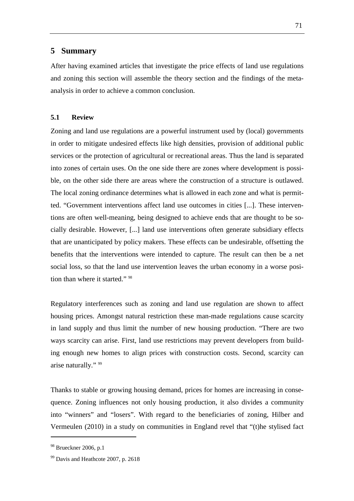### **5 Summary**

After having examined articles that investigate the price effects of land use regulations and zoning this section will assemble the theory section and the findings of the metaanalysis in order to achieve a common conclusion.

### **5.1 Review**

Zoning and land use regulations are a powerful instrument used by (local) governments in order to mitigate undesired effects like high densities, provision of additional public services or the protection of agricultural or recreational areas. Thus the land is separated into zones of certain uses. On the one side there are zones where development is possible, on the other side there are areas where the construction of a structure is outlawed. The local zoning ordinance determines what is allowed in each zone and what is permitted. "Government interventions affect land use outcomes in cities [...]. These interventions are often well-meaning, being designed to achieve ends that are thought to be socially desirable. However, [...] land use interventions often generate subsidiary effects that are unanticipated by policy makers. These effects can be undesirable, offsetting the benefits that the interventions were intended to capture. The result can then be a net social loss, so that the land use intervention leaves the urban economy in a worse position than where it started." 98

Regulatory interferences such as zoning and land use regulation are shown to affect housing prices. Amongst natural restriction these man-made regulations cause scarcity in land supply and thus limit the number of new housing production. "There are two ways scarcity can arise. First, land use restrictions may prevent developers from building enough new homes to align prices with construction costs. Second, scarcity can arise naturally." 99

Thanks to stable or growing housing demand, prices for homes are increasing in consequence. Zoning influences not only housing production, it also divides a community into "winners" and "losers". With regard to the beneficiaries of zoning, Hilber and Vermeulen (2010) in a study on communities in England revel that "(t)he stylised fact

<sup>&</sup>lt;sup>98</sup> Brueckner 2006, p.1

<sup>&</sup>lt;sup>99</sup> Davis and Heathcote 2007, p. 2618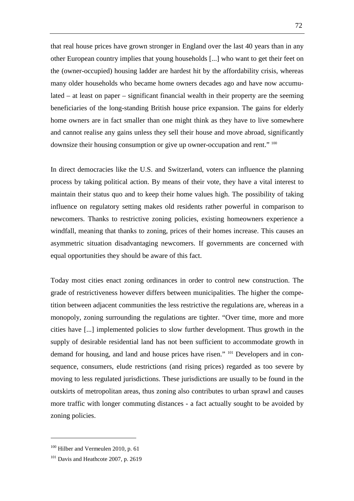that real house prices have grown stronger in England over the last 40 years than in any other European country implies that young households [...] who want to get their feet on the (owner-occupied) housing ladder are hardest hit by the affordability crisis, whereas many older households who became home owners decades ago and have now accumulated – at least on paper – significant financial wealth in their property are the seeming beneficiaries of the long-standing British house price expansion. The gains for elderly home owners are in fact smaller than one might think as they have to live somewhere and cannot realise any gains unless they sell their house and move abroad, significantly downsize their housing consumption or give up owner-occupation and rent." 100

In direct democracies like the U.S. and Switzerland, voters can influence the planning process by taking political action. By means of their vote, they have a vital interest to maintain their status quo and to keep their home values high. The possibility of taking influence on regulatory setting makes old residents rather powerful in comparison to newcomers. Thanks to restrictive zoning policies, existing homeowners experience a windfall, meaning that thanks to zoning, prices of their homes increase. This causes an asymmetric situation disadvantaging newcomers. If governments are concerned with equal opportunities they should be aware of this fact.

Today most cities enact zoning ordinances in order to control new construction. The grade of restrictiveness however differs between municipalities. The higher the competition between adjacent communities the less restrictive the regulations are, whereas in a monopoly, zoning surrounding the regulations are tighter. "Over time, more and more cities have [...] implemented policies to slow further development. Thus growth in the supply of desirable residential land has not been sufficient to accommodate growth in demand for housing, and land and house prices have risen." 101 Developers and in consequence, consumers, elude restrictions (and rising prices) regarded as too severe by moving to less regulated jurisdictions. These jurisdictions are usually to be found in the outskirts of metropolitan areas, thus zoning also contributes to urban sprawl and causes more traffic with longer commuting distances - a fact actually sought to be avoided by zoning policies.

<sup>&</sup>lt;sup>100</sup> Hilber and Vermeulen 2010, p. 61

<sup>&</sup>lt;sup>101</sup> Davis and Heathcote 2007, p. 2619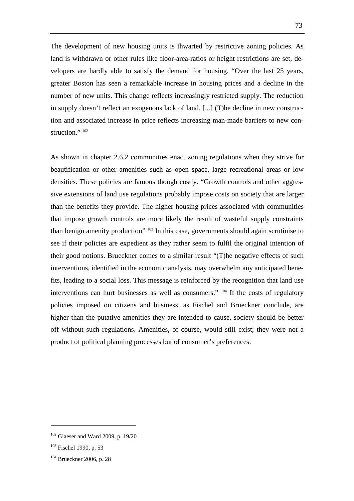The development of new housing units is thwarted by restrictive zoning policies. As land is withdrawn or other rules like floor-area-ratios or height restrictions are set, developers are hardly able to satisfy the demand for housing. "Over the last 25 years, greater Boston has seen a remarkable increase in housing prices and a decline in the number of new units. This change reflects increasingly restricted supply. The reduction in supply doesn't reflect an exogenous lack of land. [...] (T)he decline in new construction and associated increase in price reflects increasing man-made barriers to new construction." 102

As shown in chapter 2.6.2 communities enact zoning regulations when they strive for beautification or other amenities such as open space, large recreational areas or low densities. These policies are famous though costly. "Growth controls and other aggressive extensions of land use regulations probably impose costs on society that are larger than the benefits they provide. The higher housing prices associated with communities that impose growth controls are more likely the result of wasteful supply constraints than benign amenity production" <sup>103</sup> In this case, governments should again scrutinise to see if their policies are expedient as they rather seem to fulfil the original intention of their good notions. Brueckner comes to a similar result "(T)he negative effects of such interventions, identified in the economic analysis, may overwhelm any anticipated benefits, leading to a social loss. This message is reinforced by the recognition that land use interventions can hurt businesses as well as consumers." <sup>104</sup> If the costs of regulatory policies imposed on citizens and business, as Fischel and Brueckner conclude, are higher than the putative amenities they are intended to cause, society should be better off without such regulations. Amenities, of course, would still exist; they were not a product of political planning processes but of consumer's preferences.

<sup>102</sup> Glaeser and Ward 2009, p. 19/20

<sup>103</sup> Fischel 1990, p. 53

<sup>104</sup> Brueckner 2006, p. 28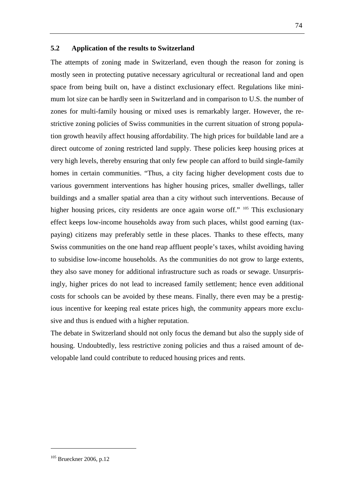#### **5.2 Application of the results to Switzerland**

The attempts of zoning made in Switzerland, even though the reason for zoning is mostly seen in protecting putative necessary agricultural or recreational land and open space from being built on, have a distinct exclusionary effect. Regulations like minimum lot size can be hardly seen in Switzerland and in comparison to U.S. the number of zones for multi-family housing or mixed uses is remarkably larger. However, the restrictive zoning policies of Swiss communities in the current situation of strong population growth heavily affect housing affordability. The high prices for buildable land are a direct outcome of zoning restricted land supply. These policies keep housing prices at very high levels, thereby ensuring that only few people can afford to build single-family homes in certain communities. "Thus, a city facing higher development costs due to various government interventions has higher housing prices, smaller dwellings, taller buildings and a smaller spatial area than a city without such interventions. Because of higher housing prices, city residents are once again worse off." <sup>105</sup> This exclusionary effect keeps low-income households away from such places, whilst good earning (taxpaying) citizens may preferably settle in these places. Thanks to these effects, many Swiss communities on the one hand reap affluent people's taxes, whilst avoiding having to subsidise low-income households. As the communities do not grow to large extents, they also save money for additional infrastructure such as roads or sewage. Unsurprisingly, higher prices do not lead to increased family settlement; hence even additional costs for schools can be avoided by these means. Finally, there even may be a prestigious incentive for keeping real estate prices high, the community appears more exclusive and thus is endued with a higher reputation.

The debate in Switzerland should not only focus the demand but also the supply side of housing. Undoubtedly, less restrictive zoning policies and thus a raised amount of developable land could contribute to reduced housing prices and rents.

<sup>74</sup>

<sup>&</sup>lt;sup>105</sup> Brueckner 2006, p.12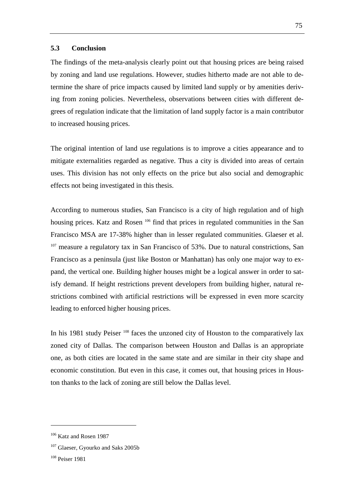#### **5.3 Conclusion**

The findings of the meta-analysis clearly point out that housing prices are being raised by zoning and land use regulations. However, studies hitherto made are not able to determine the share of price impacts caused by limited land supply or by amenities deriving from zoning policies. Nevertheless, observations between cities with different degrees of regulation indicate that the limitation of land supply factor is a main contributor to increased housing prices.

The original intention of land use regulations is to improve a cities appearance and to mitigate externalities regarded as negative. Thus a city is divided into areas of certain uses. This division has not only effects on the price but also social and demographic effects not being investigated in this thesis.

According to numerous studies, San Francisco is a city of high regulation and of high housing prices. Katz and Rosen<sup>106</sup> find that prices in regulated communities in the San Francisco MSA are 17-38% higher than in lesser regulated communities. Glaeser et al.  $107$  measure a regulatory tax in San Francisco of 53%. Due to natural constrictions, San Francisco as a peninsula (just like Boston or Manhattan) has only one major way to expand, the vertical one. Building higher houses might be a logical answer in order to satisfy demand. If height restrictions prevent developers from building higher, natural restrictions combined with artificial restrictions will be expressed in even more scarcity leading to enforced higher housing prices.

In his 1981 study Peiser<sup>108</sup> faces the unzoned city of Houston to the comparatively lax zoned city of Dallas. The comparison between Houston and Dallas is an appropriate one, as both cities are located in the same state and are similar in their city shape and economic constitution. But even in this case, it comes out, that housing prices in Houston thanks to the lack of zoning are still below the Dallas level.

<sup>106</sup> Katz and Rosen 1987

<sup>&</sup>lt;sup>107</sup> Glaeser, Gyourko and Saks 2005b

<sup>108</sup> Peiser 1981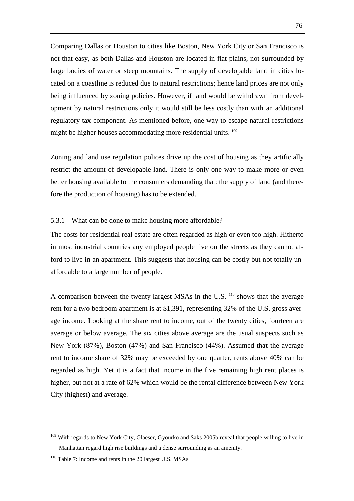Comparing Dallas or Houston to cities like Boston, New York City or San Francisco is not that easy, as both Dallas and Houston are located in flat plains, not surrounded by large bodies of water or steep mountains. The supply of developable land in cities located on a coastline is reduced due to natural restrictions; hence land prices are not only being influenced by zoning policies. However, if land would be withdrawn from development by natural restrictions only it would still be less costly than with an additional regulatory tax component. As mentioned before, one way to escape natural restrictions might be higher houses accommodating more residential units. <sup>109</sup>

Zoning and land use regulation polices drive up the cost of housing as they artificially restrict the amount of developable land. There is only one way to make more or even better housing available to the consumers demanding that: the supply of land (and therefore the production of housing) has to be extended.

### 5.3.1 What can be done to make housing more affordable?

The costs for residential real estate are often regarded as high or even too high. Hitherto in most industrial countries any employed people live on the streets as they cannot afford to live in an apartment. This suggests that housing can be costly but not totally unaffordable to a large number of people.

A comparison between the twenty largest MSAs in the U.S.  $^{110}$  shows that the average rent for a two bedroom apartment is at \$1,391, representing 32% of the U.S. gross average income. Looking at the share rent to income, out of the twenty cities, fourteen are average or below average. The six cities above average are the usual suspects such as New York (87%), Boston (47%) and San Francisco (44%). Assumed that the average rent to income share of 32% may be exceeded by one quarter, rents above 40% can be regarded as high. Yet it is a fact that income in the five remaining high rent places is higher, but not at a rate of 62% which would be the rental difference between New York City (highest) and average.

<sup>&</sup>lt;sup>109</sup> With regards to New York City, Glaeser, Gyourko and Saks 2005b reveal that people willing to live in Manhattan regard high rise buildings and a dense surrounding as an amenity.

<sup>110</sup> Table 7: Income and rents in the 20 largest U.S. MSAs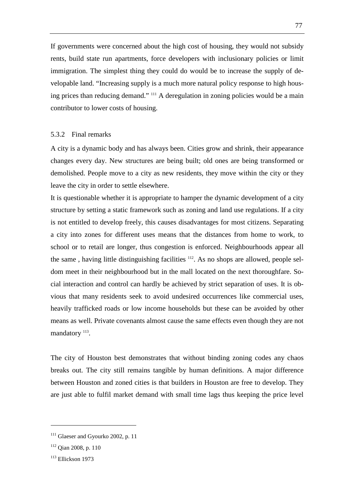If governments were concerned about the high cost of housing, they would not subsidy rents, build state run apartments, force developers with inclusionary policies or limit immigration. The simplest thing they could do would be to increase the supply of developable land. "Increasing supply is a much more natural policy response to high housing prices than reducing demand." <sup>111</sup> A deregulation in zoning policies would be a main contributor to lower costs of housing.

#### 5.3.2 Final remarks

A city is a dynamic body and has always been. Cities grow and shrink, their appearance changes every day. New structures are being built; old ones are being transformed or demolished. People move to a city as new residents, they move within the city or they leave the city in order to settle elsewhere.

It is questionable whether it is appropriate to hamper the dynamic development of a city structure by setting a static framework such as zoning and land use regulations. If a city is not entitled to develop freely, this causes disadvantages for most citizens. Separating a city into zones for different uses means that the distances from home to work, to school or to retail are longer, thus congestion is enforced. Neighbourhoods appear all the same, having little distinguishing facilities  $112$ . As no shops are allowed, people seldom meet in their neighbourhood but in the mall located on the next thoroughfare. Social interaction and control can hardly be achieved by strict separation of uses. It is obvious that many residents seek to avoid undesired occurrences like commercial uses, heavily trafficked roads or low income households but these can be avoided by other means as well. Private covenants almost cause the same effects even though they are not mandatory <sup>113</sup>.

The city of Houston best demonstrates that without binding zoning codes any chaos breaks out. The city still remains tangible by human definitions. A major difference between Houston and zoned cities is that builders in Houston are free to develop. They are just able to fulfil market demand with small time lags thus keeping the price level

<sup>&</sup>lt;sup>111</sup> Glaeser and Gyourko 2002, p. 11

<sup>112</sup> Qian 2008, p. 110

<sup>113</sup> Ellickson 1973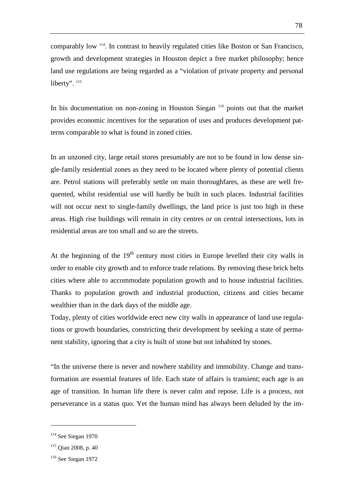comparably low <sup>114</sup>. In contrast to heavily regulated cities like Boston or San Francisco, growth and development strategies in Houston depict a free market philosophy; hence land use regulations are being regarded as a "violation of private property and personal liberty". <sup>115</sup>

In his documentation on non-zoning in Houston Siegan <sup>116</sup> points out that the market provides economic incentives for the separation of uses and produces development patterns comparable to what is found in zoned cities.

In an unzoned city, large retail stores presumably are not to be found in low dense single-family residential zones as they need to be located where plenty of potential clients are. Petrol stations will preferably settle on main thoroughfares, as these are well frequented, whilst residential use will hardly be built in such places. Industrial facilities will not occur next to single-family dwellings, the land price is just too high in these areas. High rise buildings will remain in city centres or on central intersections, lots in residential areas are too small and so are the streets.

At the beginning of the  $19<sup>th</sup>$  century most cities in Europe levelled their city walls in order to enable city growth and to enforce trade relations. By removing these brick belts cities where able to accommodate population growth and to house industrial facilities. Thanks to population growth and industrial production, citizens and cities became wealthier than in the dark days of the middle age.

Today, plenty of cities worldwide erect new city walls in appearance of land use regulations or growth boundaries, constricting their development by seeking a state of permanent stability, ignoring that a city is built of stone but not inhabited by stones.

"In the universe there is never and nowhere stability and immobility. Change and transformation are essential features of life. Each state of affairs is transient; each age is an age of transition. In human life there is never calm and repose. Life is a process, not perseverance in a status quo. Yet the human mind has always been deluded by the im-

<sup>114</sup> See Siegan 1970

<sup>115</sup> Qian 2008, p. 40

<sup>116</sup> See Siegan 1972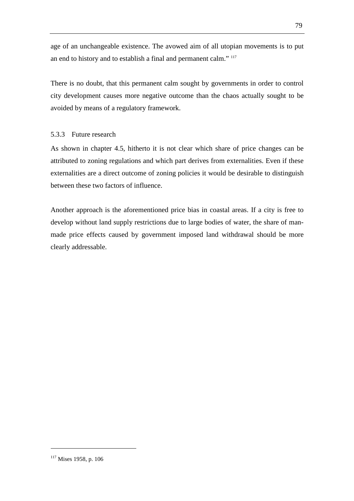age of an unchangeable existence. The avowed aim of all utopian movements is to put an end to history and to establish a final and permanent calm." <sup>117</sup>

There is no doubt, that this permanent calm sought by governments in order to control city development causes more negative outcome than the chaos actually sought to be avoided by means of a regulatory framework.

### 5.3.3 Future research

As shown in chapter 4.5, hitherto it is not clear which share of price changes can be attributed to zoning regulations and which part derives from externalities. Even if these externalities are a direct outcome of zoning policies it would be desirable to distinguish between these two factors of influence.

Another approach is the aforementioned price bias in coastal areas. If a city is free to develop without land supply restrictions due to large bodies of water, the share of manmade price effects caused by government imposed land withdrawal should be more clearly addressable.

<sup>&</sup>lt;sup>117</sup> Mises 1958, p. 106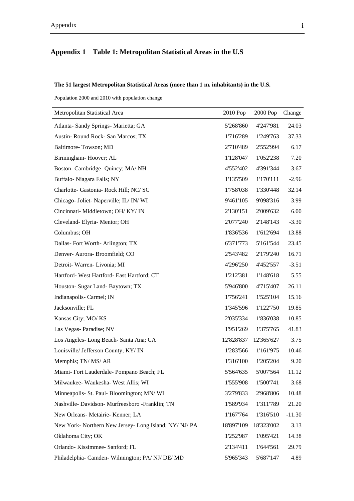# **Appendix 1 Table 1: Metropolitan Statistical Areas in the U.S**

### **The 51 largest Metropolitan Statistical Areas (more than 1 m. inhabitants) in the U.S.**

Population 2000 and 2010 with population change

| Metropolitan Statistical Area                          | 2010 Pop   | 2000 Pop   | Change   |
|--------------------------------------------------------|------------|------------|----------|
| Atlanta- Sandy Springs- Marietta; GA                   | 5'268'860  | 4'247'981  | 24.03    |
| Austin-Round Rock-San Marcos; TX                       | 1'716'289  | 1'249'763  | 37.33    |
| Baltimore-Towson; MD                                   | 2'710'489  | 2'552'994  | 6.17     |
| Birmingham-Hoover; AL                                  | 1'128'047  | 1'052'238  | 7.20     |
| Boston- Cambridge- Quincy; MA/ NH                      | 4'552'402  | 4'391'344  | 3.67     |
| Buffalo-Niagara Falls; NY                              | 1'135'509  | 1'170'111  | $-2.96$  |
| Charlotte- Gastonia- Rock Hill; NC/ SC                 | 1'758'038  | 1'330'448  | 32.14    |
| Chicago- Joliet- Naperville; IL/IN/WI                  | 9'461'105  | 9'098'316  | 3.99     |
| Cincinnati- Middletown; OH/KY/IN                       | 2'130'151  | 2'009'632  | 6.00     |
| Cleveland-Elyria-Mentor; OH                            | 2'077'240  | 2'148'143  | $-3.30$  |
| Columbus; OH                                           | 1'836'536  | 1'612'694  | 13.88    |
| Dallas-Fort Worth-Arlington; TX                        | 6'371'773  | 5'161'544  | 23.45    |
| Denver- Aurora- Broomfield; CO                         | 2'543'482  | 2'179'240  | 16.71    |
| Detroit- Warren- Livonia; MI                           | 4'296'250  | 4'452'557  | $-3.51$  |
| Hartford- West Hartford- East Hartford; CT             | 1'212'381  | 1'148'618  | 5.55     |
| Houston- Sugar Land- Baytown; TX                       | 5'946'800  | 4'715'407  | 26.11    |
| Indianapolis- Carmel; IN                               | 1'756'241  | 1'525'104  | 15.16    |
| Jacksonville; FL                                       | 1'345'596  | 1'122'750  | 19.85    |
| Kansas City; MO/KS                                     | 2'035'334  | 1'836'038  | 10.85    |
| Las Vegas-Paradise; NV                                 | 1'951'269  | 1'375'765  | 41.83    |
| Los Angeles-Long Beach-Santa Ana; CA                   | 12'828'837 | 12'365'627 | 3.75     |
| Louisville/ Jefferson County; KY/IN                    | 1'283'566  | 1'161'975  | 10.46    |
| Memphis; TN/MS/AR                                      | 1'316'100  | 1'205'204  | 9.20     |
| Miami- Fort Lauderdale- Pompano Beach; FL              | 5'564'635  | 5'007'564  | 11.12    |
| Milwaukee- Waukesha- West Allis; WI                    | 1'555'908  | 1'500'741  | 3.68     |
| Minneapolis- St. Paul- Bloomington; MN/WI              | 3'279'833  | 2'968'806  | 10.48    |
| Nashville- Davidson- Murfreesboro -Franklin; TN        | 1'589'934  | 1'311'789  | 21.20    |
| New Orleans- Metairie- Kenner; LA                      | 1'167'764  | 1'316'510  | $-11.30$ |
| New York- Northern New Jersey- Long Island; NY/ NJ/ PA | 18'897'109 | 18'323'002 | 3.13     |
| Oklahoma City; OK                                      | 1'252'987  | 1'095'421  | 14.38    |
| Orlando-Kissimmee-Sanford; FL                          | 2'134'411  | 1'644'561  | 29.79    |
| Philadelphia- Camden-Wilmington; PA/NJ/DE/MD           | 5'965'343  | 5'687'147  | 4.89     |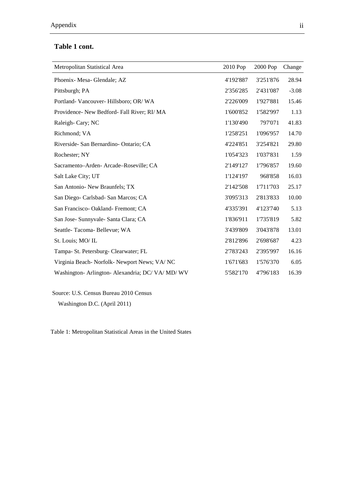# **Table 1 cont.**

| Metropolitan Statistical Area                  | 2010 Pop  | 2000 Pop  | Change  |
|------------------------------------------------|-----------|-----------|---------|
| Phoenix-Mesa-Glendale; AZ                      | 4'192'887 | 3'251'876 | 28.94   |
| Pittsburgh; PA                                 | 2'356'285 | 2'431'087 | $-3.08$ |
| Portland-Vancouver-Hillsboro; OR/WA            | 2'226'009 | 1'927'881 | 15.46   |
| Providence- New Bedford- Fall River; RI/MA     | 1'600'852 | 1'582'997 | 1.13    |
| Raleigh-Cary; NC                               | 1'130'490 | 797'071   | 41.83   |
| Richmond; VA                                   | 1'258'251 | 1'096'957 | 14.70   |
| Riverside- San Bernardino- Ontario; CA         | 4'224'851 | 3'254'821 | 29.80   |
| Rochester; NY                                  | 1'054'323 | 1'037'831 | 1.59    |
| Sacramento-Arden-Arcade-Roseville; CA          | 2'149'127 | 1'796'857 | 19.60   |
| Salt Lake City; UT                             | 1'124'197 | 968'858   | 16.03   |
| San Antonio- New Braunfels; TX                 | 2'142'508 | 1'711'703 | 25.17   |
| San Diego- Carlsbad- San Marcos; CA            | 3'095'313 | 2'813'833 | 10.00   |
| San Francisco- Oakland- Fremont; CA            | 4'335'391 | 4'123'740 | 5.13    |
| San Jose- Sunnyvale- Santa Clara; CA           | 1'836'911 | 1'735'819 | 5.82    |
| Seattle-Tacoma-Bellevue; WA                    | 3'439'809 | 3'043'878 | 13.01   |
| St. Louis; MO/IL                               | 2'812'896 | 2'698'687 | 4.23    |
| Tampa- St. Petersburg- Clearwater; FL          | 2'783'243 | 2'395'997 | 16.16   |
| Virginia Beach- Norfolk- Newport News; VA/NC   | 1'671'683 | 1'576'370 | 6.05    |
| Washington- Arlington- Alexandria; DC/VA/MD/WV | 5'582'170 | 4'796'183 | 16.39   |

Source: U.S. Census Bureau 2010 Census Washington D.C. (April 2011)

Table 1: Metropolitan Statistical Areas in the United States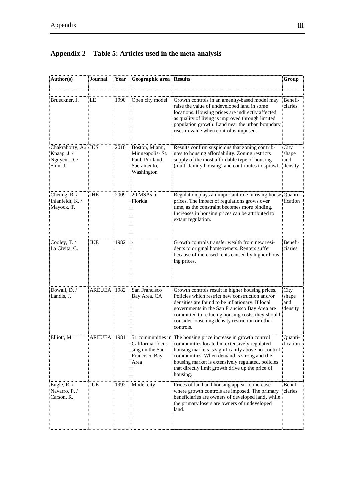| Author(s)                                                       | Journal     | Year | Geographic area Results                                                           |                                                                                                                                                                                                                                                                                                                                        | Group                           |
|-----------------------------------------------------------------|-------------|------|-----------------------------------------------------------------------------------|----------------------------------------------------------------------------------------------------------------------------------------------------------------------------------------------------------------------------------------------------------------------------------------------------------------------------------------|---------------------------------|
| Brueckner, J.                                                   | LE          | 1990 | Open city model                                                                   | Growth controls in an amenity-based model may<br>raise the value of undeveloped land in some<br>locations. Housing prices are indirectly affected<br>as quality of living is improved through limited<br>population growth. Land near the urban boundary<br>rises in value when control is imposed.                                    | Benefi-<br>ciaries              |
| Chakraborty, A./ JUS<br>Knaap, J. /<br>Nguyen, D. /<br>Shin, J. |             | 2010 | Boston, Miami,<br>Minneapolis-St.<br>Paul, Portland,<br>Sacramento,<br>Washington | Results confirm suspicions that zoning contrib-<br>utes to housing affordability. Zoning restricts<br>supply of the most affordable type of housing<br>(multi-family housing) and contributes to sprawl.                                                                                                                               | City<br>shape<br>and<br>density |
| Cheung, $R$ . /<br>Ihlanfeldt, K./<br>Mayock, T.                | JHE         | 2009 | 20 MSAs in<br>Florida                                                             | Regulation plays an important role in rising house Quanti-<br>prices. The impact of regulations grows over<br>time, as the constraint becomes more binding.<br>Increases in housing prices can be attributed to<br>extant regulation.                                                                                                  | fication                        |
| Cooley, T. /<br>La Civita, C.                                   | <b>JUE</b>  | 1982 |                                                                                   | Growth controls transfer wealth from new resi-<br>dents to original homeowners. Renters suffer<br>because of increased rents caused by higher hous-<br>ing prices.                                                                                                                                                                     | Benefi-<br>ciaries              |
| Dowall, D./<br>Landis, J.                                       | AREUEA 1982 |      | San Francisco<br>Bay Area, CA                                                     | Growth controls result in higher housing prices.<br>Policies which restrict new construction and/or<br>densities are found to be inflationary. If local<br>governments in the San Francisco Bay Area are<br>committed to reducing housing costs, they should<br>consider loosening density restriction or other<br>controls.           | City<br>shape<br>and<br>density |
| Elliott, M.                                                     | AREUEA 1981 |      | California, focus-<br>sing on the San<br>Francisco Bay<br>Area                    | 51 communities in The housing price increase in growth control<br>communities located in extensively regulated<br>housing markets is significantly above no-control<br>communities. When demand is strong and the<br>housing market is extensively regulated, policies<br>that directly limit growth drive up the price of<br>housing. | Quanti-<br>fication             |
| Engle, $R$ . /<br>Navarro, P. /<br>Carson, R.                   | JUE         | 1992 | Model city                                                                        | Prices of land and housing appear to increase<br>where growth controls are imposed. The primary<br>beneficiaries are owners of developed land, while<br>the primary losers are owners of undeveloped<br>land.                                                                                                                          | Benefi-<br>ciaries              |

# **Appendix 2 Table 5: Articles used in the meta-analysis**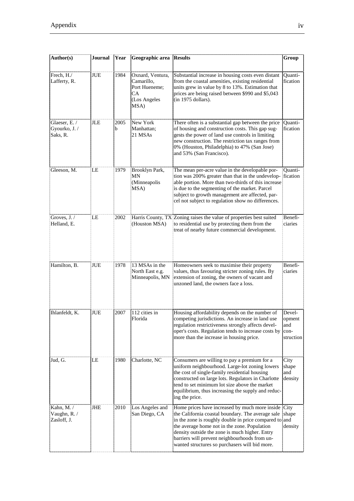| Author(s)                                  | Journal | Year      | Geographic area                                                               | <b>Results</b>                                                                                                                                                                                                                                                                                                                                                                | Group                                        |
|--------------------------------------------|---------|-----------|-------------------------------------------------------------------------------|-------------------------------------------------------------------------------------------------------------------------------------------------------------------------------------------------------------------------------------------------------------------------------------------------------------------------------------------------------------------------------|----------------------------------------------|
| Frech, H./<br>Lafferty, R.                 | JUE     | 1984      | Oxnard, Ventura,<br>Camarillo,<br>Port Hueneme;<br>CA<br>(Los Angeles<br>MSA) | Substantial increase in housing costs even distant<br>from the coastal amenities, existing residential<br>units grew in value by 8 to 13%. Estimation that<br>prices are being raised between \$990 and \$5,043<br>$(in 1975$ dollars).                                                                                                                                       | Quanti-<br>fication                          |
| Glaeser, E. /<br>Gyourko, J. /<br>Saks, R. | JLE     | 2005<br>b | New York<br>Manhattan;<br>21 MSAs                                             | There often is a substantial gap between the price<br>of housing and construction costs. This gap sug-<br>gests the power of land use controls in limiting<br>new construction. The restriction tax ranges from<br>0% (Houston, Philadelphia) to 47% (San Jose)<br>and 53% (San Francisco).                                                                                   | Quanti-<br>fication                          |
| Gleeson, M.                                | LE      | 1979      | Brooklyn Park,<br>MΝ<br>(Minneapolis<br>MSA)                                  | The mean per-acre value in the developable por-<br>tion was 200% greater than that in the undevelop-<br>able portion. More than two-thirds of this increase<br>is due to the segmenting of the market. Parcel<br>subject to growth management are affected, par-<br>cel not subject to regulation show no differences.                                                        | Ouanti-<br>fication                          |
| Groves, J. /<br>Helland, E.                | ΙE      | 2002      | (Houston MSA)                                                                 | Harris County, TX Zoning raises the value of properties best suited<br>to residential use by protecting them from the<br>treat of nearby future commercial development.                                                                                                                                                                                                       | Benefi-<br>ciaries                           |
| Hamilton, B.                               | JUE     | 1978      | 13 MSAs in the<br>North East e.g.<br>Minneapolis, MN                          | Homeowners seek to maximise their property<br>values, thus favouring stricter zoning rules. By<br>extension of zoning, the owners of vacant and<br>unzoned land, the owners face a loss.                                                                                                                                                                                      | Benefi-<br>ciaries                           |
| Ihlanfeldt, K.                             | JUE     | 2007      | 112 cities in<br>Florida                                                      | Housing affordability depends on the number of<br>competing jurisdictions. An increase in land use<br>regulation restrictiveness strongly affects devel-<br>oper's costs. Regulation tends to increase costs by<br>more than the increase in housing price.                                                                                                                   | Devel-<br>opment<br>and<br>con-<br>struction |
| Jud, G.                                    | LE      | 1980      | Charlotte, NC                                                                 | Consumers are willing to pay a premium for a<br>uniform neighbourhood. Large-lot zoning lowers<br>the cost of single-family residential housing<br>constructed on large lots. Regulators in Charlotte<br>tend to set minimum lot size above the market<br>equilibrium, thus increasing the supply and reduc-<br>ing the price.                                                | City<br>shape<br>and<br>density              |
| Kahn, M./<br>Vaughn, R. /<br>Zasloff, J.   | JHE     | 2010      | Los Angeles and<br>San Diego, CA                                              | Home prices have increased by much more inside City<br>the California coastal boundary. The average sale shape<br>in the zone is roughly double in price compared to and<br>the average home not in the zone. Population<br>density outside the zone is much higher. Entry<br>barriers will prevent neighbourhoods from un-<br>wanted structures so purchasers will bid more. | density                                      |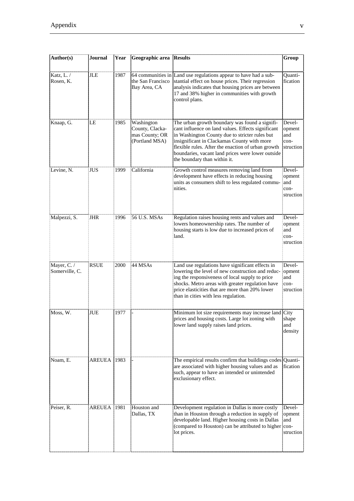| Author(s)                     | Journal     | Year | Geographic area Results                                           |                                                                                                                                                                                                                                                                                                                                                  | Group                                        |
|-------------------------------|-------------|------|-------------------------------------------------------------------|--------------------------------------------------------------------------------------------------------------------------------------------------------------------------------------------------------------------------------------------------------------------------------------------------------------------------------------------------|----------------------------------------------|
| Katz, L. /<br>Rosen, K.       | <b>JLE</b>  | 1987 | the San Francisco<br>Bay Area, CA                                 | 64 communities in Land use regulations appear to have had a sub-<br>stantial effect on house prices. Their regression<br>analysis indicates that housing prices are between<br>17 and 38% higher in communities with growth<br>control plans.                                                                                                    | Quanti-<br>fication                          |
| Knaap, G.                     | LE          | 1985 | Washington<br>County, Clacka-<br>mas County; OR<br>(Portland MSA) | The urban growth boundary was found a signifi-<br>cant influence on land values. Effects significant<br>in Washington County due to stricter rules but<br>insignificant in Clackamas County with more<br>flexible rules. After the enaction of urban growth<br>boundaries, vacant land prices were lower outside<br>the boundary than within it. | Devel-<br>opment<br>and<br>con-<br>struction |
| Levine, N.                    | JUS         | 1999 | California                                                        | Growth control measures removing land from<br>development have effects in reducing housing<br>units as consumers shift to less regulated commu-<br>nities.                                                                                                                                                                                       | Devel-<br>opment<br>and<br>con-<br>struction |
| Malpezzi, S.                  | <b>JHR</b>  | 1996 | 56 U.S. MSAs                                                      | Regulation raises housing rents and values and<br>lowers homeownership rates. The number of<br>housing starts is low due to increased prices of<br>land.                                                                                                                                                                                         | Devel-<br>opment<br>and<br>con-<br>struction |
| Mayer, C. /<br>Somerville, C. | <b>RSUE</b> | 2000 | 44 MSAs                                                           | Land use regulations have significant effects in<br>lowering the level of new construction and reduc-<br>ing the responsiveness of local supply to price<br>shocks. Metro areas with greater regulation have<br>price elasticities that are more than 20% lower<br>than in cities with less regulation.                                          | Devel-<br>opment<br>and<br>con-<br>struction |
| Moss, W.                      | JUE         | 1977 |                                                                   | Minimum lot size requirements may increase land City<br>prices and housing costs. Large lot zoning with<br>lower land supply raises land prices.                                                                                                                                                                                                 | shape<br>and<br>density                      |
| Noam, E.                      | AREUEA 1983 |      |                                                                   | The empirical results confirm that buildings codes Quanti-<br>are associated with higher housing values and as<br>such, appear to have an intended or unintended<br>exclusionary effect.                                                                                                                                                         | fication                                     |
| Peiser, R.                    | AREUEA 1981 |      | Houston and<br>Dallas, TX                                         | Development regulation in Dallas is more costly<br>than in Houston through a reduction in supply of<br>developable land. Higher housing costs in Dallas<br>(compared to Houston) can be attributed to higher con-<br>lot prices.                                                                                                                 | Devel-<br>opment<br>and<br>struction         |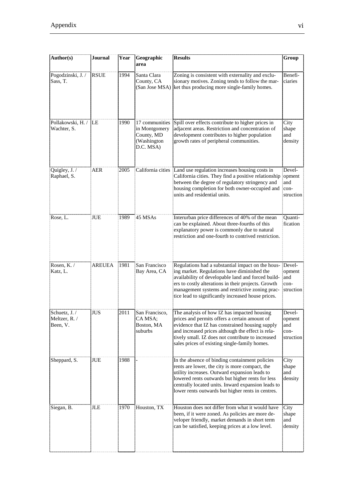| Author(s)                                  | Journal       | Year | Geographic<br>area                                                        | <b>Results</b>                                                                                                                                                                                                                                                                                                         | Group                                        |
|--------------------------------------------|---------------|------|---------------------------------------------------------------------------|------------------------------------------------------------------------------------------------------------------------------------------------------------------------------------------------------------------------------------------------------------------------------------------------------------------------|----------------------------------------------|
| Pogodzinski, J. /<br>Sass, T.              | <b>RSUE</b>   | 1994 | Santa Clara<br>County, CA<br>(San Jose MSA)                               | Zoning is consistent with externality and exclu-<br>sionary motives. Zoning tends to follow the mar-<br>ket thus producing more single-family homes.                                                                                                                                                                   | Benefi-<br>ciaries                           |
| Pollakowski, H. / LE<br>Wachter, S.        |               | 1990 | 17 communities<br>in Montgomery<br>County, MD<br>(Washington<br>D.C. MSA) | Spill over effects contribute to higher prices in<br>adjacent areas. Restriction and concentration of<br>development contributes to higher population<br>growth rates of peripheral communities.                                                                                                                       | City<br>shape<br>and<br>density              |
| Quigley, J. /<br>Raphael, S.               | <b>AER</b>    | 2005 | California cities                                                         | Land use regulation increases housing costs in<br>California cities. They find a positive relationship<br>between the degree of regulatory stringency and<br>housing completion for both owner-occupied and<br>units and residential units.                                                                            | Devel-<br>opment<br>and<br>con-<br>struction |
| Rose, L.                                   | JUE           | 1989 | 45 MSAs                                                                   | Interurban price differences of 40% of the mean<br>can be explained. About three-fourths of this<br>explanatory power is commonly due to natural<br>restriction and one-fourth to contrived restriction.                                                                                                               | Quanti-<br>fication                          |
| Rosen, K. /<br>Katz, L.                    | <b>AREUEA</b> | 1981 | San Francisco<br>Bay Area, CA                                             | Regulations had a substantial impact on the hous-<br>ing market. Regulations have diminished the<br>availability of developable land and forced build-<br>ers to costly alterations in their projects. Growth<br>management systems and restrictive zoning prac-<br>tice lead to significantly increased house prices. | Devel-<br>opment<br>and<br>con-<br>struction |
| Schuetz, J. /<br>Meltzer, R. /<br>Been, V. | JUS           | 2011 | San Francisco,<br>CA MSA;<br>Boston, MA<br>suburbs                        | The analysis of how IZ has impacted housing<br>prices and permits offers a certain amount of<br>evidence that IZ has constrained housing supply<br>and increased prices although the effect is rela-<br>tively small. IZ does not contribute to increased<br>sales prices of existing single-family homes.             | Devel-<br>opment<br>and<br>con-<br>struction |
| Sheppard, S.                               | JUE           | 1988 |                                                                           | In the absence of binding containment policies<br>rents are lower, the city is more compact, the<br>utility increases. Outward expansion leads to<br>lowered rents outwards but higher rents for less<br>centrally located units. Inward expansion leads to<br>lower rents outwards but higher rents in centres.       | City<br>shape<br>and<br>density              |
| Siegan, B.                                 | JLE           | 1970 | Houston, TX                                                               | Houston does not differ from what it would have<br>been, if it were zoned. As policies are more de-<br>veloper friendly, market demands in short term<br>can be satisfied, keeping prices at a low level.                                                                                                              | City<br>shape<br>and<br>density              |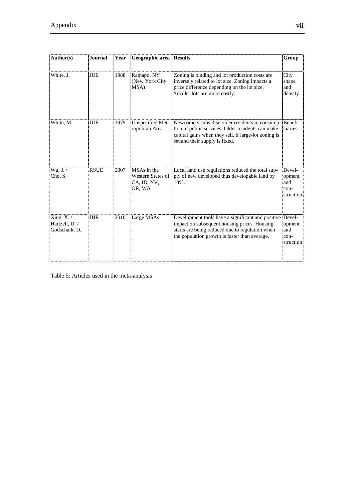| Author(s)                                    | <b>Journal</b> | Year | Geographic area                                           | <b>Results</b>                                                                                                                                                                                               | Group                                        |
|----------------------------------------------|----------------|------|-----------------------------------------------------------|--------------------------------------------------------------------------------------------------------------------------------------------------------------------------------------------------------------|----------------------------------------------|
| White, J.                                    | <b>JUE</b>     | 1988 | Ramapo, NY<br>(New York City<br>MSA)                      | Zoning is binding and lot production costs are<br>inversely related to lot size. Zoning impacts a<br>price difference depending on the lot size.<br>Smaller lots are more costly.                            | City<br>shape<br>and<br>density              |
| White, M.                                    | JUE            | 1975 | Unspecified Met-<br>ropolitan Area                        | Newcomers subsidise older residents in consump- Benefi-<br>tion of public services. Older residents can make<br>capital gains when they sell, if large-lot zoning is<br>set and their supply is fixed.       | ciaries                                      |
| Wu, J.<br>Cho, S.                            | <b>RSUE</b>    | 2007 | MSAs in the<br>Western States of<br>CA, ID, NV,<br>OR, WA | Local land use regulations reduced the total sup-<br>ply of new developed thus developable land by<br>10%.                                                                                                   | Devel-<br>opment<br>and<br>con-<br>struction |
| Xing, X./<br>Hartzell, D. /<br>Godschalk, D. | <b>JHR</b>     | 2010 | Large MSAs                                                | Development tools have a significant and positive Devel-<br>impact on subsequent housing prices. Housing<br>starts are being reduced due to regulation when<br>the population growth is faster than average. | opment<br>and<br>con-<br>struction           |

Table 5: Articles used in the meta-analysis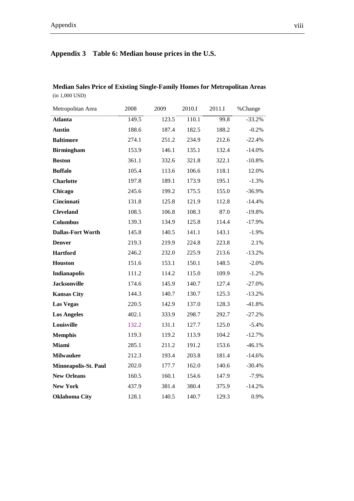# **Appendix 3 Table 6: Median house prices in the U.S.**

# **Median Sales Price of Existing Single-Family Homes for Metropolitan Areas**  (in 1,000 USD)

| Metropolitan Area           | 2008  | 2009  | 2010.I | 2011.I | %Change  |
|-----------------------------|-------|-------|--------|--------|----------|
| Atlanta                     | 149.5 | 123.5 | 110.1  | 99.8   | $-33.2%$ |
| <b>Austin</b>               | 188.6 | 187.4 | 182.5  | 188.2  | $-0.2%$  |
| <b>Baltimore</b>            | 274.1 | 251.2 | 234.9  | 212.6  | $-22.4%$ |
| <b>Birmingham</b>           | 153.9 | 146.1 | 135.1  | 132.4  | $-14.0%$ |
| <b>Boston</b>               | 361.1 | 332.6 | 321.8  | 322.1  | $-10.8%$ |
| <b>Buffalo</b>              | 105.4 | 113.6 | 106.6  | 118.1  | 12.0%    |
| <b>Charlotte</b>            | 197.8 | 189.1 | 173.9  | 195.1  | $-1.3%$  |
| Chicago                     | 245.6 | 199.2 | 175.5  | 155.0  | $-36.9%$ |
| Cincinnati                  | 131.8 | 125.8 | 121.9  | 112.8  | $-14.4%$ |
| <b>Cleveland</b>            | 108.5 | 106.8 | 108.3  | 87.0   | $-19.8%$ |
| <b>Columbus</b>             | 139.3 | 134.9 | 125.8  | 114.4  | $-17.9%$ |
| <b>Dallas-Fort Worth</b>    | 145.8 | 140.5 | 141.1  | 143.1  | $-1.9%$  |
| <b>Denver</b>               | 219.3 | 219.9 | 224.8  | 223.8  | 2.1%     |
| <b>Hartford</b>             | 246.2 | 232.0 | 225.9  | 213.6  | $-13.2%$ |
| Houston                     | 151.6 | 153.1 | 150.1  | 148.5  | $-2.0%$  |
| Indianapolis                | 111.2 | 114.2 | 115.0  | 109.9  | $-1.2%$  |
| <b>Jacksonville</b>         | 174.6 | 145.9 | 140.7  | 127.4  | $-27.0%$ |
| <b>Kansas City</b>          | 144.3 | 140.7 | 130.7  | 125.3  | $-13.2%$ |
| <b>Las Vegas</b>            | 220.5 | 142.9 | 137.0  | 128.3  | $-41.8%$ |
| <b>Los Angeles</b>          | 402.1 | 333.9 | 298.7  | 292.7  | $-27.2%$ |
| Louisville                  | 132.2 | 131.1 | 127.7  | 125.0  | $-5.4\%$ |
| <b>Memphis</b>              | 119.3 | 119.2 | 113.9  | 104.2  | $-12.7%$ |
| <b>Miami</b>                | 285.1 | 211.2 | 191.2  | 153.6  | $-46.1%$ |
| <b>Milwaukee</b>            | 212.3 | 193.4 | 203.8  | 181.4  | $-14.6%$ |
| <b>Minneapolis-St. Paul</b> | 202.0 | 177.7 | 162.0  | 140.6  | $-30.4%$ |
| <b>New Orleans</b>          | 160.5 | 160.1 | 154.6  | 147.9  | -7.9%    |
| <b>New York</b>             | 437.9 | 381.4 | 380.4  | 375.9  | $-14.2%$ |
| <b>Oklahoma City</b>        | 128.1 | 140.5 | 140.7  | 129.3  | 0.9%     |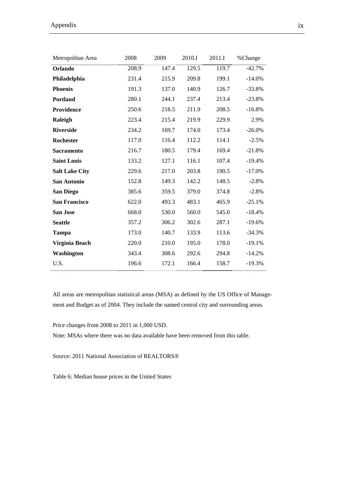Appendix ix

| Metropolitan Area     | 2008  | 2009  | 2010.I | 2011.I | %Change   |
|-----------------------|-------|-------|--------|--------|-----------|
| Orlando               | 208.9 | 147.4 | 129.5  | 119.7  | $-42.7%$  |
| Philadelphia          | 231.4 | 215.9 | 209.8  | 199.1  | $-14.0%$  |
| <b>Phoenix</b>        | 191.3 | 137.0 | 140.9  | 126.7  | $-33.8%$  |
| <b>Portland</b>       | 280.1 | 244.1 | 237.4  | 213.4  | $-23.8%$  |
| Providence            | 250.6 | 218.5 | 211.9  | 208.5  | $-16.8%$  |
| Raleigh               | 223.4 | 215.4 | 219.9  | 229.9  | 2.9%      |
| <b>Riverside</b>      | 234.2 | 169.7 | 174.0  | 173.4  | $-26.0\%$ |
| Rochester             | 117.0 | 116.4 | 112.2  | 114.1  | $-2.5%$   |
| <b>Sacramento</b>     | 216.7 | 180.5 | 179.4  | 169.4  | $-21.8%$  |
| <b>Saint Louis</b>    | 133.2 | 127.1 | 116.1  | 107.4  | $-19.4%$  |
| <b>Salt Lake City</b> | 229.6 | 217.0 | 203.8  | 190.5  | $-17.0%$  |
| San Antonio           | 152.8 | 149.3 | 142.2  | 148.5  | $-2.8%$   |
| San Diego             | 385.6 | 359.5 | 379.0  | 374.8  | $-2.8%$   |
| <b>San Francisco</b>  | 622.0 | 493.3 | 483.1  | 465.9  | $-25.1%$  |
| <b>San Jose</b>       | 668.0 | 530.0 | 560.0  | 545.0  | $-18.4%$  |
| <b>Seattle</b>        | 357.2 | 306.2 | 302.6  | 287.1  | $-19.6%$  |
| Tampa                 | 173.0 | 140.7 | 133.9  | 113.6  | $-34.3%$  |
| Virginia Beach        | 220.0 | 210.0 | 195.0  | 178.0  | $-19.1%$  |
| Washington            | 343.4 | 308.6 | 292.6  | 294.8  | $-14.2%$  |
| U.S.                  | 196.6 | 172.1 | 166.4  | 158.7  | $-19.3%$  |

All areas are metropolitan statistical areas (MSA) as defined by the US Office of Management and Budget as of 2004. They include the named central city and surrounding areas.

Price changes from 2008 to 2011 in 1,000 USD.

Note: MSAs where there was no data available have been removed from this table.

Source: 2011 National Association of REALTORS®

Table 6: Median house prices in the United States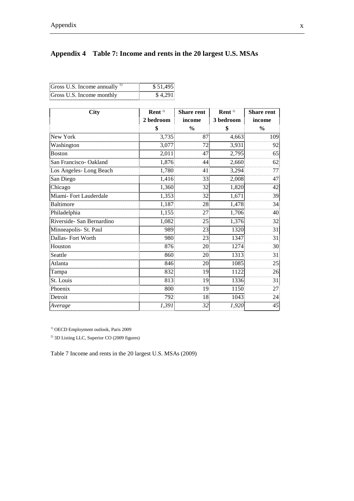# **Appendix 4 Table 7: Income and rents in the 20 largest U.S. MSAs**

| Gross U.S. Income annually $\frac{1}{2}$ | \$51.495 |
|------------------------------------------|----------|
| Gross U.S. Income monthly                | \$4.791  |

| <b>City</b>               | Rent $2$  | <b>Share rent</b> | Rent $20$ | <b>Share rent</b> |
|---------------------------|-----------|-------------------|-----------|-------------------|
|                           | 2 bedroom | income            | 3 bedroom | income            |
|                           | \$        | $\frac{0}{0}$     | \$        | $\frac{0}{0}$     |
| New York                  | 3,735     | 87                | 4,663     | 109               |
| Washington                | 3,077     | 72                | 3,931     | 92                |
| Boston                    | 2,011     | 47                | 2,795     | 65                |
| San Francisco-Oakland     | 1,876     | 44                | 2,660     | 62                |
| Los Angeles-Long Beach    | 1,780     | 41                | 3,294     | 77                |
| San Diego                 | 1,416     | 33                | 2,008     | 47                |
| Chicago                   | 1,360     | 32                | 1,820     | 42                |
| Miami-Fort Lauderdale     | 1,353     | 32                | 1,671     | 39                |
| <b>Baltimore</b>          | 1,187     | 28                | 1,478     | 34                |
| Philadelphia              | 1,155     | 27                | 1,706     | 40                |
| Riverside- San Bernardino | 1,082     | 25                | 1,376     | 32                |
| Minneapolis- St. Paul     | 989       | 23                | 1320      | 31                |
| Dallas-Fort Worth         | 980       | 23                | 1347      | 31                |
| Houston                   | 876       | 20                | 1274      | 30                |
| Seattle                   | 860       | 20                | 1313      | 31                |
| Atlanta                   | 846       | 20                | 1085      | 25                |
| Tampa                     | 832       | 19                | 1122      | 26                |
| St. Louis                 | 813       | 19                | 1336      | 31                |
| Phoenix                   | 800       | 19                | 1150      | 27                |
| Detroit                   | 792       | 18                | 1043      | 24                |
| Average                   | 1,391     | 32                | 1,920     | 45                |

<sup>1)</sup> OECD Employment outlook, Paris 2009

<sup>2)</sup> 3D Listing LLC, Superior CO (2009 figures)

Table 7 Income and rents in the 20 largest U.S. MSAs (2009)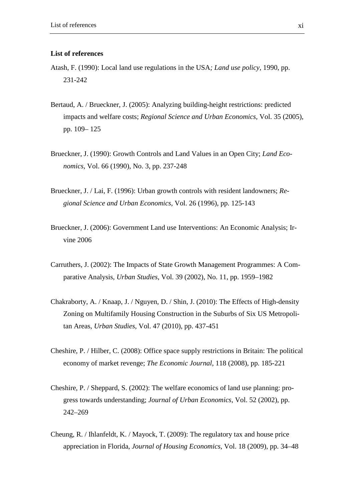#### **List of references**

- Atash, F. (1990): Local land use regulations in the USA*; Land use policy,* 1990, pp. 231-242
- Bertaud, A. / Brueckner, J. (2005): Analyzing building-height restrictions: predicted impacts and welfare costs; *Regional Science and Urban Economics,* Vol. 35 (2005), pp. 109– 125
- Brueckner, J. (1990): Growth Controls and Land Values in an Open City; *Land Economics,* Vol. 66 (1990), No. 3, pp. 237-248
- Brueckner, J. / Lai, F. (1996): Urban growth controls with resident landowners; *Regional Science and Urban Economics,* Vol. 26 (1996), pp. 125-143
- Brueckner, J. (2006): Government Land use Interventions: An Economic Analysis; Irvine 2006
- Carruthers, J. (2002): The Impacts of State Growth Management Programmes: A Comparative Analysis, *Urban Studies*, Vol. 39 (2002), No. 11, pp. 1959–1982
- Chakraborty, A. / Knaap, J. / Nguyen, D. / Shin, J. (2010): The Effects of High-density Zoning on Multifamily Housing Construction in the Suburbs of Six US Metropolitan Areas, *Urban Studies*, Vol. 47 (2010), pp. 437-451
- Cheshire, P. / Hilber, C. (2008): Office space supply restrictions in Britain: The political economy of market revenge; *The Economic Journal*, 118 (2008), pp. 185-221
- Cheshire, P. / Sheppard, S. (2002): The welfare economics of land use planning: progress towards understanding; *Journal of Urban Economics*, Vol. 52 (2002), pp. 242–269
- Cheung, R. / Ihlanfeldt, K. / Mayock, T. (2009): The regulatory tax and house price appreciation in Florida, *Journal of Housing Economics*, Vol. 18 (2009), pp. 34–48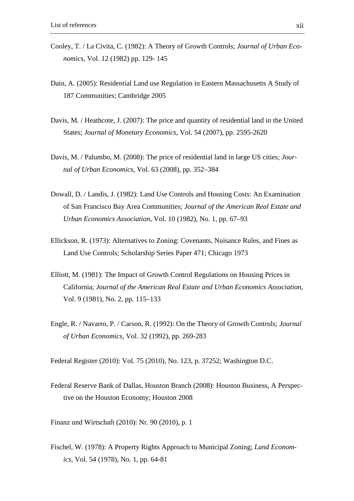- Cooley, T. / La Civita, C. (1982): A Theory of Growth Controls; *Journal of Urban Economics*, Vol. 12 (1982) pp. 129- 145
- Dain, A. (2005): Residential Land use Regulation in Eastern Massachusetts A Study of 187 Communities; Cambridge 2005
- Davis, M. / Heathcote, J. (2007): The price and quantity of residential land in the United States; *Journal of Monetary Economics*, Vol. 54 (2007), pp. 2595-2620
- Davis, M. / Palumbo, M. (2008): The price of residential land in large US cities; *Journal of Urban Economics,* Vol. 63 (2008), pp. 352–384
- Dowall, D. / Landis, J. (1982): Land Use Controls and Housing Costs: An Examination of San Francisco Bay Area Communities; *Journal of the American Real Estate and Urban Economics Association*, Vol. 10 (1982), No. 1, pp. 67–93
- Ellickson, R. (1973): Alternatives to Zoning: Covenants, Nuisance Rules, and Fines as Land Use Controls; Scholarship Series Paper 471; Chicago 1973
- Elliott, M. (1981): The Impact of Growth Control Regulations on Housing Prices in California; *Journal of the American Real Estate and Urban Economics Association,* Vol. 9 (1981), No. 2, pp. 115–133
- Engle, R. / Navarro, P. / Carson, R. (1992): On the Theory of Growth Controls; *Journal of Urban Economics,* Vol. 32 (1992), pp. 269-283

Federal Register (2010): Vol. 75 (2010), No. 123, p. 37252; Washington D.C.

Federal Reserve Bank of Dallas, Houston Branch (2008): Houston Business, A Perspective on the Houston Economy; Houston 2008

Finanz und Wirtschaft (2010): Nr. 90 (2010), p. 1

Fischel, W. (1978): A Property Rights Approach to Municipal Zoning; *Land Economics*, Vol. 54 (1978), No. 1, pp. 64-81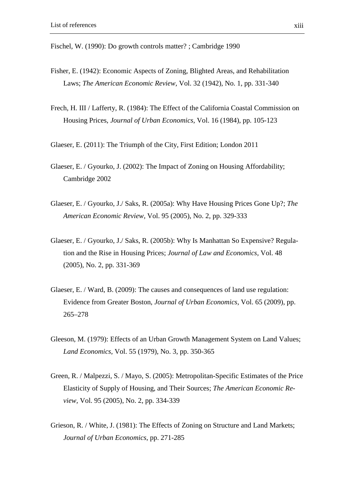Fischel, W. (1990): Do growth controls matter? ; Cambridge 1990

- Fisher, E. (1942): Economic Aspects of Zoning, Blighted Areas, and Rehabilitation Laws; *The American Economic Review,* Vol. 32 (1942), No. 1, pp. 331-340
- Frech, H. III / Lafferty, R. (1984): The Effect of the California Coastal Commission on Housing Prices, *Journal of Urban Economics,* Vol. 16 (1984), pp. 105-123
- Glaeser, E. (2011): The Triumph of the City, First Edition; London 2011
- Glaeser, E. / Gyourko, J. (2002): The Impact of Zoning on Housing Affordability; Cambridge 2002
- Glaeser, E. / Gyourko, J./ Saks, R. (2005a): Why Have Housing Prices Gone Up?; *The American Economic Review,* Vol. 95 (2005), No. 2, pp. 329-333
- Glaeser, E. / Gyourko, J./ Saks, R. (2005b): Why Is Manhattan So Expensive? Regulation and the Rise in Housing Prices; *Journal of Law and Economics,* Vol. 48 (2005), No. 2, pp. 331-369
- Glaeser, E. / Ward, B. (2009): The causes and consequences of land use regulation: Evidence from Greater Boston, *Journal of Urban Economics,* Vol. 65 (2009), pp. 265–278
- Gleeson, M. (1979): Effects of an Urban Growth Management System on Land Values; *Land Economics,* Vol. 55 (1979), No. 3, pp. 350-365
- Green, R. / Malpezzi, S. / Mayo, S. (2005): Metropolitan-Specific Estimates of the Price Elasticity of Supply of Housing, and Their Sources; *The American Economic Review,* Vol. 95 (2005), No. 2, pp. 334-339
- Grieson, R. / White, J. (1981): The Effects of Zoning on Structure and Land Markets; *Journal of Urban Economics*, pp. 271-285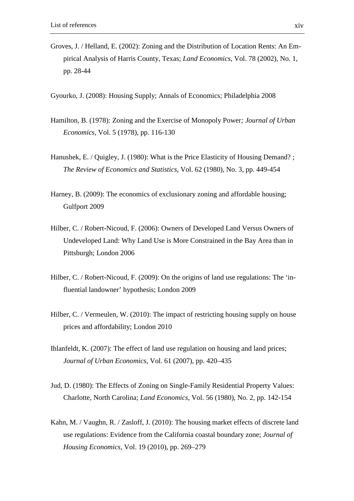Groves, J. / Helland, E. (2002): Zoning and the Distribution of Location Rents: An Empirical Analysis of Harris County, Texas; *Land Economics*, Vol. 78 (2002), No. 1, pp. 28-44

Gyourko, J. (2008): Housing Supply; Annals of Economics; Philadelphia 2008

- Hamilton, B. (1978): Zoning and the Exercise of Monopoly Power*; Journal of Urban Economics*, Vol. 5 (1978), pp. 116-130
- Hanushek, E. / Quigley, J. (1980): What is the Price Elasticity of Housing Demand? ; *The Review of Economics and Statistics*, Vol. 62 (1980), No. 3, pp. 449-454
- Harney, B. (2009): The economics of exclusionary zoning and affordable housing; Gulfport 2009
- Hilber, C. / Robert-Nicoud, F. (2006): Owners of Developed Land Versus Owners of Undeveloped Land: Why Land Use is More Constrained in the Bay Area than in Pittsburgh; London 2006
- Hilber, C. / Robert-Nicoud, F. (2009): On the origins of land use regulations: The 'influential landowner' hypothesis; London 2009
- Hilber, C. / Vermeulen, W. (2010): The impact of restricting housing supply on house prices and affordability; London 2010
- Ihlanfeldt, K. (2007): The effect of land use regulation on housing and land prices; *Journal of Urban Economics*, Vol. 61 (2007), pp. 420–435
- Jud, D. (1980): The Effects of Zoning on Single-Family Residential Property Values: Charlotte, North Carolina; *Land Economics*, Vol. 56 (1980), No. 2, pp. 142-154
- Kahn, M. / Vaughn, R. / Zasloff, J. (2010): The housing market effects of discrete land use regulations: Evidence from the California coastal boundary zone; *Journal of Housing Economics*, Vol. 19 (2010), pp. 269–279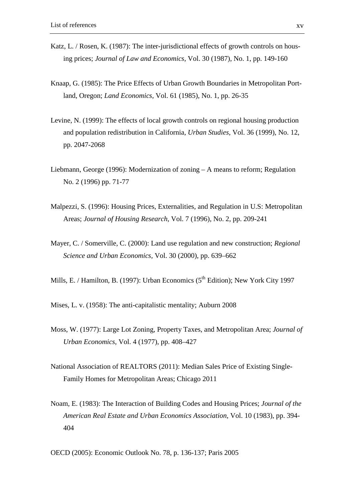- Katz, L. / Rosen, K. (1987): The inter-jurisdictional effects of growth controls on housing prices; *Journal of Law and Economics*, Vol. 30 (1987), No. 1, pp. 149-160
- Knaap, G. (1985): The Price Effects of Urban Growth Boundaries in Metropolitan Portland, Oregon; *Land Economics*, Vol. 61 (1985), No. 1, pp. 26-35
- Levine, N. (1999): The effects of local growth controls on regional housing production and population redistribution in California, *Urban Studies,* Vol. 36 (1999), No. 12, pp. 2047-2068
- Liebmann, George (1996): Modernization of zoning A means to reform; Regulation No. 2 (1996) pp. 71-77
- Malpezzi, S. (1996): Housing Prices, Externalities, and Regulation in U.S: Metropolitan Areas; *Journal of Housing Research*, Vol. 7 (1996), No. 2, pp. 209-241
- Mayer, C. / Somerville, C. (2000): Land use regulation and new construction; *Regional Science and Urban Economics,* Vol. 30 (2000), pp. 639–662
- Mills, E. / Hamilton, B. (1997): Urban Economics ( $5<sup>th</sup>$  Edition); New York City 1997

Mises, L. v. (1958): The anti-capitalistic mentality; Auburn 2008

- Moss, W. (1977): Large Lot Zoning, Property Taxes, and Metropolitan Area; *Journal of Urban Economics*, Vol. 4 (1977), pp. 408–427
- National Association of REALTORS (2011): Median Sales Price of Existing Single-Family Homes for Metropolitan Areas; Chicago 2011
- Noam, E. (1983): The Interaction of Building Codes and Housing Prices; *Journal of the American Real Estate and Urban Economics Association*, Vol. 10 (1983), pp. 394- 404

OECD (2005): Economic Outlook No. 78, p. 136-137; Paris 2005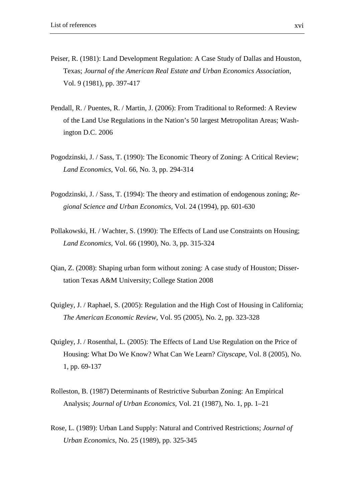- Peiser, R. (1981): Land Development Regulation: A Case Study of Dallas and Houston, Texas; *Journal of the American Real Estate and Urban Economics Association,* Vol. 9 (1981), pp. 397-417
- Pendall, R. / Puentes, R. / Martin, J. (2006): From Traditional to Reformed: A Review of the Land Use Regulations in the Nation's 50 largest Metropolitan Areas; Washington D.C. 2006
- Pogodzinski, J. / Sass, T. (1990): The Economic Theory of Zoning: A Critical Review; *Land Economics*, Vol. 66, No. 3, pp. 294-314
- Pogodzinski, J. / Sass, T. (1994): The theory and estimation of endogenous zoning; *Regional Science and Urban Economics*, Vol. 24 (1994), pp. 601-630
- Pollakowski, H. / Wachter, S. (1990): The Effects of Land use Constraints on Housing; *Land Economics*, Vol. 66 (1990), No. 3, pp. 315-324
- Qian, Z. (2008): Shaping urban form without zoning: A case study of Houston; Dissertation Texas A&M University; College Station 2008
- Quigley, J. / Raphael, S. (2005): Regulation and the High Cost of Housing in California; *The American Economic Review*, Vol. 95 (2005), No. 2, pp. 323-328
- Quigley, J. / Rosenthal, L. (2005): The Effects of Land Use Regulation on the Price of Housing: What Do We Know? What Can We Learn? *Cityscape*, Vol. 8 (2005), No. 1, pp. 69-137
- Rolleston, B. (1987) Determinants of Restrictive Suburban Zoning: An Empirical Analysis; *Journal of Urban Economics*, Vol. 21 (1987), No. 1, pp. 1–21
- Rose, L. (1989): Urban Land Supply: Natural and Contrived Restrictions; *Journal of Urban Economics*, No. 25 (1989), pp. 325-345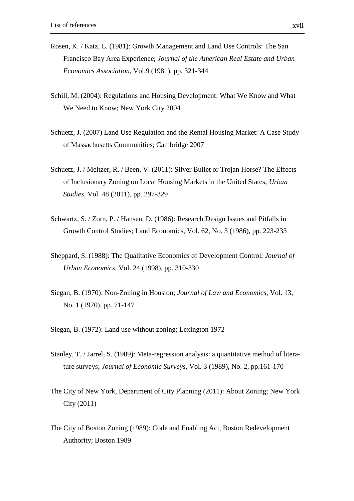- Rosen, K. / Katz, L. (1981): Growth Management and Land Use Controls: The San Francisco Bay Area Experience; *Journal of the American Real Estate and Urban Economics Association*, Vol.9 (1981), pp. 321-344
- Schill, M. (2004): Regulations and Housing Development: What We Know and What We Need to Know; New York City 2004
- Schuetz, J. (2007) Land Use Regulation and the Rental Housing Market: A Case Study of Massachusetts Communities; Cambridge 2007
- Schuetz, J. / Meltzer, R. / Been, V. (2011): Silver Bullet or Trojan Horse? The Effects of Inclusionary Zoning on Local Housing Markets in the United States; *Urban Studies*, Vol. 48 (2011), pp. 297-329
- Schwartz, S. / Zorn, P. / Hansen, D. (1986): Research Design Issues and Pitfalls in Growth Control Studies; Land Economics, Vol. 62, No. 3 (1986), pp. 223-233
- Sheppard, S. (1988): The Qualitative Economics of Development Control; *Journal of Urban Economics*, Vol. 24 (1998), pp. 310-330
- Siegan, B. (1970): Non-Zoning in Houston; *Journal of Law and Economics*, Vol. 13, No. 1 (1970), pp. 71-147
- Siegan, B. (1972): Land use without zoning; Lexington 1972
- Stanley, T. / Jarrel, S. (1989): Meta-regression analysis: a quantitative method of literature surveys; *Journal of Economic Surveys,* Vol. 3 (1989), No. 2, pp.161-170
- The City of New York, Department of City Planning (2011): About Zoning; New York City (2011)
- The City of Boston Zoning (1989): Code and Enabling Act, Boston Redevelopment Authority; Boston 1989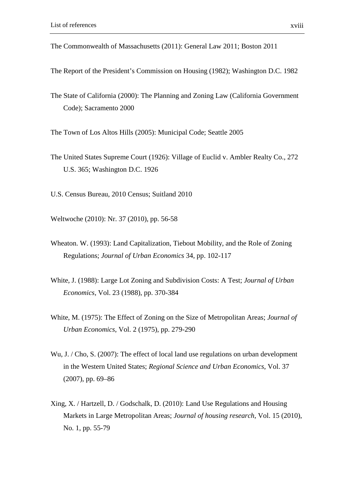- The Commonwealth of Massachusetts (2011): General Law 2011; Boston 2011
- The Report of the President's Commission on Housing (1982); Washington D.C. 1982
- The State of California (2000): The Planning and Zoning Law (California Government Code); Sacramento 2000
- The Town of Los Altos Hills (2005): Municipal Code; Seattle 2005
- The United States Supreme Court (1926): Village of Euclid v. Ambler Realty Co., 272 U.S. 365; Washington D.C. 1926
- U.S. Census Bureau, 2010 Census; Suitland 2010
- Weltwoche (2010): Nr. 37 (2010), pp. 56-58
- Wheaton. W. (1993): Land Capitalization, Tiebout Mobility, and the Role of Zoning Regulations; *Journal of Urban Economics* 34, pp. 102-117
- White, J. (1988): Large Lot Zoning and Subdivision Costs: A Test; *Journal of Urban Economics*, Vol. 23 (1988), pp. 370-384
- White, M. (1975): The Effect of Zoning on the Size of Metropolitan Areas; *Journal of Urban Economics*, Vol. 2 (1975), pp. 279-290
- Wu, J. / Cho, S. (2007): The effect of local land use regulations on urban development in the Western United States; *Regional Science and Urban Economics*, Vol. 37 (2007), pp. 69–86
- Xing, X. / Hartzell, D. / Godschalk, D. (2010): Land Use Regulations and Housing Markets in Large Metropolitan Areas; *Journal of housing research*, Vol. 15 (2010), No. 1, pp. 55-79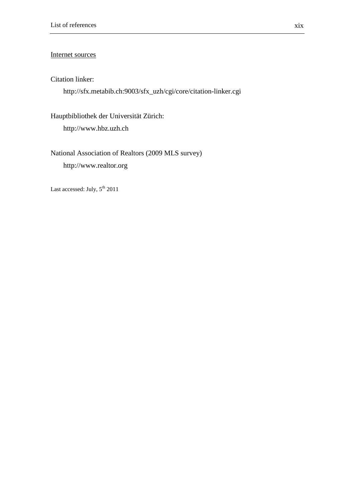### Internet sources

### Citation linker:

http://sfx.metabib.ch:9003/sfx\_uzh/cgi/core/citation-linker.cgi

Hauptbibliothek der Universität Zürich: http://www.hbz.uzh.ch

National Association of Realtors (2009 MLS survey) http://www.realtor.org

Last accessed: July,  $5^{\text{th}}$  2011